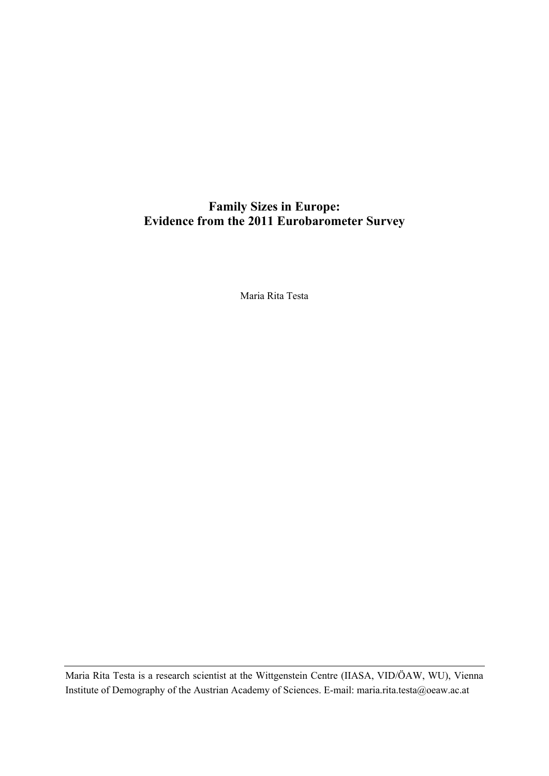# **Family Sizes in Europe: Evidence from the 2011 Eurobarometer Survey**

Maria Rita Testa

Maria Rita Testa is a research scientist at the Wittgenstein Centre (IIASA, VID/ÖAW, WU), Vienna Institute of Demography of the Austrian Academy of Sciences. E-mail: maria.rita.testa@oeaw.ac.at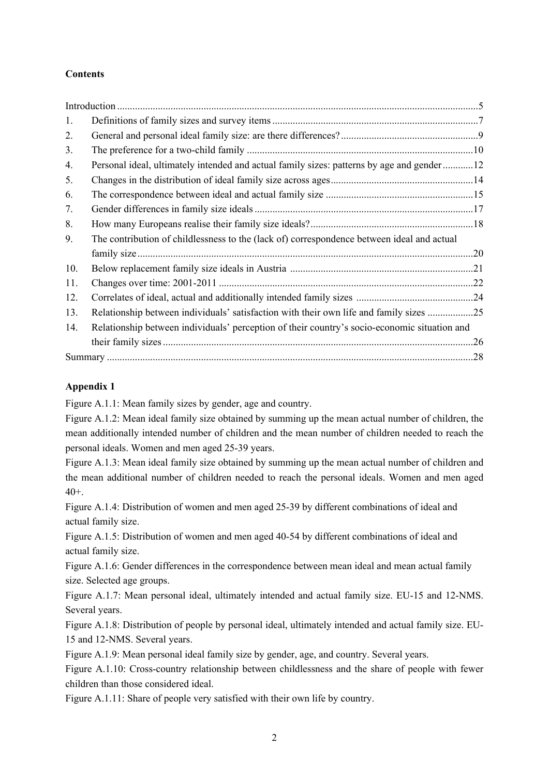# **Contents**

| 1.  |                                                                                              |     |
|-----|----------------------------------------------------------------------------------------------|-----|
| 2.  |                                                                                              |     |
| 3.  |                                                                                              |     |
| 4.  | Personal ideal, ultimately intended and actual family sizes: patterns by age and gender12    |     |
| 5.  |                                                                                              |     |
| 6.  |                                                                                              |     |
| 7.  |                                                                                              |     |
| 8.  |                                                                                              |     |
| 9.  | The contribution of childlessness to the (lack of) correspondence between ideal and actual   |     |
|     |                                                                                              | .20 |
| 10. |                                                                                              |     |
| 11. |                                                                                              |     |
| 12. |                                                                                              |     |
| 13. | Relationship between individuals' satisfaction with their own life and family sizes 25       |     |
| 14. | Relationship between individuals' perception of their country's socio-economic situation and |     |
|     |                                                                                              | .26 |
|     |                                                                                              | .28 |

# **Appendix 1**

Figure A.1.1: Mean family sizes by gender, age and country.

Figure A.1.2: Mean ideal family size obtained by summing up the mean actual number of children, the mean additionally intended number of children and the mean number of children needed to reach the personal ideals. Women and men aged 25-39 years.

Figure A.1.3: Mean ideal family size obtained by summing up the mean actual number of children and the mean additional number of children needed to reach the personal ideals. Women and men aged 40+.

Figure A.1.4: Distribution of women and men aged 25-39 by different combinations of ideal and actual family size.

Figure A.1.5: Distribution of women and men aged 40-54 by different combinations of ideal and actual family size.

Figure A.1.6: Gender differences in the correspondence between mean ideal and mean actual family size. Selected age groups.

Figure A.1.7: Mean personal ideal, ultimately intended and actual family size. EU-15 and 12-NMS. Several years.

Figure A.1.8: Distribution of people by personal ideal, ultimately intended and actual family size. EU-15 and 12-NMS. Several years.

Figure A.1.9: Mean personal ideal family size by gender, age, and country. Several years.

Figure A.1.10: Cross-country relationship between childlessness and the share of people with fewer children than those considered ideal.

Figure A.1.11: Share of people very satisfied with their own life by country.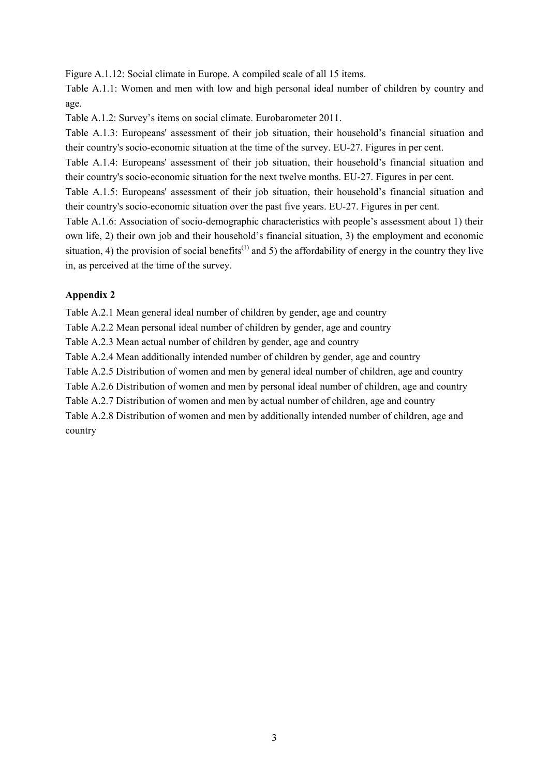Figure A.1.12: Social climate in Europe. A compiled scale of all 15 items.

Table A.1.1: Women and men with low and high personal ideal number of children by country and age.

Table A.1.2: Survey's items on social climate. Eurobarometer 2011.

Table A.1.3: Europeans' assessment of their job situation, their household's financial situation and their country's socio-economic situation at the time of the survey. EU-27. Figures in per cent.

Table A.1.4: Europeans' assessment of their job situation, their household's financial situation and their country's socio-economic situation for the next twelve months. EU-27. Figures in per cent.

Table A.1.5: Europeans' assessment of their job situation, their household's financial situation and their country's socio-economic situation over the past five years. EU-27. Figures in per cent.

Table A.1.6: Association of socio-demographic characteristics with people's assessment about 1) their own life, 2) their own job and their household's financial situation, 3) the employment and economic situation, 4) the provision of social benefits<sup>(1)</sup> and 5) the affordability of energy in the country they live in, as perceived at the time of the survey.

## **Appendix 2**

Table A.2.1 Mean general ideal number of children by gender, age and country

Table A.2.2 Mean personal ideal number of children by gender, age and country

Table A.2.3 Mean actual number of children by gender, age and country

Table A.2.4 Mean additionally intended number of children by gender, age and country

Table A.2.5 Distribution of women and men by general ideal number of children, age and country

Table A.2.6 Distribution of women and men by personal ideal number of children, age and country

Table A.2.7 Distribution of women and men by actual number of children, age and country

Table A.2.8 Distribution of women and men by additionally intended number of children, age and country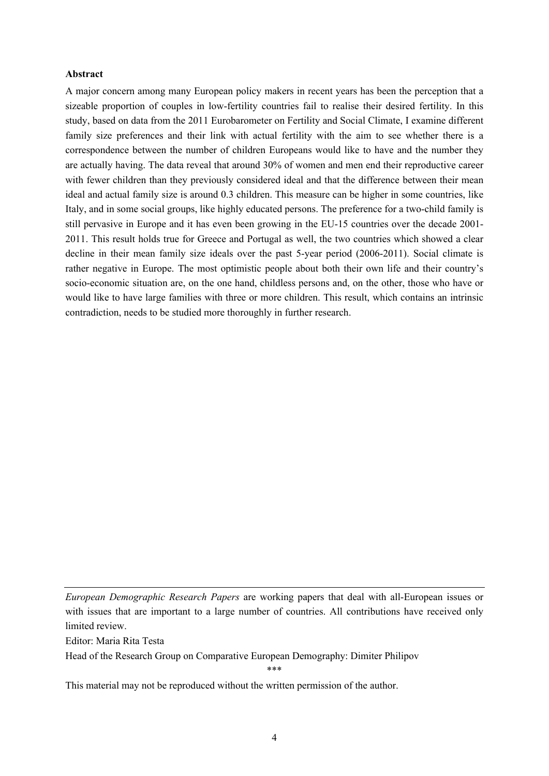### **Abstract**

A major concern among many European policy makers in recent years has been the perception that a sizeable proportion of couples in low-fertility countries fail to realise their desired fertility. In this study, based on data from the 2011 Eurobarometer on Fertility and Social Climate, I examine different family size preferences and their link with actual fertility with the aim to see whether there is a correspondence between the number of children Europeans would like to have and the number they are actually having. The data reveal that around 30% of women and men end their reproductive career with fewer children than they previously considered ideal and that the difference between their mean ideal and actual family size is around 0.3 children. This measure can be higher in some countries, like Italy, and in some social groups, like highly educated persons. The preference for a two-child family is still pervasive in Europe and it has even been growing in the EU-15 countries over the decade 2001- 2011. This result holds true for Greece and Portugal as well, the two countries which showed a clear decline in their mean family size ideals over the past 5-year period (2006-2011). Social climate is rather negative in Europe. The most optimistic people about both their own life and their country's socio-economic situation are, on the one hand, childless persons and, on the other, those who have or would like to have large families with three or more children. This result, which contains an intrinsic contradiction, needs to be studied more thoroughly in further research.

Editor: Maria Rita Testa

Head of the Research Group on Comparative European Demography: Dimiter Philipov

\*\*\*

This material may not be reproduced without the written permission of the author.

*European Demographic Research Papers* are working papers that deal with all-European issues or with issues that are important to a large number of countries. All contributions have received only limited review.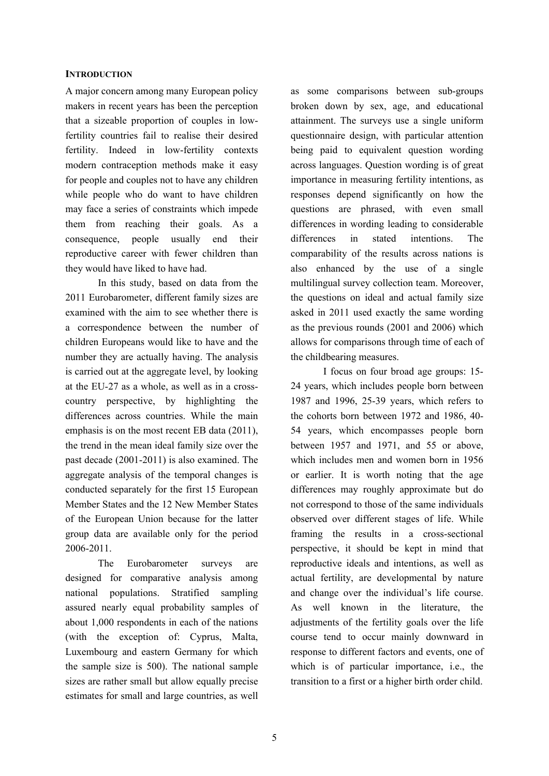#### **INTRODUCTION**

A major concern among many European policy makers in recent years has been the perception that a sizeable proportion of couples in lowfertility countries fail to realise their desired fertility. Indeed in low-fertility contexts modern contraception methods make it easy for people and couples not to have any children while people who do want to have children may face a series of constraints which impede them from reaching their goals. As a consequence, people usually end their reproductive career with fewer children than they would have liked to have had.

In this study, based on data from the 2011 Eurobarometer, different family sizes are examined with the aim to see whether there is a correspondence between the number of children Europeans would like to have and the number they are actually having. The analysis is carried out at the aggregate level, by looking at the EU-27 as a whole, as well as in a crosscountry perspective, by highlighting the differences across countries. While the main emphasis is on the most recent EB data (2011), the trend in the mean ideal family size over the past decade (2001-2011) is also examined. The aggregate analysis of the temporal changes is conducted separately for the first 15 European Member States and the 12 New Member States of the European Union because for the latter group data are available only for the period 2006-2011.

The Eurobarometer surveys are designed for comparative analysis among national populations. Stratified sampling assured nearly equal probability samples of about 1,000 respondents in each of the nations (with the exception of: Cyprus, Malta, Luxembourg and eastern Germany for which the sample size is 500). The national sample sizes are rather small but allow equally precise estimates for small and large countries, as well as some comparisons between sub-groups broken down by sex, age, and educational attainment. The surveys use a single uniform questionnaire design, with particular attention being paid to equivalent question wording across languages. Question wording is of great importance in measuring fertility intentions, as responses depend significantly on how the questions are phrased, with even small differences in wording leading to considerable differences in stated intentions. The comparability of the results across nations is also enhanced by the use of a single multilingual survey collection team. Moreover, the questions on ideal and actual family size asked in 2011 used exactly the same wording as the previous rounds (2001 and 2006) which allows for comparisons through time of each of the childbearing measures.

I focus on four broad age groups: 15- 24 years, which includes people born between 1987 and 1996, 25-39 years, which refers to the cohorts born between 1972 and 1986, 40- 54 years, which encompasses people born between 1957 and 1971, and 55 or above, which includes men and women born in 1956 or earlier. It is worth noting that the age differences may roughly approximate but do not correspond to those of the same individuals observed over different stages of life. While framing the results in a cross-sectional perspective, it should be kept in mind that reproductive ideals and intentions, as well as actual fertility, are developmental by nature and change over the individual's life course. As well known in the literature, the adjustments of the fertility goals over the life course tend to occur mainly downward in response to different factors and events, one of which is of particular importance, i.e., the transition to a first or a higher birth order child.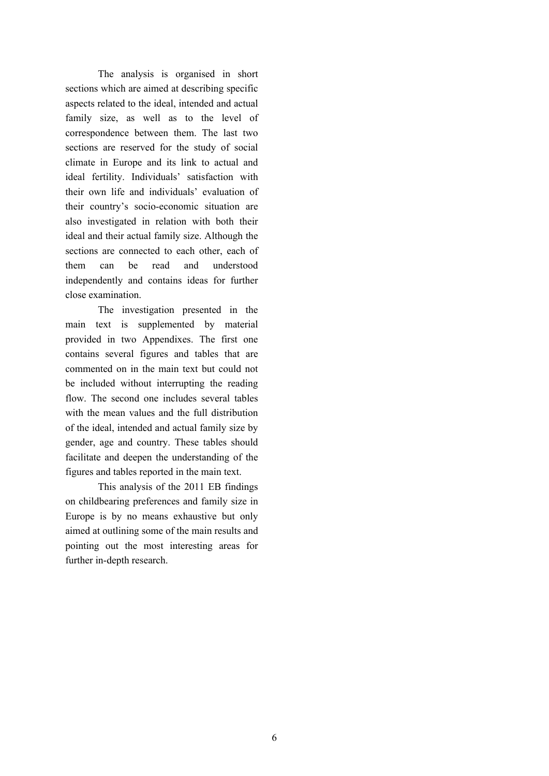The analysis is organised in short sections which are aimed at describing specific aspects related to the ideal, intended and actual family size, as well as to the level of correspondence between them. The last two sections are reserved for the study of social climate in Europe and its link to actual and ideal fertility. Individuals' satisfaction with their own life and individuals' evaluation of their country's socio-economic situation are also investigated in relation with both their ideal and their actual family size. Although the sections are connected to each other, each of them can be read and understood independently and contains ideas for further close examination.

The investigation presented in the main text is supplemented by material provided in two Appendixes. The first one contains several figures and tables that are commented on in the main text but could not be included without interrupting the reading flow. The second one includes several tables with the mean values and the full distribution of the ideal, intended and actual family size by gender, age and country. These tables should facilitate and deepen the understanding of the figures and tables reported in the main text.

This analysis of the 2011 EB findings on childbearing preferences and family size in Europe is by no means exhaustive but only aimed at outlining some of the main results and pointing out the most interesting areas for further in-depth research.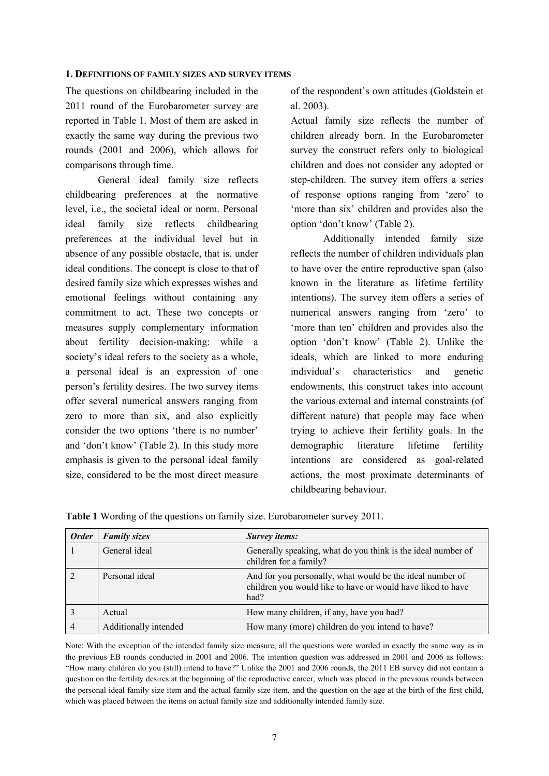#### **1. DEFINITIONS OF FAMILY SIZES AND SURVEY ITEMS**

The questions on childbearing included in the 2011 round of the Eurobarometer survey are reported in Table 1. Most of them are asked in exactly the same way during the previous two rounds (2001 and 2006), which allows for comparisons through time.

General ideal family size reflects childbearing preferences at the normative level, i.e., the societal ideal or norm. Personal ideal family size reflects childbearing preferences at the individual level but in absence of any possible obstacle, that is, under ideal conditions. The concept is close to that of desired family size which expresses wishes and emotional feelings without containing any commitment to act. These two concepts or measures supply complementary information about fertility decision-making: while a society's ideal refers to the society as a whole, a personal ideal is an expression of one person's fertility desires. The two survey items offer several numerical answers ranging from zero to more than six, and also explicitly consider the two options 'there is no number' and 'don't know' (Table 2). In this study more emphasis is given to the personal ideal family size, considered to be the most direct measure of the respondent's own attitudes (Goldstein et al. 2003).

Actual family size reflects the number of children already born. In the Eurobarometer survey the construct refers only to biological children and does not consider any adopted or step-children. The survey item offers a series of response options ranging from 'zero' to 'more than six' children and provides also the option 'don't know' (Table 2).

Additionally intended family size reflects the number of children individuals plan to have over the entire reproductive span (also known in the literature as lifetime fertility intentions). The survey item offers a series of numerical answers ranging from 'zero' to 'more than ten' children and provides also the option 'don't know' (Table 2). Unlike the ideals, which are linked to more enduring individual's characteristics and genetic endowments, this construct takes into account the various external and internal constraints (of different nature) that people may face when trying to achieve their fertility goals. In the demographic literature lifetime fertility intentions are considered as goal-related actions, the most proximate determinants of childbearing behaviour.

| <b>Order</b> | <b>Family sizes</b>   | Survey <i>items</i> :                                                                                                            |
|--------------|-----------------------|----------------------------------------------------------------------------------------------------------------------------------|
|              | General ideal         | Generally speaking, what do you think is the ideal number of<br>children for a family?                                           |
|              | Personal ideal        | And for you personally, what would be the ideal number of<br>children you would like to have or would have liked to have<br>had? |
|              | Actual                | How many children, if any, have you had?                                                                                         |
|              | Additionally intended | How many (more) children do you intend to have?                                                                                  |

**Table 1** Wording of the questions on family size. Eurobarometer survey 2011.

Note: With the exception of the intended family size measure, all the questions were worded in exactly the same way as in the previous EB rounds conducted in 2001 and 2006. The intention question was addressed in 2001 and 2006 as follows: "How many children do you (still) intend to have?" Unlike the 2001 and 2006 rounds, the 2011 EB survey did not contain a question on the fertility desires at the beginning of the reproductive career, which was placed in the previous rounds between the personal ideal family size item and the actual family size item, and the question on the age at the birth of the first child, which was placed between the items on actual family size and additionally intended family size.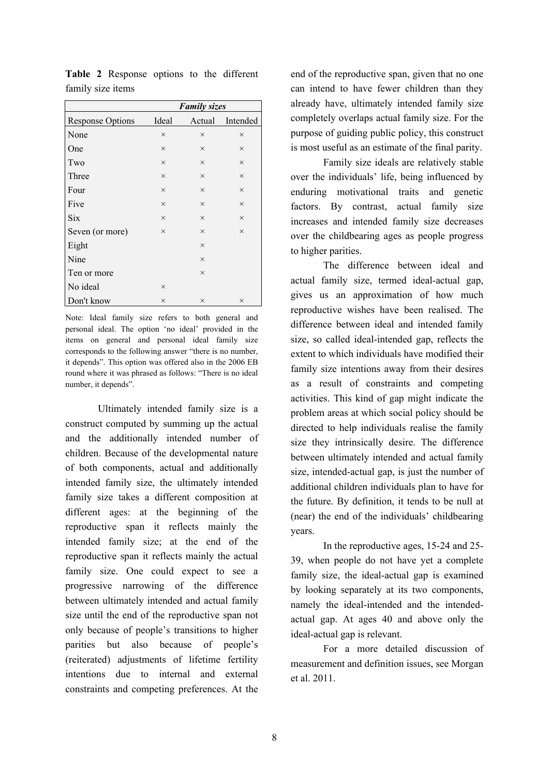|                         | <b>Family sizes</b> |          |          |  |
|-------------------------|---------------------|----------|----------|--|
| <b>Response Options</b> | Ideal               | Actual   | Intended |  |
| None                    | $\times$            | $\times$ | $\times$ |  |
| One                     | $\times$            | $\times$ | $\times$ |  |
| Two                     | $\times$            | $\times$ | $\times$ |  |
| Three                   | $\times$            | $\times$ | $\times$ |  |
| Four                    | $\times$            | $\times$ | $\times$ |  |
| Five                    | $\times$            | $\times$ | $\times$ |  |
| Six                     | $\times$            | $\times$ | $\times$ |  |
| Seven (or more)         | $\times$            | $\times$ | $\times$ |  |
| Eight                   |                     | $\times$ |          |  |
| Nine                    |                     | $\times$ |          |  |
| Ten or more             |                     | $\times$ |          |  |
| No ideal                | $\times$            |          |          |  |
| Don't know              | $\times$            | $\times$ | $\times$ |  |

**Table 2** Response options to the different family size items

Note: Ideal family size refers to both general and personal ideal. The option 'no ideal' provided in the items on general and personal ideal family size corresponds to the following answer "there is no number, it depends". This option was offered also in the 2006 EB round where it was phrased as follows: "There is no ideal number, it depends".

Ultimately intended family size is a construct computed by summing up the actual and the additionally intended number of children. Because of the developmental nature of both components, actual and additionally intended family size, the ultimately intended family size takes a different composition at different ages: at the beginning of the reproductive span it reflects mainly the intended family size; at the end of the reproductive span it reflects mainly the actual family size. One could expect to see a progressive narrowing of the difference between ultimately intended and actual family size until the end of the reproductive span not only because of people's transitions to higher parities but also because of people's (reiterated) adjustments of lifetime fertility intentions due to internal and external constraints and competing preferences. At the end of the reproductive span, given that no one can intend to have fewer children than they already have, ultimately intended family size completely overlaps actual family size. For the purpose of guiding public policy, this construct is most useful as an estimate of the final parity.

Family size ideals are relatively stable over the individuals' life, being influenced by enduring motivational traits and genetic factors. By contrast, actual family size increases and intended family size decreases over the childbearing ages as people progress to higher parities.

The difference between ideal and actual family size, termed ideal-actual gap, gives us an approximation of how much reproductive wishes have been realised. The difference between ideal and intended family size, so called ideal-intended gap, reflects the extent to which individuals have modified their family size intentions away from their desires as a result of constraints and competing activities. This kind of gap might indicate the problem areas at which social policy should be directed to help individuals realise the family size they intrinsically desire. The difference between ultimately intended and actual family size, intended-actual gap, is just the number of additional children individuals plan to have for the future. By definition, it tends to be null at (near) the end of the individuals' childbearing years.

In the reproductive ages, 15-24 and 25- 39, when people do not have yet a complete family size, the ideal-actual gap is examined by looking separately at its two components, namely the ideal-intended and the intendedactual gap. At ages 40 and above only the ideal-actual gap is relevant.

For a more detailed discussion of measurement and definition issues, see Morgan et al. 2011.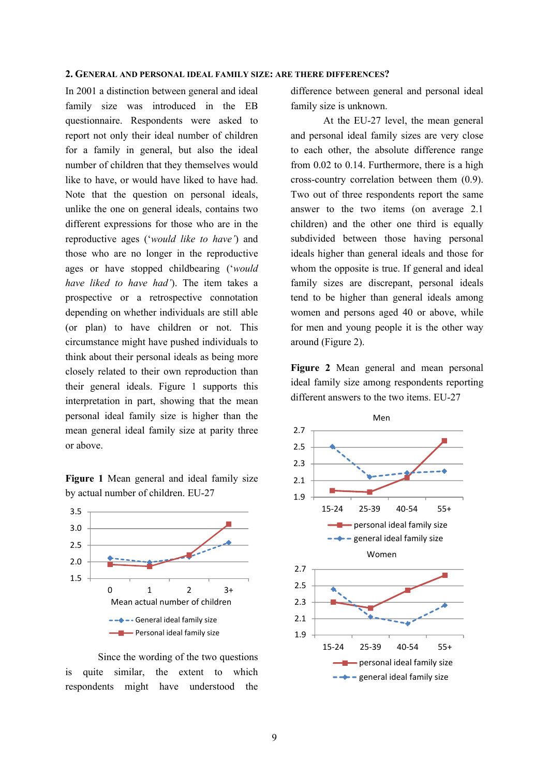#### **2. GENERAL AND PERSONAL IDEAL FAMILY SIZE: ARE THERE DIFFERENCES?**

In 2001 a distinction between general and ideal family size was introduced in the EB questionnaire. Respondents were asked to report not only their ideal number of children for a family in general, but also the ideal number of children that they themselves would like to have, or would have liked to have had. Note that the question on personal ideals, unlike the one on general ideals, contains two different expressions for those who are in the reproductive ages ('*would like to have'*) and those who are no longer in the reproductive ages or have stopped childbearing ('*would have liked to have had'*). The item takes a prospective or a retrospective connotation depending on whether individuals are still able (or plan) to have children or not. This circumstance might have pushed individuals to think about their personal ideals as being more closely related to their own reproduction than their general ideals. Figure 1 supports this interpretation in part, showing that the mean personal ideal family size is higher than the mean general ideal family size at parity three or above.

**Figure 1** Mean general and ideal family size by actual number of children. EU-27



Since the wording of the two questions is quite similar, the extent to which respondents might have understood the difference between general and personal ideal family size is unknown.

At the EU-27 level, the mean general and personal ideal family sizes are very close to each other, the absolute difference range from 0.02 to 0.14. Furthermore, there is a high cross-country correlation between them (0.9). Two out of three respondents report the same answer to the two items (on average 2.1 children) and the other one third is equally subdivided between those having personal ideals higher than general ideals and those for whom the opposite is true. If general and ideal family sizes are discrepant, personal ideals tend to be higher than general ideals among women and persons aged 40 or above, while for men and young people it is the other way around (Figure 2).

**Figure 2** Mean general and mean personal ideal family size among respondents reporting different answers to the two items. EU-27

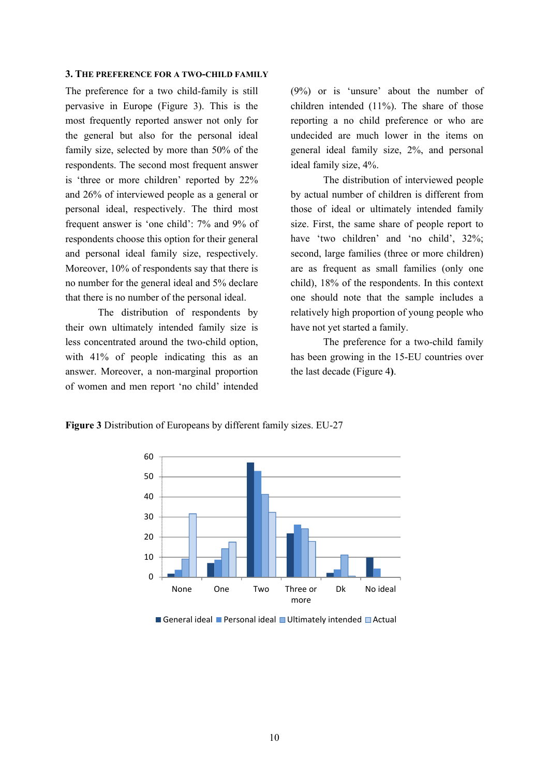#### **3. THE PREFERENCE FOR A TWO-CHILD FAMILY**

The preference for a two child-family is still pervasive in Europe (Figure 3). This is the most frequently reported answer not only for the general but also for the personal ideal family size, selected by more than 50% of the respondents. The second most frequent answer is 'three or more children' reported by 22% and 26% of interviewed people as a general or personal ideal, respectively. The third most frequent answer is 'one child': 7% and 9% of respondents choose this option for their general and personal ideal family size, respectively. Moreover, 10% of respondents say that there is no number for the general ideal and 5% declare that there is no number of the personal ideal.

The distribution of respondents by their own ultimately intended family size is less concentrated around the two-child option, with 41% of people indicating this as an answer. Moreover, a non-marginal proportion of women and men report 'no child' intended (9%) or is 'unsure' about the number of children intended (11%). The share of those reporting a no child preference or who are undecided are much lower in the items on general ideal family size, 2%, and personal ideal family size, 4%.

The distribution of interviewed people by actual number of children is different from those of ideal or ultimately intended family size. First, the same share of people report to have 'two children' and 'no child',  $32\%$ ; second, large families (three or more children) are as frequent as small families (only one child), 18% of the respondents. In this context one should note that the sample includes a relatively high proportion of young people who have not yet started a family.

The preference for a two-child family has been growing in the 15-EU countries over the last decade (Figure 4**)**.

**Figure 3** Distribution of Europeans by different family sizes. EU-27



General ideal Personal ideal Ultimately intended Actual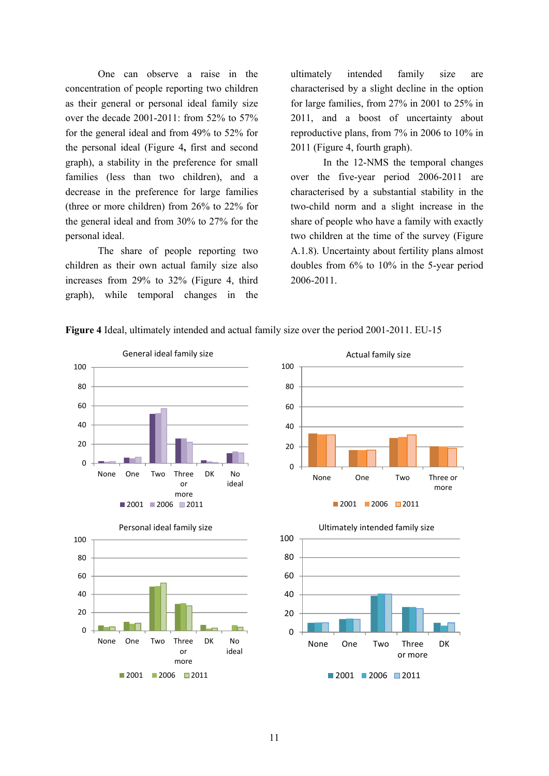One can observe a raise in the concentration of people reporting two children as their general or personal ideal family size over the decade 2001-2011: from 52% to 57% for the general ideal and from 49% to 52% for the personal ideal (Figure 4**,** first and second graph), a stability in the preference for small families (less than two children), and a decrease in the preference for large families (three or more children) from 26% to 22% for the general ideal and from 30% to 27% for the personal ideal.

The share of people reporting two children as their own actual family size also increases from 29% to 32% (Figure 4, third graph), while temporal changes in the

ultimately intended family size are characterised by a slight decline in the option for large families, from 27% in 2001 to 25% in 2011, and a boost of uncertainty about reproductive plans, from 7% in 2006 to 10% in 2011 (Figure 4, fourth graph).

In the 12-NMS the temporal changes over the five-year period 2006-2011 are characterised by a substantial stability in the two-child norm and a slight increase in the share of people who have a family with exactly two children at the time of the survey (Figure A.1.8). Uncertainty about fertility plans almost doubles from 6% to 10% in the 5-year period 2006-2011.



**Figure 4** Ideal, ultimately intended and actual family size over the period 2001-2011. EU-15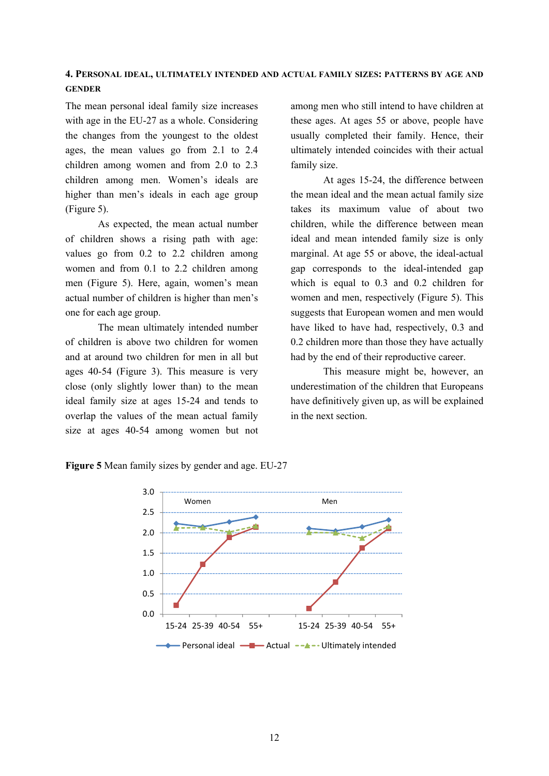# **4. PERSONAL IDEAL, ULTIMATELY INTENDED AND ACTUAL FAMILY SIZES: PATTERNS BY AGE AND GENDER**

The mean personal ideal family size increases with age in the EU-27 as a whole. Considering the changes from the youngest to the oldest ages, the mean values go from 2.1 to 2.4 children among women and from 2.0 to 2.3 children among men. Women's ideals are higher than men's ideals in each age group (Figure 5).

As expected, the mean actual number of children shows a rising path with age: values go from 0.2 to 2.2 children among women and from 0.1 to 2.2 children among men (Figure 5). Here, again, women's mean actual number of children is higher than men's one for each age group.

The mean ultimately intended number of children is above two children for women and at around two children for men in all but ages 40-54 (Figure 3). This measure is very close (only slightly lower than) to the mean ideal family size at ages 15-24 and tends to overlap the values of the mean actual family size at ages 40-54 among women but not among men who still intend to have children at these ages. At ages 55 or above, people have usually completed their family. Hence, their ultimately intended coincides with their actual family size.

At ages 15-24, the difference between the mean ideal and the mean actual family size takes its maximum value of about two children, while the difference between mean ideal and mean intended family size is only marginal. At age 55 or above, the ideal-actual gap corresponds to the ideal-intended gap which is equal to 0.3 and 0.2 children for women and men, respectively (Figure 5). This suggests that European women and men would have liked to have had, respectively, 0.3 and 0.2 children more than those they have actually had by the end of their reproductive career.

This measure might be, however, an underestimation of the children that Europeans have definitively given up, as will be explained in the next section.

**Figure 5** Mean family sizes by gender and age. EU-27

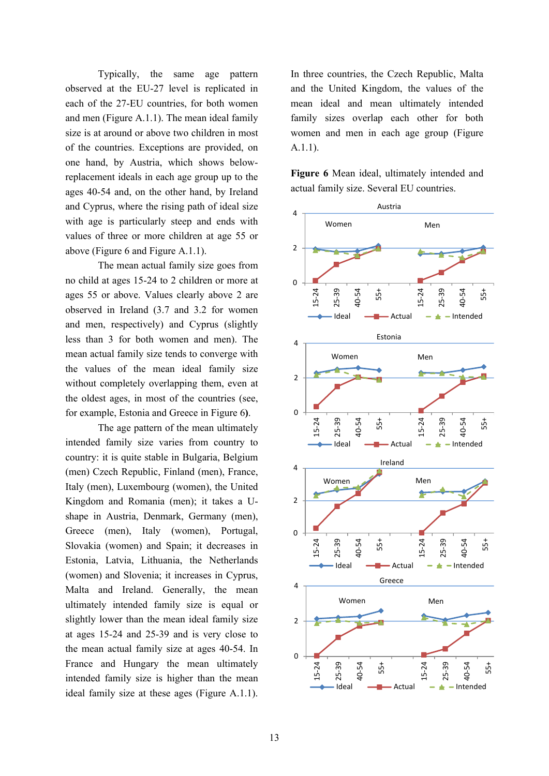Typically, the same age pattern observed at the EU-27 level is replicated in each of the 27-EU countries, for both women and men (Figure A.1.1). The mean ideal family size is at around or above two children in most of the countries. Exceptions are provided, on one hand, by Austria, which shows belowreplacement ideals in each age group up to the ages 40-54 and, on the other hand, by Ireland and Cyprus, where the rising path of ideal size with age is particularly steep and ends with values of three or more children at age 55 or above (Figure 6 and Figure A.1.1).

The mean actual family size goes from no child at ages 15-24 to 2 children or more at ages 55 or above. Values clearly above 2 are observed in Ireland (3.7 and 3.2 for women and men, respectively) and Cyprus (slightly less than 3 for both women and men). The mean actual family size tends to converge with the values of the mean ideal family size without completely overlapping them, even at the oldest ages, in most of the countries (see, for example, Estonia and Greece in Figure 6**)**.

The age pattern of the mean ultimately intended family size varies from country to country: it is quite stable in Bulgaria, Belgium (men) Czech Republic, Finland (men), France, Italy (men), Luxembourg (women), the United Kingdom and Romania (men); it takes a Ushape in Austria, Denmark, Germany (men), Greece (men), Italy (women), Portugal, Slovakia (women) and Spain; it decreases in Estonia, Latvia, Lithuania, the Netherlands (women) and Slovenia; it increases in Cyprus, Malta and Ireland. Generally, the mean ultimately intended family size is equal or slightly lower than the mean ideal family size at ages 15-24 and 25-39 and is very close to the mean actual family size at ages 40-54. In France and Hungary the mean ultimately intended family size is higher than the mean ideal family size at these ages (Figure A.1.1).

In three countries, the Czech Republic, Malta and the United Kingdom, the values of the mean ideal and mean ultimately intended family sizes overlap each other for both women and men in each age group (Figure A.1.1).

**Figure 6** Mean ideal, ultimately intended and actual family size. Several EU countries.

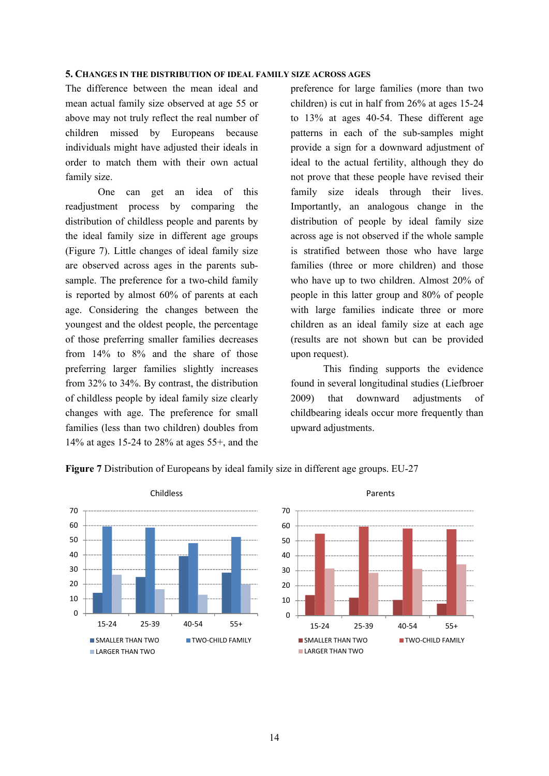#### **5. CHANGES IN THE DISTRIBUTION OF IDEAL FAMILY SIZE ACROSS AGES**

The difference between the mean ideal and mean actual family size observed at age 55 or above may not truly reflect the real number of children missed by Europeans because individuals might have adjusted their ideals in order to match them with their own actual family size.

One can get an idea of this readjustment process by comparing the distribution of childless people and parents by the ideal family size in different age groups (Figure 7). Little changes of ideal family size are observed across ages in the parents subsample. The preference for a two-child family is reported by almost 60% of parents at each age. Considering the changes between the youngest and the oldest people, the percentage of those preferring smaller families decreases from 14% to 8% and the share of those preferring larger families slightly increases from 32% to 34%. By contrast, the distribution of childless people by ideal family size clearly changes with age. The preference for small families (less than two children) doubles from 14% at ages 15-24 to 28% at ages 55+, and the

preference for large families (more than two children) is cut in half from 26% at ages 15-24 to 13% at ages 40-54. These different age patterns in each of the sub-samples might provide a sign for a downward adjustment of ideal to the actual fertility, although they do not prove that these people have revised their family size ideals through their lives. Importantly, an analogous change in the distribution of people by ideal family size across age is not observed if the whole sample is stratified between those who have large families (three or more children) and those who have up to two children. Almost 20% of people in this latter group and 80% of people with large families indicate three or more children as an ideal family size at each age (results are not shown but can be provided upon request).

This finding supports the evidence found in several longitudinal studies (Liefbroer 2009) that downward adjustments of childbearing ideals occur more frequently than upward adjustments.



**Figure 7** Distribution of Europeans by ideal family size in different age groups. EU-27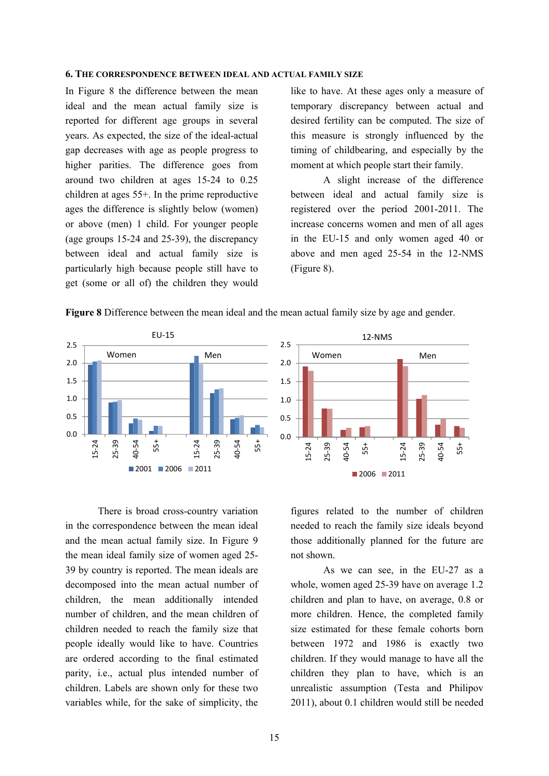#### **6. THE CORRESPONDENCE BETWEEN IDEAL AND ACTUAL FAMILY SIZE**

In Figure 8 the difference between the mean ideal and the mean actual family size is reported for different age groups in several years. As expected, the size of the ideal-actual gap decreases with age as people progress to higher parities. The difference goes from around two children at ages 15-24 to 0.25 children at ages 55+. In the prime reproductive ages the difference is slightly below (women) or above (men) 1 child. For younger people (age groups 15-24 and 25-39), the discrepancy between ideal and actual family size is particularly high because people still have to get (some or all of) the children they would like to have. At these ages only a measure of temporary discrepancy between actual and desired fertility can be computed. The size of this measure is strongly influenced by the timing of childbearing, and especially by the moment at which people start their family.

A slight increase of the difference between ideal and actual family size is registered over the period 2001-2011. The increase concerns women and men of all ages in the EU-15 and only women aged 40 or above and men aged 25-54 in the 12-NMS (Figure 8).

12-NMS



**Figure 8** Difference between the mean ideal and the mean actual family size by age and gender.

figures related to the number of children needed to reach the family size ideals beyond those additionally planned for the future are not shown.

15-24

25-39

40-54

55+

 $5+$ 

As we can see, in the EU-27 as a whole, women aged 25-39 have on average 1.2 children and plan to have, on average, 0.8 or more children. Hence, the completed family size estimated for these female cohorts born between 1972 and 1986 is exactly two children. If they would manage to have all the children they plan to have, which is an unrealistic assumption (Testa and Philipov 2011), about 0.1 children would still be needed

There is broad cross-country variation in the correspondence between the mean ideal and the mean actual family size. In Figure 9 the mean ideal family size of women aged 25- 39 by country is reported. The mean ideals are decomposed into the mean actual number of children, the mean additionally intended number of children, and the mean children of children needed to reach the family size that people ideally would like to have. Countries are ordered according to the final estimated parity, i.e., actual plus intended number of children. Labels are shown only for these two variables while, for the sake of simplicity, the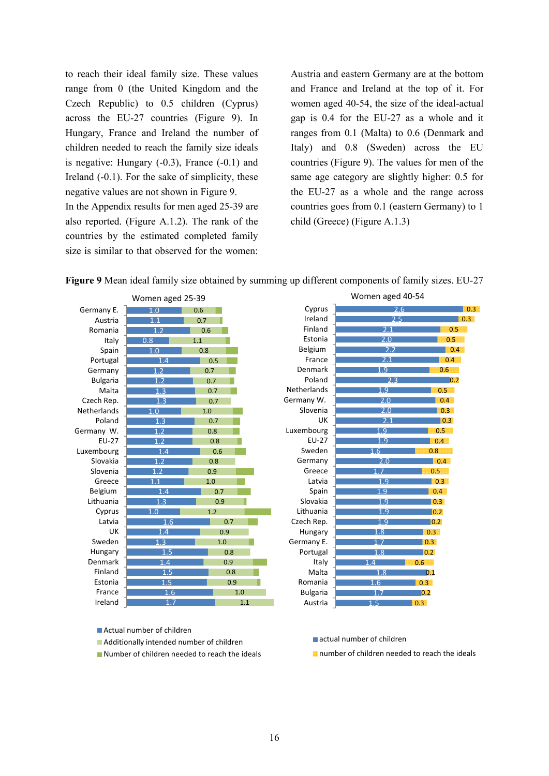to reach their ideal family size. These values range from 0 (the United Kingdom and the Czech Republic) to 0.5 children (Cyprus) across the EU-27 countries (Figure 9). In Hungary, France and Ireland the number of children needed to reach the family size ideals is negative: Hungary (-0.3), France (-0.1) and Ireland (-0.1). For the sake of simplicity, these negative values are not shown in Figure 9.

In the Appendix results for men aged 25-39 are also reported. (Figure A.1.2). The rank of the countries by the estimated completed family size is similar to that observed for the women: Austria and eastern Germany are at the bottom and France and Ireland at the top of it. For women aged 40-54, the size of the ideal-actual gap is 0.4 for the EU-27 as a whole and it ranges from 0.1 (Malta) to 0.6 (Denmark and Italy) and 0.8 (Sweden) across the EU countries (Figure 9). The values for men of the same age category are slightly higher: 0.5 for the EU-27 as a whole and the range across countries goes from 0.1 (eastern Germany) to 1 child (Greece) (Figure A.1.3)

**Figure 9** Mean ideal family size obtained by summing up different components of family sizes. EU-27



■ Actual number of children

- Additionally intended number of children
- Number of children needed to reach the ideals

■ actual number of children

**number of children needed to reach the ideals**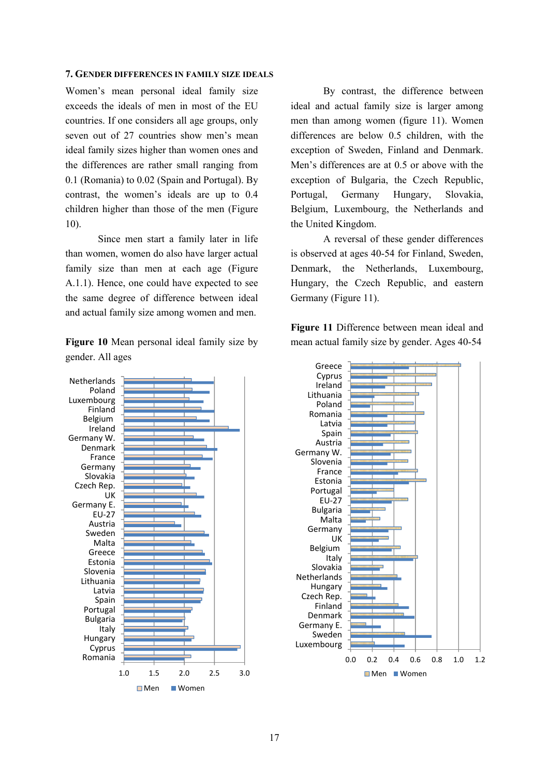#### **7. GENDER DIFFERENCES IN FAMILY SIZE IDEALS**

Women's mean personal ideal family size exceeds the ideals of men in most of the EU countries. If one considers all age groups, only seven out of 27 countries show men's mean ideal family sizes higher than women ones and the differences are rather small ranging from 0.1 (Romania) to 0.02 (Spain and Portugal). By contrast, the women's ideals are up to 0.4 children higher than those of the men (Figure 10).

Since men start a family later in life than women, women do also have larger actual family size than men at each age (Figure A.1.1). Hence, one could have expected to see the same degree of difference between ideal and actual family size among women and men.

**Figure 10** Mean personal ideal family size by gender. All ages



By contrast, the difference between ideal and actual family size is larger among men than among women (figure 11). Women differences are below 0.5 children, with the exception of Sweden, Finland and Denmark. Men's differences are at 0.5 or above with the exception of Bulgaria, the Czech Republic, Portugal, Germany Hungary, Slovakia, Belgium, Luxembourg, the Netherlands and the United Kingdom.

A reversal of these gender differences is observed at ages 40-54 for Finland, Sweden, Denmark, the Netherlands, Luxembourg, Hungary, the Czech Republic, and eastern Germany (Figure 11).

**Figure 11** Difference between mean ideal and mean actual family size by gender. Ages 40-54

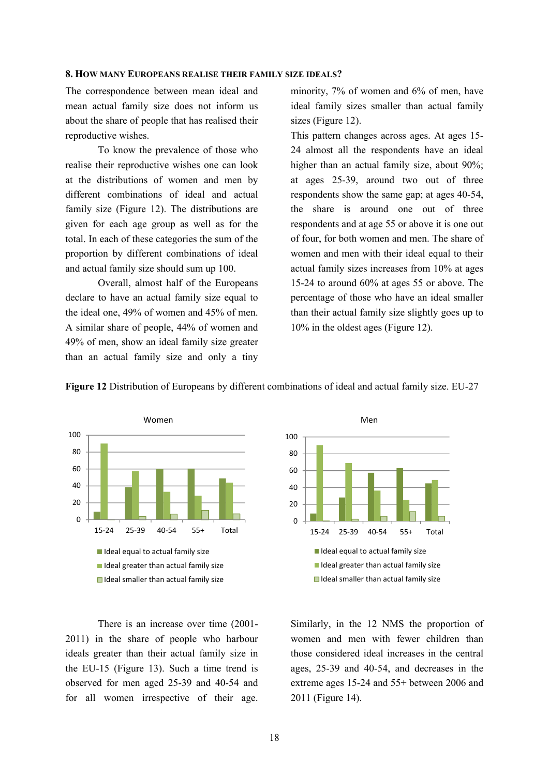#### **8. HOW MANY EUROPEANS REALISE THEIR FAMILY SIZE IDEALS?**

The correspondence between mean ideal and mean actual family size does not inform us about the share of people that has realised their reproductive wishes.

To know the prevalence of those who realise their reproductive wishes one can look at the distributions of women and men by different combinations of ideal and actual family size (Figure 12). The distributions are given for each age group as well as for the total. In each of these categories the sum of the proportion by different combinations of ideal and actual family size should sum up 100.

Overall, almost half of the Europeans declare to have an actual family size equal to the ideal one, 49% of women and 45% of men. A similar share of people, 44% of women and 49% of men, show an ideal family size greater than an actual family size and only a tiny

minority, 7% of women and 6% of men, have ideal family sizes smaller than actual family sizes (Figure 12).

This pattern changes across ages. At ages 15- 24 almost all the respondents have an ideal higher than an actual family size, about 90%; at ages 25-39, around two out of three respondents show the same gap; at ages 40-54, the share is around one out of three respondents and at age 55 or above it is one out of four, for both women and men. The share of women and men with their ideal equal to their actual family sizes increases from 10% at ages 15-24 to around 60% at ages 55 or above. The percentage of those who have an ideal smaller than their actual family size slightly goes up to 10% in the oldest ages (Figure 12).





 $\overline{0}$  $20$ 40 60 80 100 15-24 25-39 40-54 55+ Total Men I Ideal equal to actual family size I Ideal greater than actual family size Ideal smaller than actual family size

There is an increase over time (2001- 2011) in the share of people who harbour ideals greater than their actual family size in the EU-15 (Figure 13). Such a time trend is observed for men aged 25-39 and 40-54 and for all women irrespective of their age.

Similarly, in the 12 NMS the proportion of women and men with fewer children than those considered ideal increases in the central ages, 25-39 and 40-54, and decreases in the extreme ages 15-24 and 55+ between 2006 and 2011 (Figure 14).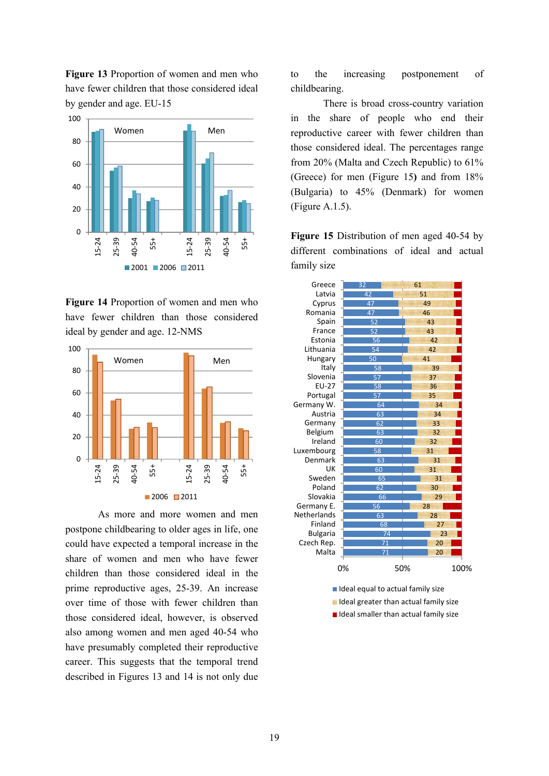**Figure 13** Proportion of women and men who have fewer children that those considered ideal by gender and age. EU-15



**Figure 14** Proportion of women and men who have fewer children than those considered ideal by gender and age. 12-NMS



As more and more women and men postpone childbearing to older ages in life, one could have expected a temporal increase in the share of women and men who have fewer children than those considered ideal in the prime reproductive ages, 25-39. An increase over time of those with fewer children than those considered ideal, however, is observed also among women and men aged 40-54 who have presumably completed their reproductive career. This suggests that the temporal trend described in Figures 13 and 14 is not only due to the increasing postponement of childbearing.

There is broad cross-country variation in the share of people who end their reproductive career with fewer children than those considered ideal. The percentages range from 20% (Malta and Czech Republic) to 61% (Greece) for men (Figure 15**)** and from 18% (Bulgaria) to 45% (Denmark) for women (Figure A.1.5).

**Figure 15** Distribution of men aged 40-54 by different combinations of ideal and actual family size



**II** Ideal greater than actual family size

I Ideal smaller than actual family size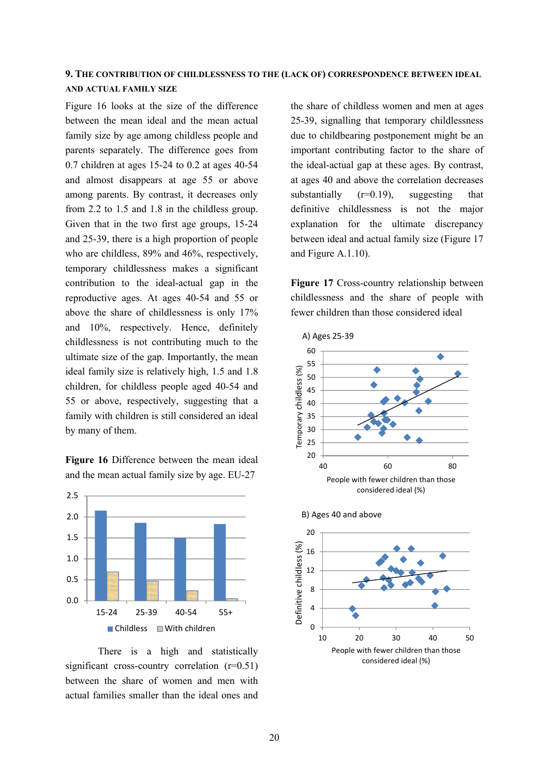# **9. THE CONTRIBUTION OF CHILDLESSNESS TO THE (LACK OF) CORRESPONDENCE BETWEEN IDEAL AND ACTUAL FAMILY SIZE**

Figure 16 looks at the size of the difference between the mean ideal and the mean actual family size by age among childless people and parents separately. The difference goes from 0.7 children at ages 15-24 to 0.2 at ages 40-54 and almost disappears at age 55 or above among parents. By contrast, it decreases only from 2.2 to 1.5 and 1.8 in the childless group. Given that in the two first age groups, 15-24 and 25-39, there is a high proportion of people who are childless, 89% and 46%, respectively, temporary childlessness makes a significant contribution to the ideal-actual gap in the reproductive ages. At ages 40-54 and 55 or above the share of childlessness is only 17% and 10%, respectively. Hence, definitely childlessness is not contributing much to the ultimate size of the gap. Importantly, the mean ideal family size is relatively high, 1.5 and 1.8 children, for childless people aged 40-54 and 55 or above, respectively, suggesting that a family with children is still considered an ideal by many of them.

**Figure 16** Difference between the mean ideal and the mean actual family size by age. EU-27



There is a high and statistically significant cross-country correlation (r=0.51) between the share of women and men with actual families smaller than the ideal ones and

the share of childless women and men at ages 25-39, signalling that temporary childlessness due to childbearing postponement might be an important contributing factor to the share of the ideal-actual gap at these ages. By contrast, at ages 40 and above the correlation decreases substantially  $(r=0.19)$ , suggesting that definitive childlessness is not the major explanation for the ultimate discrepancy between ideal and actual family size (Figure 17 and Figure A.1.10).

**Figure 17** Cross-country relationship between childlessness and the share of people with fewer children than those considered ideal



People with fewer children than those considered ideal (%)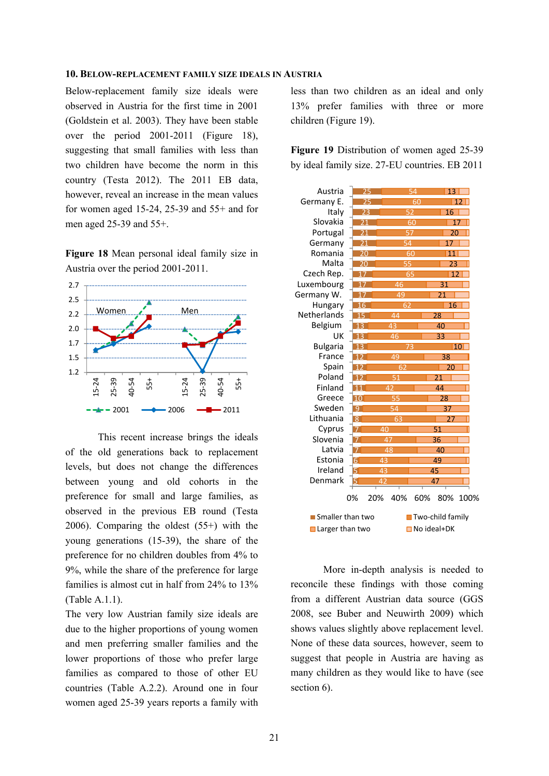#### **10. BELOW-REPLACEMENT FAMILY SIZE IDEALS IN AUSTRIA**

Below-replacement family size ideals were observed in Austria for the first time in 2001 (Goldstein et al. 2003). They have been stable over the period 2001-2011 (Figure 18), suggesting that small families with less than two children have become the norm in this country (Testa 2012). The 2011 EB data, however, reveal an increase in the mean values for women aged 15-24, 25-39 and 55+ and for men aged 25-39 and 55+.

**Figure 18** Mean personal ideal family size in Austria over the period 2001-2011.



This recent increase brings the ideals of the old generations back to replacement levels, but does not change the differences between young and old cohorts in the preference for small and large families, as observed in the previous EB round (Testa 2006). Comparing the oldest (55+) with the young generations (15-39), the share of the preference for no children doubles from 4% to 9%, while the share of the preference for large families is almost cut in half from 24% to 13% (Table A.1.1).

The very low Austrian family size ideals are due to the higher proportions of young women and men preferring smaller families and the lower proportions of those who prefer large families as compared to those of other EU countries (Table A.2.2). Around one in four women aged 25-39 years reports a family with less than two children as an ideal and only 13% prefer families with three or more children (Figure 19).

**Figure 19** Distribution of women aged 25-39 by ideal family size. 27-EU countries. EB 2011



More in-depth analysis is needed to reconcile these findings with those coming from a different Austrian data source (GGS 2008, see Buber and Neuwirth 2009) which shows values slightly above replacement level. None of these data sources, however, seem to suggest that people in Austria are having as many children as they would like to have (see section 6).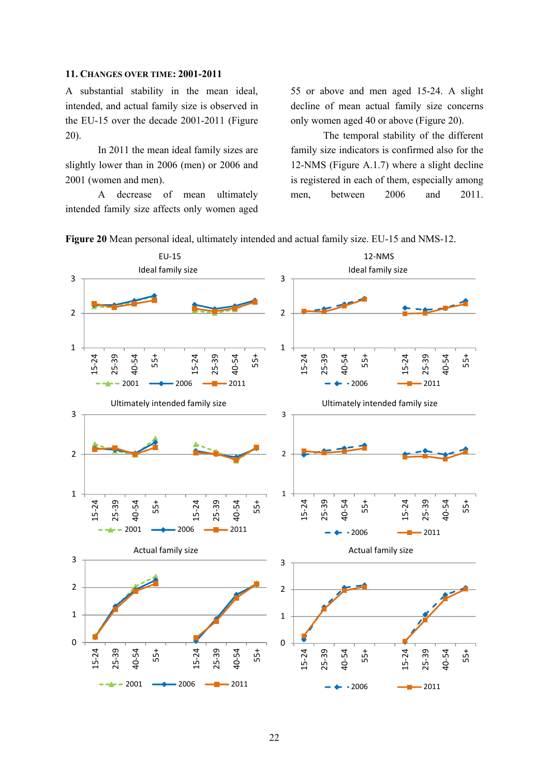#### **11. CHANGES OVER TIME: 2001-2011**

A substantial stability in the mean ideal, intended, and actual family size is observed in the EU-15 over the decade 2001-2011 (Figure 20).

In 2011 the mean ideal family sizes are slightly lower than in 2006 (men) or 2006 and 2001 (women and men).

A decrease of mean ultimately intended family size affects only women aged 55 or above and men aged 15-24. A slight decline of mean actual family size concerns only women aged 40 or above (Figure 20).

The temporal stability of the different family size indicators is confirmed also for the 12-NMS (Figure A.1.7) where a slight decline is registered in each of them, especially among men, between 2006 and 2011.

**Figure 20** Mean personal ideal, ultimately intended and actual family size. EU-15 and NMS-12.

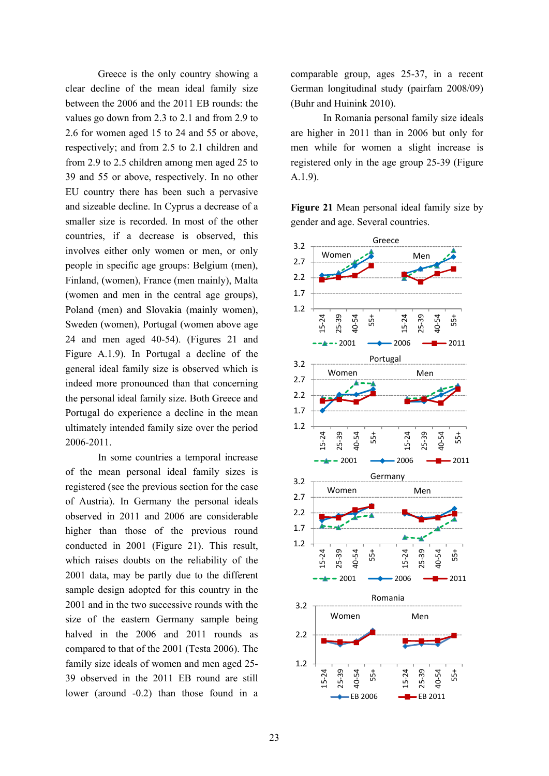Greece is the only country showing a clear decline of the mean ideal family size between the 2006 and the 2011 EB rounds: the values go down from 2.3 to 2.1 and from 2.9 to 2.6 for women aged 15 to 24 and 55 or above, respectively; and from 2.5 to 2.1 children and from 2.9 to 2.5 children among men aged 25 to 39 and 55 or above, respectively. In no other EU country there has been such a pervasive and sizeable decline. In Cyprus a decrease of a smaller size is recorded. In most of the other countries, if a decrease is observed, this involves either only women or men, or only people in specific age groups: Belgium (men), Finland, (women), France (men mainly), Malta (women and men in the central age groups), Poland (men) and Slovakia (mainly women), Sweden (women), Portugal (women above age 24 and men aged 40-54). (Figures 21 and Figure A.1.9). In Portugal a decline of the general ideal family size is observed which is indeed more pronounced than that concerning the personal ideal family size. Both Greece and Portugal do experience a decline in the mean ultimately intended family size over the period 2006-2011.

In some countries a temporal increase of the mean personal ideal family sizes is registered (see the previous section for the case of Austria). In Germany the personal ideals observed in 2011 and 2006 are considerable higher than those of the previous round conducted in 2001 (Figure 21). This result, which raises doubts on the reliability of the 2001 data, may be partly due to the different sample design adopted for this country in the 2001 and in the two successive rounds with the size of the eastern Germany sample being halved in the 2006 and 2011 rounds as compared to that of the 2001 (Testa 2006). The family size ideals of women and men aged 25- 39 observed in the 2011 EB round are still lower (around -0.2) than those found in a

comparable group, ages 25-37, in a recent German longitudinal study (pairfam 2008/09) (Buhr and Huinink 2010).

In Romania personal family size ideals are higher in 2011 than in 2006 but only for men while for women a slight increase is registered only in the age group 25-39 (Figure A.1.9).

**Figure 21** Mean personal ideal family size by gender and age. Several countries.

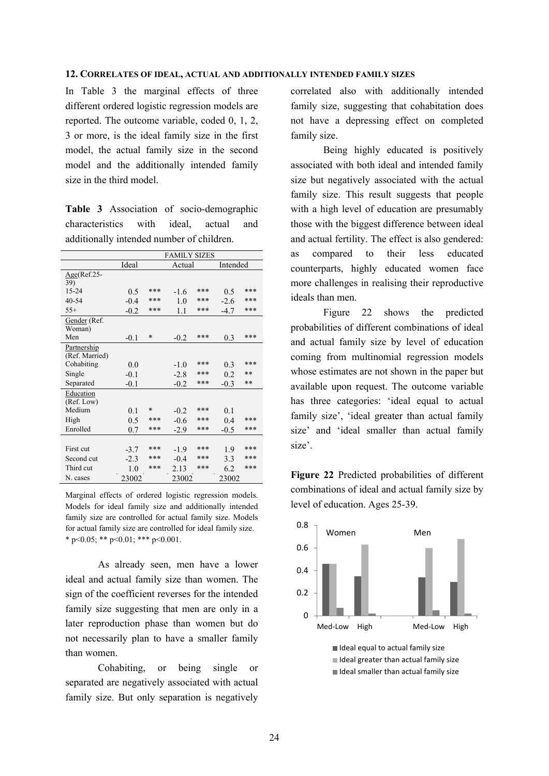In Table 3 the marginal effects of three different ordered logistic regression models are reported. The outcome variable, coded 0, 1, 2, 3 or more, is the ideal family size in the first model, the actual family size in the second model and the additionally intended family size in the third model.

**Table 3** Association of socio-demographic characteristics with ideal, actual and additionally intended number of children.

|                | <b>FAMILY SIZES</b> |        |        |          |        |         |
|----------------|---------------------|--------|--------|----------|--------|---------|
|                | Ideal               | Actual |        | Intended |        |         |
| Age(Ref.25-    |                     |        |        |          |        |         |
| 39)            |                     |        |        |          |        |         |
| $15 - 24$      | 0.5                 | ***    | $-1.6$ | ***      | 0.5    | $* * *$ |
| $40 - 54$      | $-0.4$              | ***    | 1.0    | ***      | $-2.6$ | $* * *$ |
| $55+$          | $-0.2$              | ***    | 1.1    | ***      | $-4.7$ | $***$   |
| Gender (Ref.   |                     |        |        |          |        |         |
| Woman)         |                     |        |        |          |        |         |
| Men            | $-0.1$              | $\ast$ | $-0.2$ | ***      | 0.3    | ***     |
| Partnership    |                     |        |        |          |        |         |
| (Ref. Married) |                     |        |        |          |        |         |
| Cohabiting     | 0.0                 |        | $-1.0$ | ***      | 0.3    | $* * *$ |
| Single         | $-0.1$              |        | $-2.8$ | ***      | 0.2    | $* *$   |
| Separated      | $-0.1$              |        | $-0.2$ | ***      | $-0.3$ | $* *$   |
| Education      |                     |        |        |          |        |         |
| (Ref. Low)     |                     |        |        |          |        |         |
| Medium         | 0.1                 | $\ast$ | $-0.2$ | ***      | 0.1    |         |
| High           | 0.5                 | ***    | $-0.6$ | ***      | 0.4    | ***     |
| Enrolled       | 0.7                 | ***    | $-2.9$ | ***      | $-0.5$ | ***     |
|                |                     |        |        |          |        |         |
| First cut      | $-3.7$              | ***    | $-1.9$ | ***      | 1.9    | ***     |
| Second cut     | $-2.3$              | ***    | $-0.4$ | ***      | 3.3    | ***     |
| Third cut      | 1.0                 | ***    | 2.13   | ***      | 6.2    | $***$   |
| N. cases       | 23002               |        | 23002  |          | 23002  |         |

Marginal effects of ordered logistic regression models. Models for ideal family size and additionally intended family size are controlled for actual family size. Models for actual family size are controlled for ideal family size. \* p<0.05; \*\* p<0.01; \*\*\* p<0.001.

As already seen, men have a lower ideal and actual family size than women. The sign of the coefficient reverses for the intended family size suggesting that men are only in a later reproduction phase than women but do not necessarily plan to have a smaller family than women.

Cohabiting, or being single or separated are negatively associated with actual family size. But only separation is negatively correlated also with additionally intended family size, suggesting that cohabitation does not have a depressing effect on completed family size.

Being highly educated is positively associated with both ideal and intended family size but negatively associated with the actual family size. This result suggests that people with a high level of education are presumably those with the biggest difference between ideal and actual fertility. The effect is also gendered: as compared to their less educated counterparts, highly educated women face more challenges in realising their reproductive ideals than men.

Figure 22 shows the predicted probabilities of different combinations of ideal and actual family size by level of education coming from multinomial regression models whose estimates are not shown in the paper but available upon request. The outcome variable has three categories: 'ideal equal to actual family size', 'ideal greater than actual family size' and 'ideal smaller than actual family size'.

**Figure 22** Predicted probabilities of different combinations of ideal and actual family size by level of education. Ages 25-39.

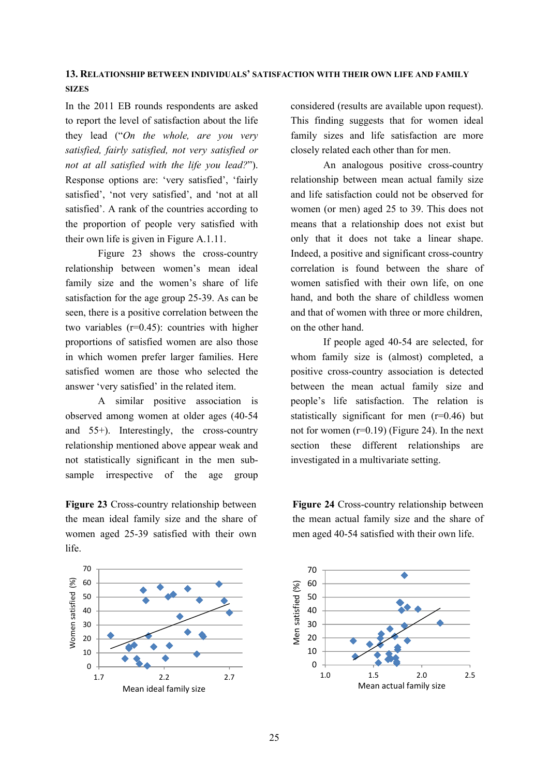# **13. RELATIONSHIP BETWEEN INDIVIDUALS' SATISFACTION WITH THEIR OWN LIFE AND FAMILY SIZES**

In the 2011 EB rounds respondents are asked to report the level of satisfaction about the life they lead ("*On the whole, are you very satisfied, fairly satisfied, not very satisfied or not at all satisfied with the life you lead?*"). Response options are: 'very satisfied', 'fairly satisfied', 'not very satisfied', and 'not at all satisfied'. A rank of the countries according to the proportion of people very satisfied with their own life is given in Figure A.1.11.

Figure 23 shows the cross-country relationship between women's mean ideal family size and the women's share of life satisfaction for the age group 25-39. As can be seen, there is a positive correlation between the two variables (r=0.45): countries with higher proportions of satisfied women are also those in which women prefer larger families. Here satisfied women are those who selected the answer 'very satisfied' in the related item.

A similar positive association is observed among women at older ages (40-54 and 55+). Interestingly, the cross-country relationship mentioned above appear weak and not statistically significant in the men subsample irrespective of the age group

**Figure 23** Cross-country relationship between the mean ideal family size and the share of women aged 25-39 satisfied with their own life.

considered (results are available upon request). This finding suggests that for women ideal family sizes and life satisfaction are more closely related each other than for men.

An analogous positive cross-country relationship between mean actual family size and life satisfaction could not be observed for women (or men) aged 25 to 39. This does not means that a relationship does not exist but only that it does not take a linear shape. Indeed, a positive and significant cross-country correlation is found between the share of women satisfied with their own life, on one hand, and both the share of childless women and that of women with three or more children, on the other hand.

If people aged 40-54 are selected, for whom family size is (almost) completed, a positive cross-country association is detected between the mean actual family size and people's life satisfaction. The relation is statistically significant for men (r=0.46) but not for women  $(r=0.19)$  (Figure 24). In the next section these different relationships are investigated in a multivariate setting.



**Figure 24** Cross-country relationship between the mean actual family size and the share of men aged 40-54 satisfied with their own life.

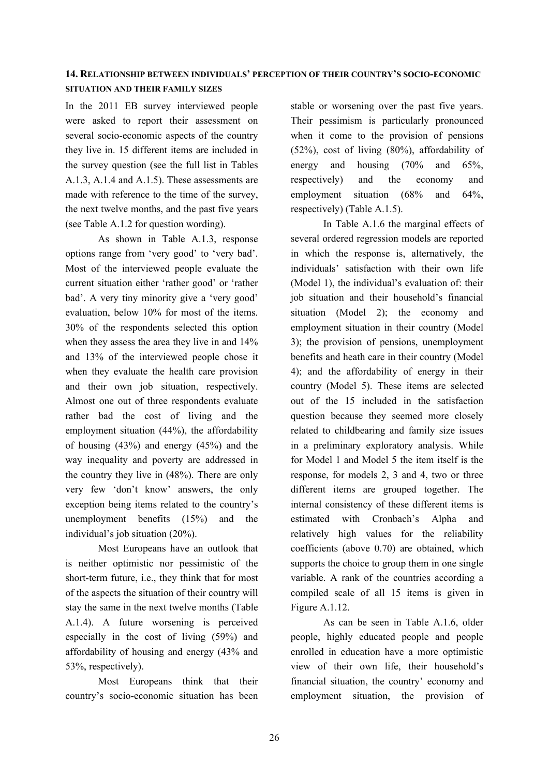# **14. RELATIONSHIP BETWEEN INDIVIDUALS' PERCEPTION OF THEIR COUNTRY'S SOCIO-ECONOMIC SITUATION AND THEIR FAMILY SIZES**

In the 2011 EB survey interviewed people were asked to report their assessment on several socio-economic aspects of the country they live in. 15 different items are included in the survey question (see the full list in Tables A.1.3, A.1.4 and A.1.5). These assessments are made with reference to the time of the survey, the next twelve months, and the past five years (see Table A.1.2 for question wording).

As shown in Table A.1.3, response options range from 'very good' to 'very bad'. Most of the interviewed people evaluate the current situation either 'rather good' or 'rather bad'. A very tiny minority give a 'very good' evaluation, below 10% for most of the items. 30% of the respondents selected this option when they assess the area they live in and 14% and 13% of the interviewed people chose it when they evaluate the health care provision and their own job situation, respectively. Almost one out of three respondents evaluate rather bad the cost of living and the employment situation (44%), the affordability of housing (43%) and energy (45%) and the way inequality and poverty are addressed in the country they live in (48%). There are only very few 'don't know' answers, the only exception being items related to the country's unemployment benefits (15%) and the individual's job situation (20%).

Most Europeans have an outlook that is neither optimistic nor pessimistic of the short-term future, i.e., they think that for most of the aspects the situation of their country will stay the same in the next twelve months (Table A.1.4). A future worsening is perceived especially in the cost of living (59%) and affordability of housing and energy (43% and 53%, respectively).

Most Europeans think that their country's socio-economic situation has been stable or worsening over the past five years. Their pessimism is particularly pronounced when it come to the provision of pensions (52%), cost of living (80%), affordability of energy and housing (70% and 65%, respectively) and the economy and employment situation (68% and 64%, respectively) (Table A.1.5).

In Table A.1.6 the marginal effects of several ordered regression models are reported in which the response is, alternatively, the individuals' satisfaction with their own life (Model 1), the individual's evaluation of: their job situation and their household's financial situation (Model 2); the economy and employment situation in their country (Model 3); the provision of pensions, unemployment benefits and heath care in their country (Model 4); and the affordability of energy in their country (Model 5). These items are selected out of the 15 included in the satisfaction question because they seemed more closely related to childbearing and family size issues in a preliminary exploratory analysis. While for Model 1 and Model 5 the item itself is the response, for models 2, 3 and 4, two or three different items are grouped together. The internal consistency of these different items is estimated with Cronbach's Alpha and relatively high values for the reliability coefficients (above 0.70) are obtained, which supports the choice to group them in one single variable. A rank of the countries according a compiled scale of all 15 items is given in Figure A.1.12.

As can be seen in Table A.1.6, older people, highly educated people and people enrolled in education have a more optimistic view of their own life, their household's financial situation, the country' economy and employment situation, the provision of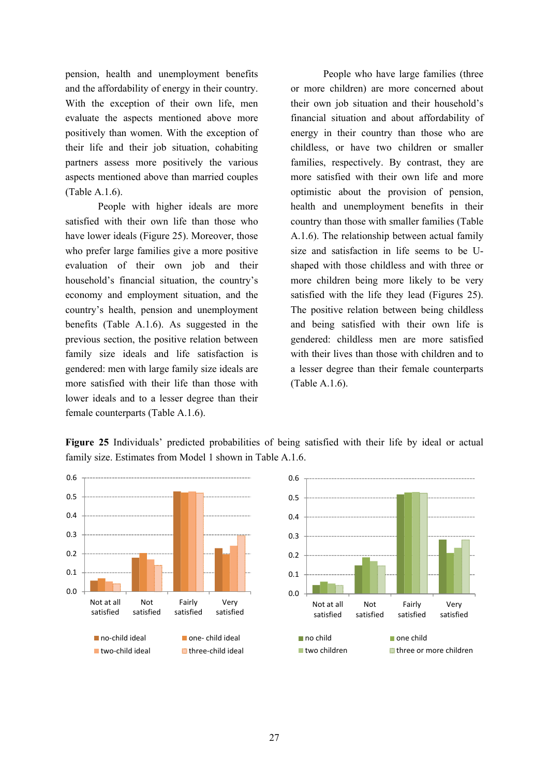pension, health and unemployment benefits and the affordability of energy in their country. With the exception of their own life, men evaluate the aspects mentioned above more positively than women. With the exception of their life and their job situation, cohabiting partners assess more positively the various aspects mentioned above than married couples (Table A.1.6).

People with higher ideals are more satisfied with their own life than those who have lower ideals (Figure 25). Moreover, those who prefer large families give a more positive evaluation of their own job and their household's financial situation, the country's economy and employment situation, and the country's health, pension and unemployment benefits (Table A.1.6). As suggested in the previous section, the positive relation between family size ideals and life satisfaction is gendered: men with large family size ideals are more satisfied with their life than those with lower ideals and to a lesser degree than their female counterparts (Table A.1.6).

People who have large families (three or more children) are more concerned about their own job situation and their household's financial situation and about affordability of energy in their country than those who are childless, or have two children or smaller families, respectively. By contrast, they are more satisfied with their own life and more optimistic about the provision of pension, health and unemployment benefits in their country than those with smaller families (Table A.1.6). The relationship between actual family size and satisfaction in life seems to be Ushaped with those childless and with three or more children being more likely to be very satisfied with the life they lead (Figures 25). The positive relation between being childless and being satisfied with their own life is gendered: childless men are more satisfied with their lives than those with children and to a lesser degree than their female counterparts (Table A.1.6).

**Figure 25** Individuals' predicted probabilities of being satisfied with their life by ideal or actual family size. Estimates from Model 1 shown in Table A.1.6.

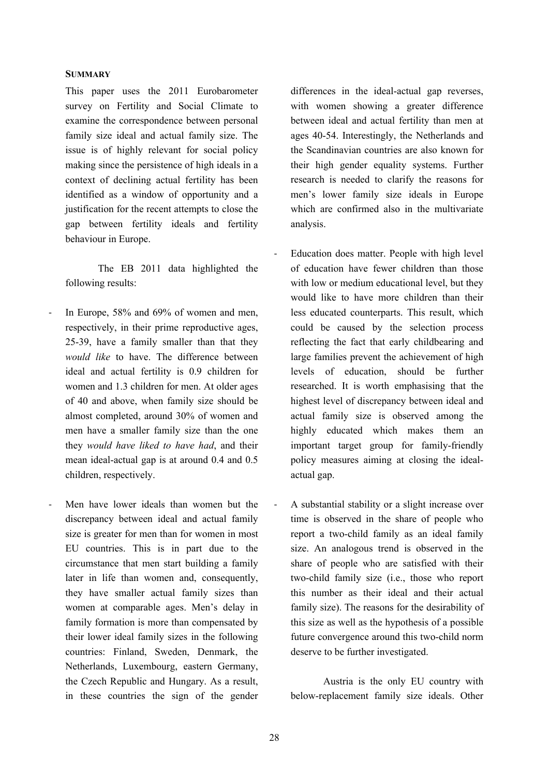#### **SUMMARY**

This paper uses the 2011 Eurobarometer survey on Fertility and Social Climate to examine the correspondence between personal family size ideal and actual family size. The issue is of highly relevant for social policy making since the persistence of high ideals in a context of declining actual fertility has been identified as a window of opportunity and a justification for the recent attempts to close the gap between fertility ideals and fertility behaviour in Europe.

The EB 2011 data highlighted the following results:

- In Europe, 58% and 69% of women and men, respectively, in their prime reproductive ages, 25-39, have a family smaller than that they *would like* to have. The difference between ideal and actual fertility is 0.9 children for women and 1.3 children for men. At older ages of 40 and above, when family size should be almost completed, around 30% of women and men have a smaller family size than the one they *would have liked to have had*, and their mean ideal-actual gap is at around 0.4 and 0.5 children, respectively.
- Men have lower ideals than women but the discrepancy between ideal and actual family size is greater for men than for women in most EU countries. This is in part due to the circumstance that men start building a family later in life than women and, consequently, they have smaller actual family sizes than women at comparable ages. Men's delay in family formation is more than compensated by their lower ideal family sizes in the following countries: Finland, Sweden, Denmark, the Netherlands, Luxembourg, eastern Germany, the Czech Republic and Hungary. As a result, in these countries the sign of the gender

differences in the ideal-actual gap reverses, with women showing a greater difference between ideal and actual fertility than men at ages 40-54. Interestingly, the Netherlands and the Scandinavian countries are also known for their high gender equality systems. Further research is needed to clarify the reasons for men's lower family size ideals in Europe which are confirmed also in the multivariate analysis.

- Education does matter. People with high level of education have fewer children than those with low or medium educational level, but they would like to have more children than their less educated counterparts. This result, which could be caused by the selection process reflecting the fact that early childbearing and large families prevent the achievement of high levels of education, should be further researched. It is worth emphasising that the highest level of discrepancy between ideal and actual family size is observed among the highly educated which makes them an important target group for family-friendly policy measures aiming at closing the idealactual gap.
- A substantial stability or a slight increase over time is observed in the share of people who report a two-child family as an ideal family size. An analogous trend is observed in the share of people who are satisfied with their two-child family size (i.e., those who report this number as their ideal and their actual family size). The reasons for the desirability of this size as well as the hypothesis of a possible future convergence around this two-child norm deserve to be further investigated.

Austria is the only EU country with below-replacement family size ideals. Other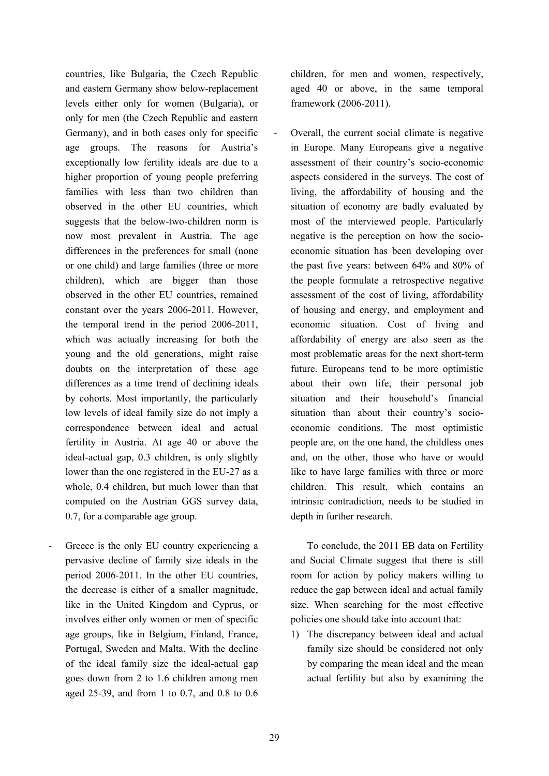countries, like Bulgaria, the Czech Republic and eastern Germany show below-replacement levels either only for women (Bulgaria), or only for men (the Czech Republic and eastern Germany), and in both cases only for specific age groups. The reasons for Austria's exceptionally low fertility ideals are due to a higher proportion of young people preferring families with less than two children than observed in the other EU countries, which suggests that the below-two-children norm is now most prevalent in Austria. The age differences in the preferences for small (none or one child) and large families (three or more children), which are bigger than those observed in the other EU countries, remained constant over the years 2006-2011. However, the temporal trend in the period 2006-2011, which was actually increasing for both the young and the old generations, might raise doubts on the interpretation of these age differences as a time trend of declining ideals by cohorts. Most importantly, the particularly low levels of ideal family size do not imply a correspondence between ideal and actual fertility in Austria. At age 40 or above the ideal-actual gap, 0.3 children, is only slightly lower than the one registered in the EU-27 as a whole, 0.4 children, but much lower than that computed on the Austrian GGS survey data, 0.7, for a comparable age group.

Greece is the only EU country experiencing a pervasive decline of family size ideals in the period 2006-2011. In the other EU countries, the decrease is either of a smaller magnitude, like in the United Kingdom and Cyprus, or involves either only women or men of specific age groups, like in Belgium, Finland, France, Portugal, Sweden and Malta. With the decline of the ideal family size the ideal-actual gap goes down from 2 to 1.6 children among men aged 25-39, and from 1 to 0.7, and 0.8 to 0.6

children, for men and women, respectively, aged 40 or above, in the same temporal framework (2006-2011).

Overall, the current social climate is negative in Europe. Many Europeans give a negative assessment of their country's socio-economic aspects considered in the surveys. The cost of living, the affordability of housing and the situation of economy are badly evaluated by most of the interviewed people. Particularly negative is the perception on how the socioeconomic situation has been developing over the past five years: between 64% and 80% of the people formulate a retrospective negative assessment of the cost of living, affordability of housing and energy, and employment and economic situation. Cost of living and affordability of energy are also seen as the most problematic areas for the next short-term future. Europeans tend to be more optimistic about their own life, their personal job situation and their household's financial situation than about their country's socioeconomic conditions. The most optimistic people are, on the one hand, the childless ones and, on the other, those who have or would like to have large families with three or more children. This result, which contains an intrinsic contradiction, needs to be studied in depth in further research.

To conclude, the 2011 EB data on Fertility and Social Climate suggest that there is still room for action by policy makers willing to reduce the gap between ideal and actual family size. When searching for the most effective policies one should take into account that:

1) The discrepancy between ideal and actual family size should be considered not only by comparing the mean ideal and the mean actual fertility but also by examining the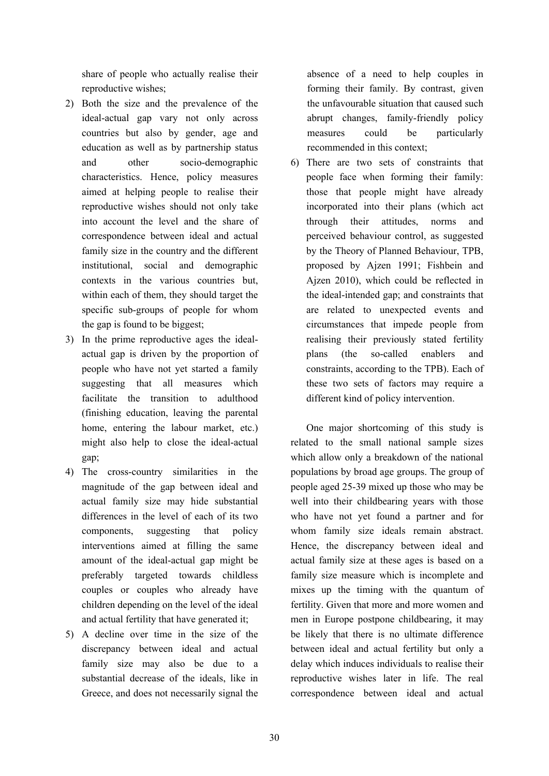share of people who actually realise their reproductive wishes;

- 2) Both the size and the prevalence of the ideal-actual gap vary not only across countries but also by gender, age and education as well as by partnership status and other socio-demographic characteristics. Hence, policy measures aimed at helping people to realise their reproductive wishes should not only take into account the level and the share of correspondence between ideal and actual family size in the country and the different institutional, social and demographic contexts in the various countries but, within each of them, they should target the specific sub-groups of people for whom the gap is found to be biggest;
- 3) In the prime reproductive ages the idealactual gap is driven by the proportion of people who have not yet started a family suggesting that all measures which facilitate the transition to adulthood (finishing education, leaving the parental home, entering the labour market, etc.) might also help to close the ideal-actual gap;
- 4) The cross-country similarities in the magnitude of the gap between ideal and actual family size may hide substantial differences in the level of each of its two components, suggesting that policy interventions aimed at filling the same amount of the ideal-actual gap might be preferably targeted towards childless couples or couples who already have children depending on the level of the ideal and actual fertility that have generated it;
- 5) A decline over time in the size of the discrepancy between ideal and actual family size may also be due to a substantial decrease of the ideals, like in Greece, and does not necessarily signal the

absence of a need to help couples in forming their family. By contrast, given the unfavourable situation that caused such abrupt changes, family-friendly policy measures could be particularly recommended in this context;

6) There are two sets of constraints that people face when forming their family: those that people might have already incorporated into their plans (which act through their attitudes, norms and perceived behaviour control, as suggested by the Theory of Planned Behaviour, TPB, proposed by Ajzen 1991; Fishbein and Ajzen 2010), which could be reflected in the ideal-intended gap; and constraints that are related to unexpected events and circumstances that impede people from realising their previously stated fertility plans (the so-called enablers and constraints, according to the TPB). Each of these two sets of factors may require a different kind of policy intervention.

One major shortcoming of this study is related to the small national sample sizes which allow only a breakdown of the national populations by broad age groups. The group of people aged 25-39 mixed up those who may be well into their childbearing years with those who have not yet found a partner and for whom family size ideals remain abstract. Hence, the discrepancy between ideal and actual family size at these ages is based on a family size measure which is incomplete and mixes up the timing with the quantum of fertility. Given that more and more women and men in Europe postpone childbearing, it may be likely that there is no ultimate difference between ideal and actual fertility but only a delay which induces individuals to realise their reproductive wishes later in life. The real correspondence between ideal and actual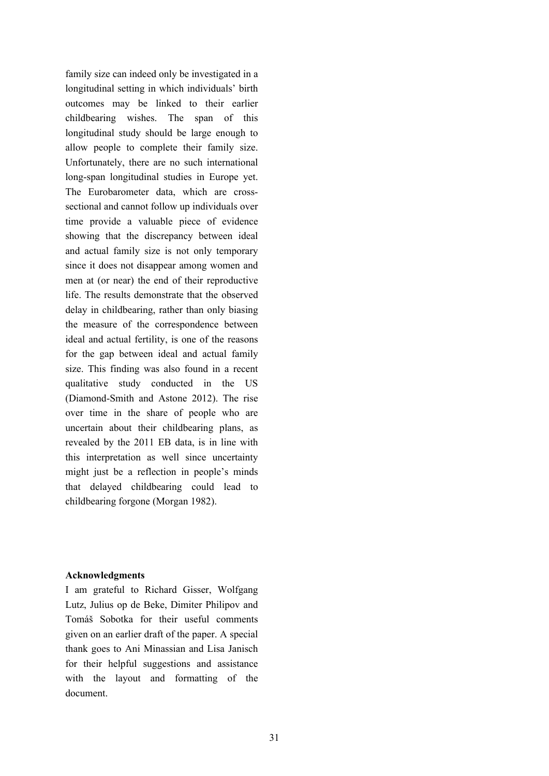family size can indeed only be investigated in a longitudinal setting in which individuals' birth outcomes may be linked to their earlier childbearing wishes. The span of this longitudinal study should be large enough to allow people to complete their family size. Unfortunately, there are no such international long-span longitudinal studies in Europe yet. The Eurobarometer data, which are crosssectional and cannot follow up individuals over time provide a valuable piece of evidence showing that the discrepancy between ideal and actual family size is not only temporary since it does not disappear among women and men at (or near) the end of their reproductive life. The results demonstrate that the observed delay in childbearing, rather than only biasing the measure of the correspondence between ideal and actual fertility, is one of the reasons for the gap between ideal and actual family size. This finding was also found in a recent qualitative study conducted in the US (Diamond-Smith and Astone 2012). The rise over time in the share of people who are uncertain about their childbearing plans, as revealed by the 2011 EB data, is in line with this interpretation as well since uncertainty might just be a reflection in people's minds that delayed childbearing could lead to childbearing forgone (Morgan 1982).

#### **Acknowledgments**

I am grateful to Richard Gisser, Wolfgang Lutz, Julius op de Beke, Dimiter Philipov and Tomáš Sobotka for their useful comments given on an earlier draft of the paper. A special thank goes to Ani Minassian and Lisa Janisch for their helpful suggestions and assistance with the layout and formatting of the document.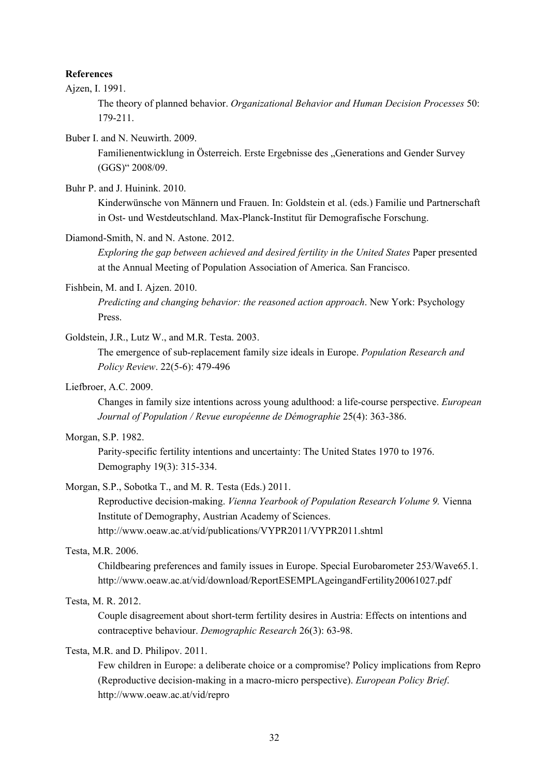#### **References**

Ajzen, I. 1991.

The theory of planned behavior. *Organizational Behavior and Human Decision Processes* 50: 179-211.

Buber I. and N. Neuwirth. 2009.

Familienentwicklung in Österreich. Erste Ergebnisse des "Generations and Gender Survey (GGS)" 2008/09.

Buhr P. and J. Huinink. 2010.

Kinderwünsche von Männern und Frauen. In: Goldstein et al. (eds.) Familie und Partnerschaft in Ost- und Westdeutschland. Max-Planck-Institut für Demografische Forschung.

Diamond-Smith, N. and N. Astone. 2012.

*Exploring the gap between achieved and desired fertility in the United States Paper presented* at the Annual Meeting of Population Association of America. San Francisco.

### Fishbein, M. and I. Ajzen. 2010.

*Predicting and changing behavior: the reasoned action approach*. New York: Psychology Press.

### Goldstein, J.R., Lutz W., and M.R. Testa. 2003.

The emergence of sub-replacement family size ideals in Europe. *Population Research and Policy Review*. 22(5-6): 479-496

Liefbroer, A.C. 2009.

Changes in family size intentions across young adulthood: a life-course perspective. *European Journal of Population / Revue européenne de Démographie* 25(4): 363-386.

### Morgan, S.P. 1982.

Parity-specific fertility intentions and uncertainty: The United States 1970 to 1976. Demography 19(3): 315-334.

Morgan, S.P., Sobotka T., and M. R. Testa (Eds.) 2011.

Reproductive decision-making. *Vienna Yearbook of Population Research Volume 9.* Vienna Institute of Demography, Austrian Academy of Sciences. http://www.oeaw.ac.at/vid/publications/VYPR2011/VYPR2011.shtml

### Testa, M.R. 2006.

Childbearing preferences and family issues in Europe. Special Eurobarometer 253/Wave65.1. http://www.oeaw.ac.at/vid/download/ReportESEMPLAgeingandFertility20061027.pdf

### Testa, M. R. 2012.

Couple disagreement about short-term fertility desires in Austria: Effects on intentions and contraceptive behaviour. *Demographic Research* 26(3): 63-98.

### Testa, M.R. and D. Philipov. 2011.

Few children in Europe: a deliberate choice or a compromise? Policy implications from Repro (Reproductive decision-making in a macro-micro perspective). *European Policy Brief*. http://www.oeaw.ac.at/vid/repro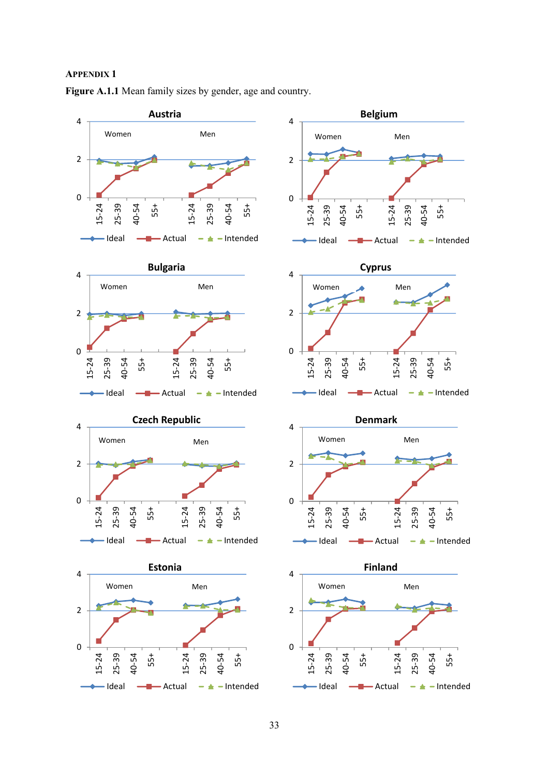# **APPENDIX 1**

Figure A.1.1 Mean family sizes by gender, age and country.

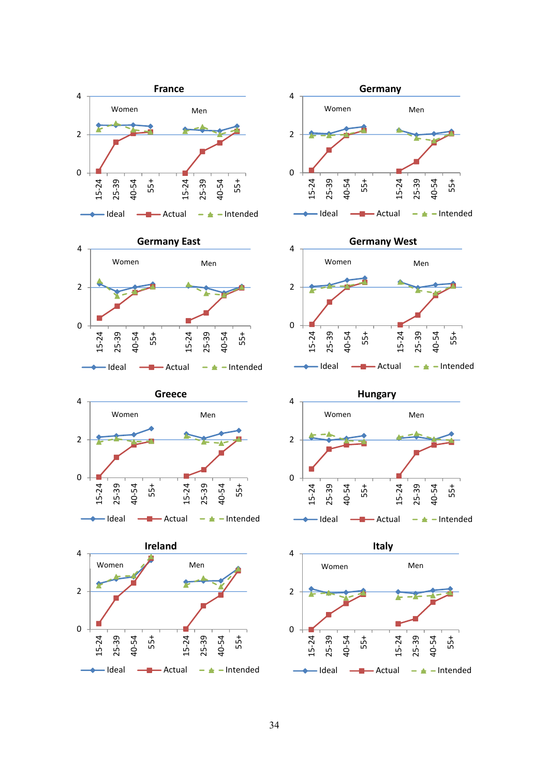













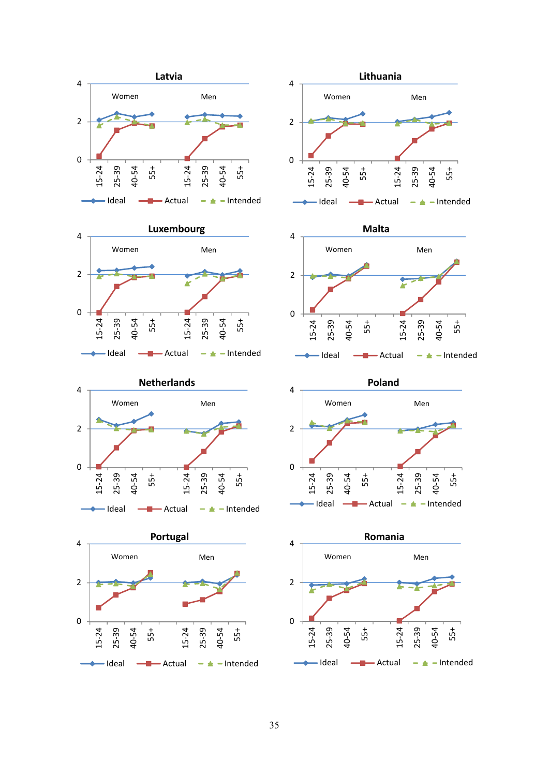













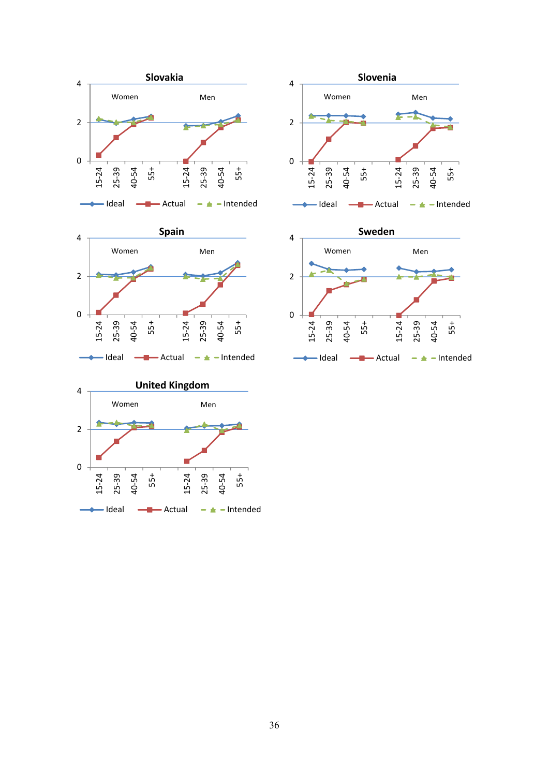







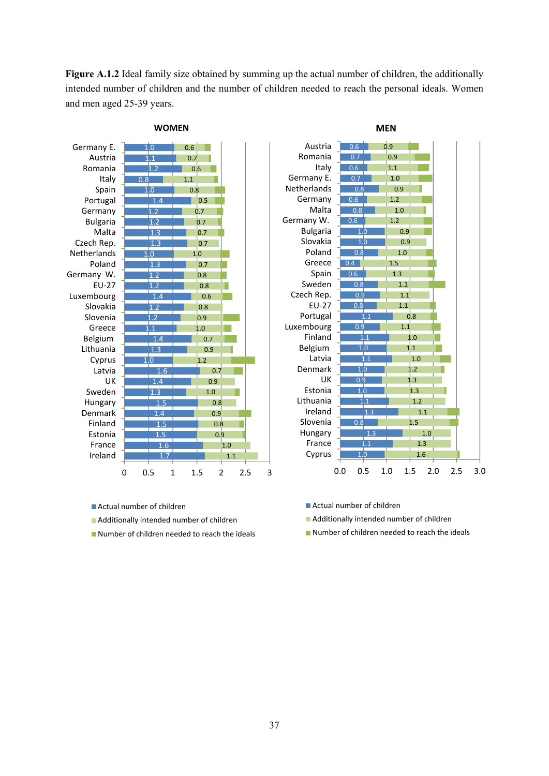**Figure A.1.2** Ideal family size obtained by summing up the actual number of children, the additionally intended number of children and the number of children needed to reach the personal ideals. Women and men aged 25-39 years.



#### **WOMEN**



■ Actual number of children

- Additionally intended number of children
- Number of children needed to reach the ideals

■ Actual number of children

Additionally intended number of children

Number of children needed to reach the ideals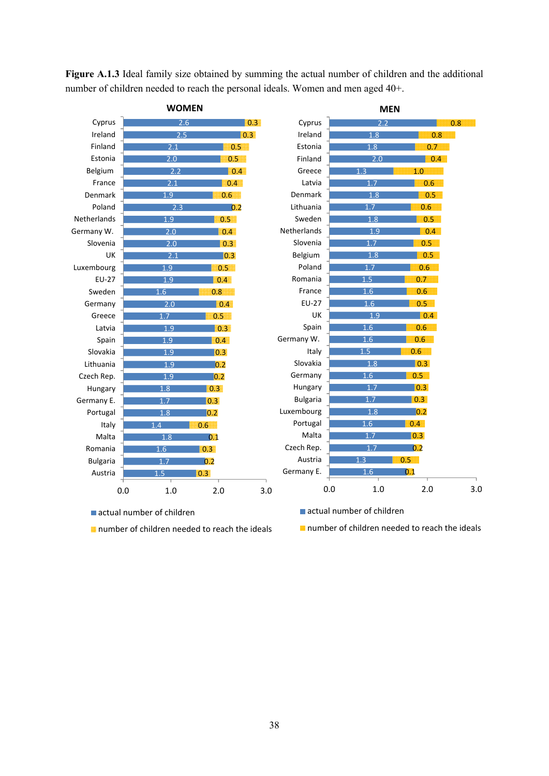

**Figure A.1.3** Ideal family size obtained by summing the actual number of children and the additional number of children needed to reach the personal ideals. Women and men aged 40+.

**number of children needed to reach the ideals** 

**number of children needed to reach the ideals**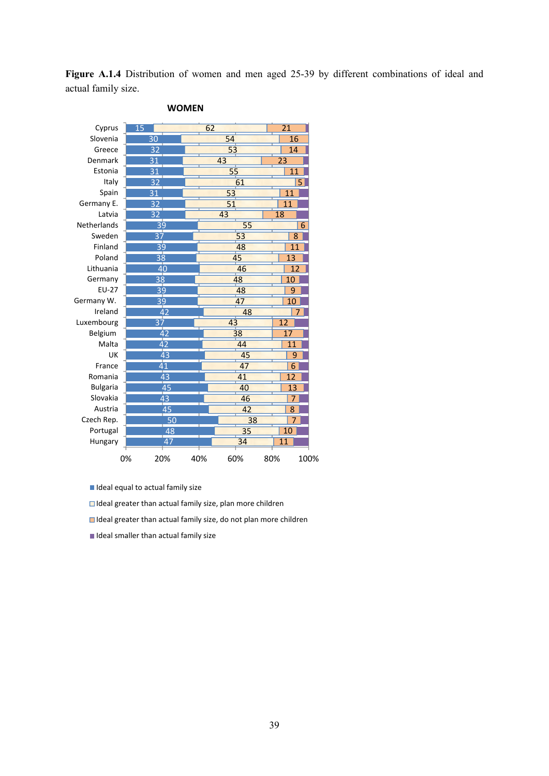**Figure A.1.4** Distribution of women and men aged 25-39 by different combinations of ideal and actual family size.



#### **WOMEN**

I Ideal equal to actual family size

□ Ideal greater than actual family size, plan more children

Ideal greater than actual family size, do not plan more children

I Ideal smaller than actual family size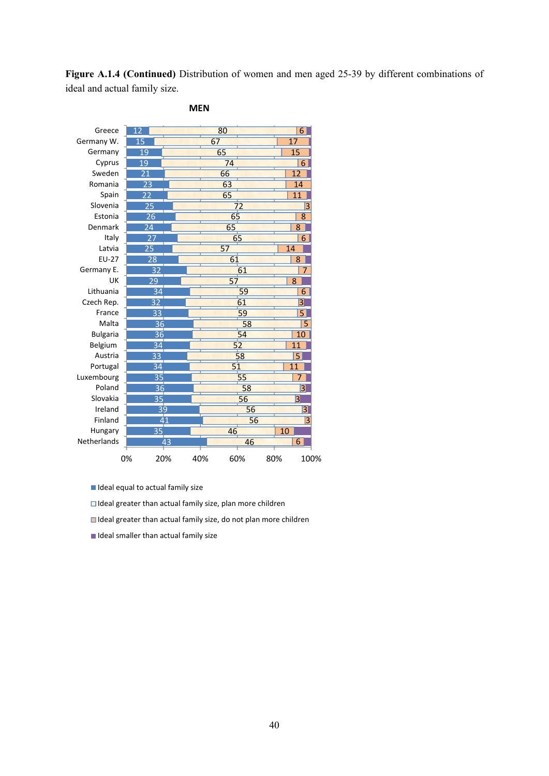**Figure A.1.4 (Continued)** Distribution of women and men aged 25-39 by different combinations of ideal and actual family size.



**MEN**

I Ideal equal to actual family size

□ Ideal greater than actual family size, plan more children

Ideal greater than actual family size, do not plan more children

I Ideal smaller than actual family size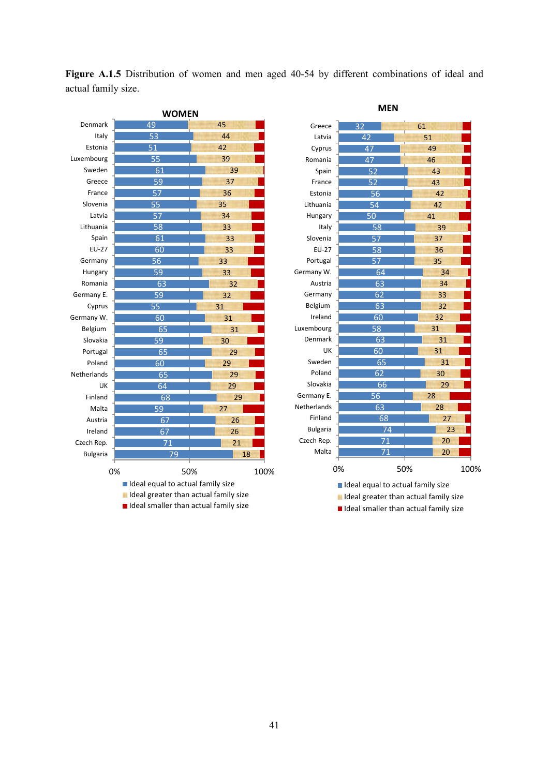

**Figure A.1.5** Distribution of women and men aged 40-54 by different combinations of ideal and actual family size.



 

**MEN**

 

**I**I Ideal greater than actual family size

I Ideal smaller than actual family size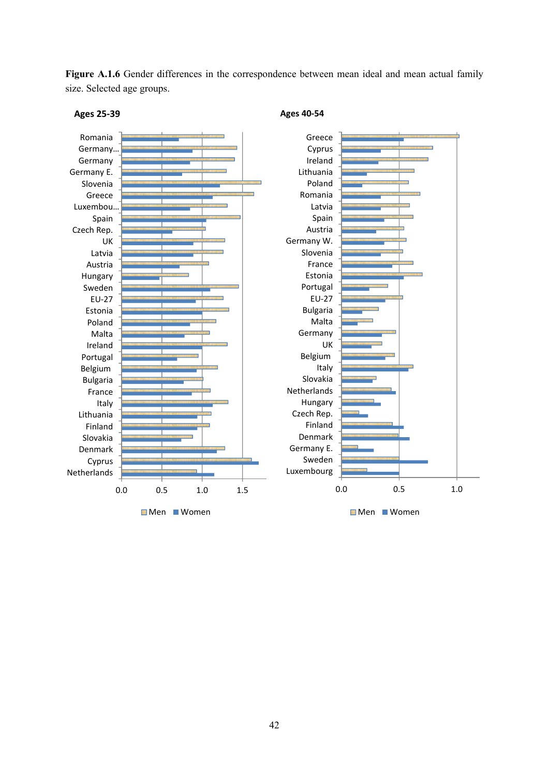**Figure A.1.6** Gender differences in the correspondence between mean ideal and mean actual family size. Selected age groups.



#### **Ages 25-39**

#### **Ages 40-54**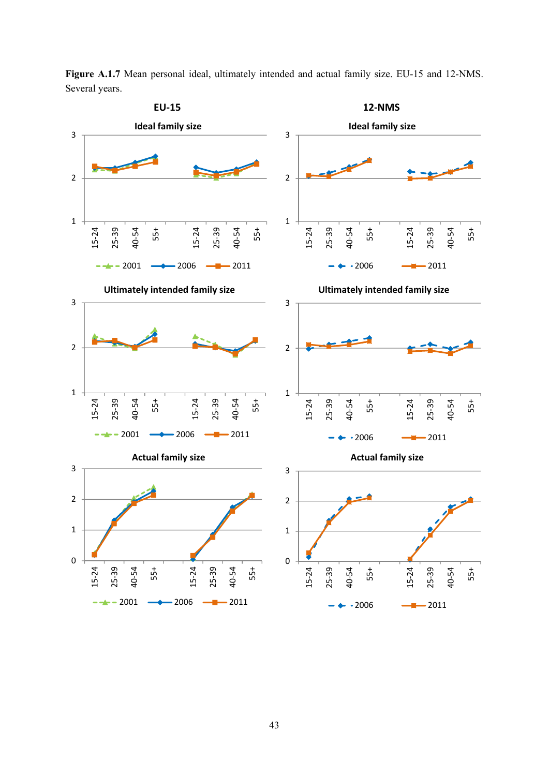

**Figure A.1.7** Mean personal ideal, ultimately intended and actual family size. EU-15 and 12-NMS. Several years.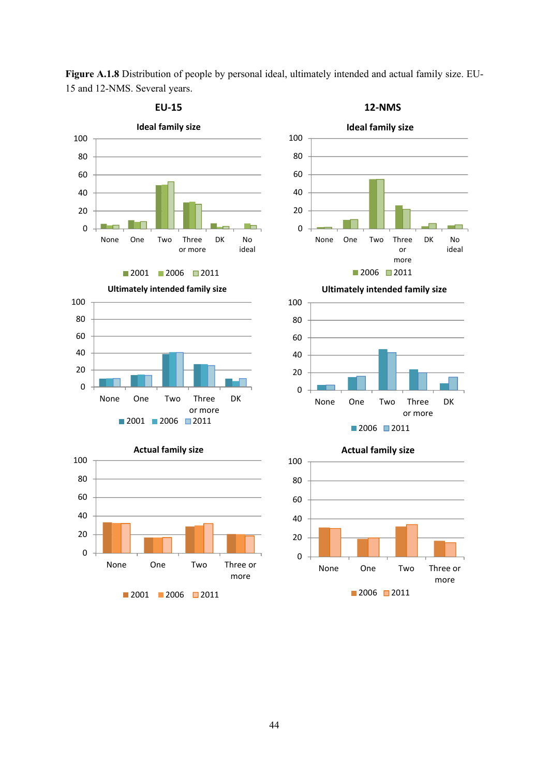

**Figure A.1.8** Distribution of people by personal ideal, ultimately intended and actual family size. EU-15 and 12-NMS. Several years.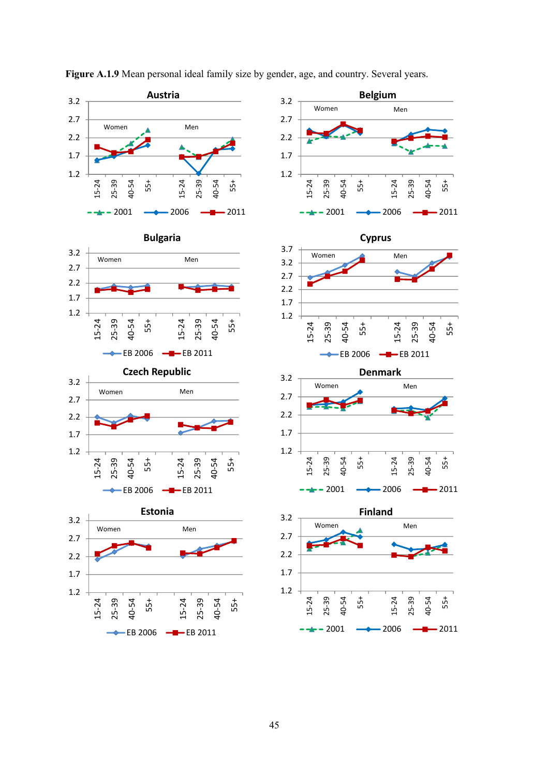

**Figure A.1.9** Mean personal ideal family size by gender, age, and country. Several years.



**Belgium**

Women Men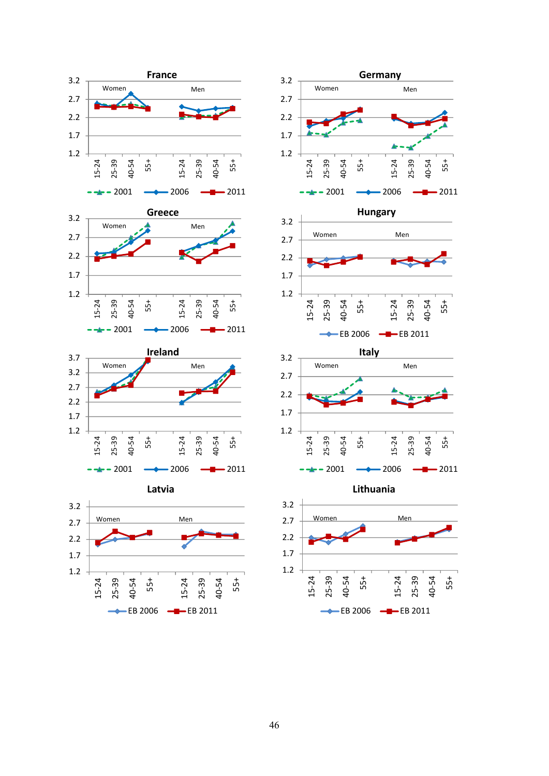

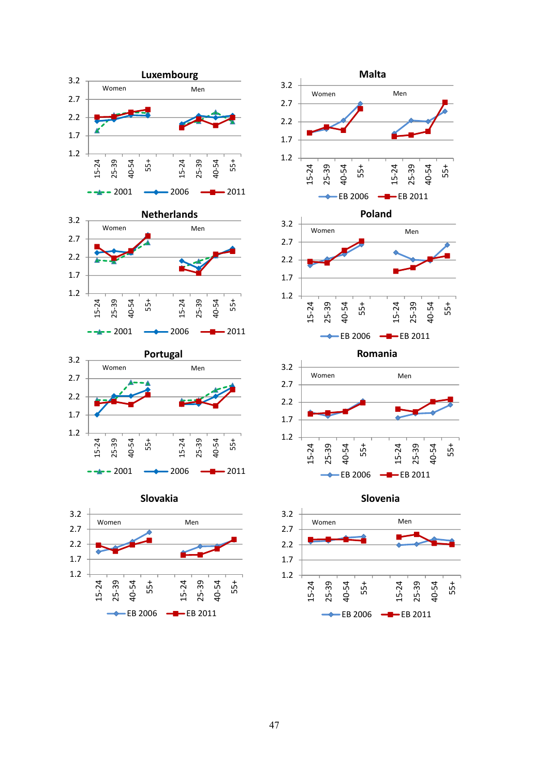









**Romania**







47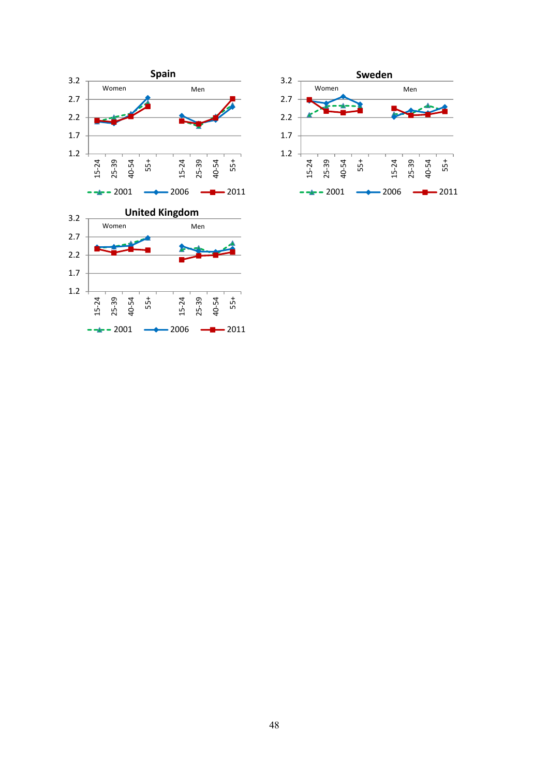



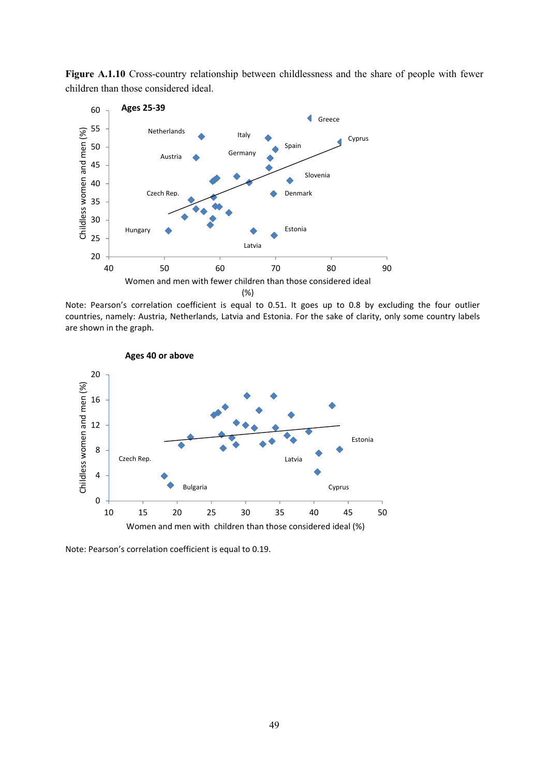



Note: Pearson's correlation coefficient is equal to 0.51. It goes up to 0.8 by excluding the four outlier countries, namely: Austria, Netherlands, Latvia and Estonia. For the sake of clarity, only some country labels are shown in the graph.



Note: Pearson's correlation coefficient is equal to 0.19.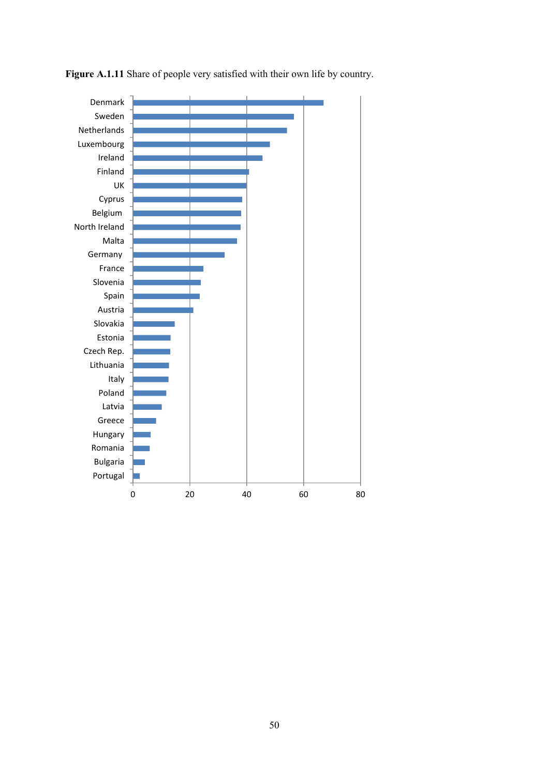

**Figure A.1.11** Share of people very satisfied with their own life by country.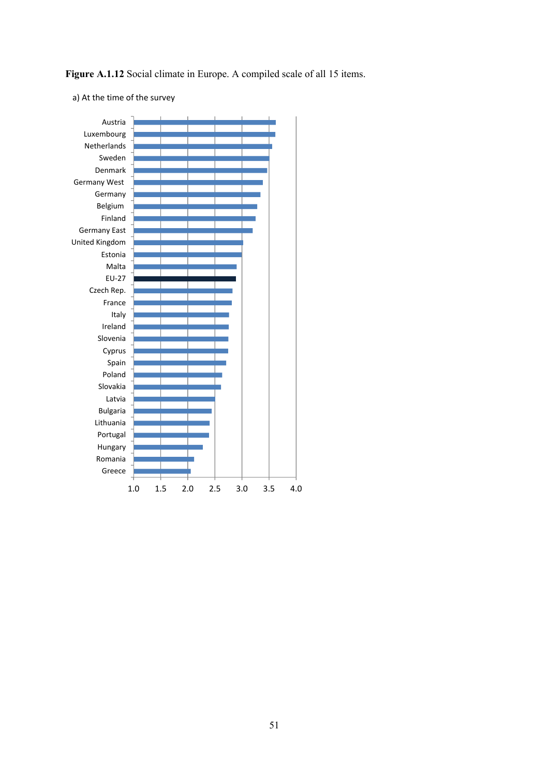Figure A.1.12 Social climate in Europe. A compiled scale of all 15 items.

a) At the time of the survey

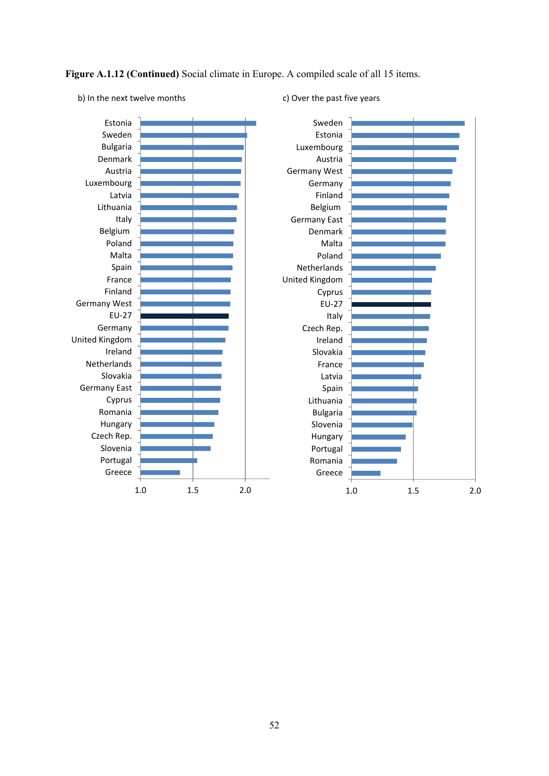

#### **Figure A.1.12 (Continued)** Social climate in Europe. A compiled scale of all 15 items.

52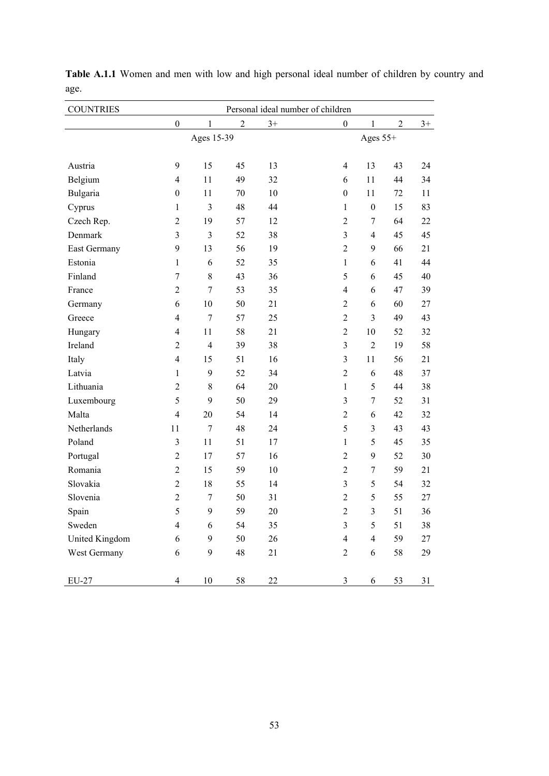| <b>COUNTRIES</b>      |                  |                |                |      | Personal ideal number of children |                  |                |      |
|-----------------------|------------------|----------------|----------------|------|-----------------------------------|------------------|----------------|------|
|                       | $\boldsymbol{0}$ | 1              | $\overline{2}$ | $3+$ | $\boldsymbol{0}$                  | 1                | $\overline{2}$ | $3+$ |
|                       |                  | Ages 15-39     |                |      |                                   | Ages 55+         |                |      |
| Austria               | 9                | 15             | 45             | 13   | $\overline{4}$                    | 13               | 43             | 24   |
| Belgium               | $\overline{4}$   | 11             | 49             | 32   | 6                                 | 11               | 44             | 34   |
| Bulgaria              | $\boldsymbol{0}$ | 11             | 70             | 10   | $\boldsymbol{0}$                  | 11               | 72             | 11   |
| Cyprus                | $\mathbf{1}$     | $\overline{3}$ | 48             | 44   | 1                                 | $\boldsymbol{0}$ | 15             | 83   |
| Czech Rep.            | $\overline{2}$   | 19             | 57             | 12   | $\overline{2}$                    | 7                | 64             | 22   |
| Denmark               | $\mathfrak{Z}$   | $\overline{3}$ | 52             | 38   | $\mathfrak{Z}$                    | $\overline{4}$   | 45             | 45   |
| East Germany          | 9                | 13             | 56             | 19   | $\overline{2}$                    | 9                | 66             | 21   |
| Estonia               | $\mathbf{1}$     | 6              | 52             | 35   | $\mathbf{1}$                      | 6                | 41             | 44   |
| Finland               | $\boldsymbol{7}$ | $8\,$          | 43             | 36   | 5                                 | 6                | 45             | 40   |
| France                | $\overline{2}$   | $\tau$         | 53             | 35   | $\overline{4}$                    | 6                | 47             | 39   |
| Germany               | 6                | 10             | 50             | 21   | $\overline{2}$                    | 6                | 60             | 27   |
| Greece                | $\overline{4}$   | $\tau$         | 57             | 25   | $\overline{2}$                    | 3                | 49             | 43   |
| Hungary               | $\overline{4}$   | 11             | 58             | 21   | $\overline{2}$                    | 10               | 52             | 32   |
| Ireland               | $\overline{2}$   | $\overline{4}$ | 39             | 38   | $\mathfrak{Z}$                    | $\overline{2}$   | 19             | 58   |
| Italy                 | $\overline{4}$   | 15             | 51             | 16   | $\mathfrak{Z}$                    | 11               | 56             | 21   |
| Latvia                | $\mathbf{1}$     | 9              | 52             | 34   | $\overline{2}$                    | 6                | 48             | 37   |
| Lithuania             | $\overline{2}$   | $\,$ 8 $\,$    | 64             | 20   | $\mathbf{1}$                      | 5                | 44             | 38   |
| Luxembourg            | 5                | 9              | 50             | 29   | $\mathfrak{Z}$                    | $\overline{7}$   | 52             | 31   |
| Malta                 | $\overline{4}$   | 20             | 54             | 14   | $\overline{2}$                    | 6                | 42             | 32   |
| Netherlands           | 11               | $\tau$         | 48             | 24   | 5                                 | 3                | 43             | 43   |
| Poland                | $\mathfrak{Z}$   | 11             | 51             | 17   | $\mathbf{1}$                      | 5                | 45             | 35   |
| Portugal              | $\overline{2}$   | 17             | 57             | 16   | $\overline{2}$                    | 9                | 52             | 30   |
| Romania               | $\overline{2}$   | 15             | 59             | 10   | $\overline{2}$                    | 7                | 59             | 21   |
| Slovakia              | $\overline{2}$   | 18             | 55             | 14   | $\mathfrak{Z}$                    | 5                | 54             | 32   |
| Slovenia              | $\overline{2}$   | $\overline{7}$ | 50             | 31   | $\overline{2}$                    | 5                | 55             | 27   |
| Spain                 | 5                | 9              | 59             | 20   | $\sqrt{2}$                        | $\mathfrak{Z}$   | 51             | 36   |
| Sweden                | $\overline{4}$   | 6              | 54             | 35   | 3                                 | 5                | 51             | 38   |
| <b>United Kingdom</b> | 6                | 9              | 50             | 26   | $\overline{4}$                    | $\overline{4}$   | 59             | 27   |
| West Germany          | $\sqrt{6}$       | 9              | 48             | 21   | $\overline{2}$                    | 6                | 58             | 29   |
| EU-27                 | $\overline{4}$   | $10\,$         | 58             | 22   | $\mathfrak{Z}$                    | 6                | 53             | 31   |

**Table A.1.1** Women and men with low and high personal ideal number of children by country and age.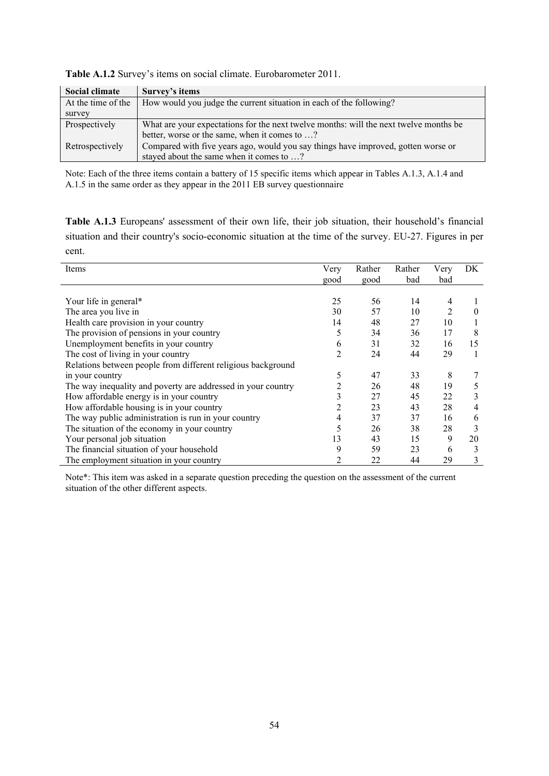| Social climate     | Survey's items                                                                        |
|--------------------|---------------------------------------------------------------------------------------|
| At the time of the | How would you judge the current situation in each of the following?                   |
| survey             |                                                                                       |
| Prospectively      | What are your expectations for the next twelve months: will the next twelve months be |
|                    | better, worse or the same, when it comes to ?                                         |
| Retrospectively    | Compared with five years ago, would you say things have improved, gotten worse or     |
|                    | stayed about the same when it comes to ?                                              |

**Table A.1.2** Survey's items on social climate. Eurobarometer 2011.

Note: Each of the three items contain a battery of 15 specific items which appear in Tables A.1.3, A.1.4 and A.1.5 in the same order as they appear in the 2011 EB survey questionnaire

**Table A.1.3** Europeans' assessment of their own life, their job situation, their household's financial situation and their country's socio-economic situation at the time of the survey. EU-27. Figures in per cent.

| Items                                                        | Very | Rather | Rather | Very | DK |
|--------------------------------------------------------------|------|--------|--------|------|----|
|                                                              | good | good   | bad    | bad  |    |
|                                                              |      |        |        |      |    |
| Your life in general*                                        | 25   | 56     | 14     | 4    |    |
| The area you live in                                         | 30   | 57     | 10     | 2    | 0  |
| Health care provision in your country                        | 14   | 48     | 27     | 10   |    |
| The provision of pensions in your country                    |      | 34     | 36     | 17   | 8  |
| Unemployment benefits in your country                        | 6    | 31     | 32     | 16   | 15 |
| The cost of living in your country                           | 2    | 24     | 44     | 29   |    |
| Relations between people from different religious background |      |        |        |      |    |
| in your country                                              | 5    | 47     | 33     | 8    |    |
| The way inequality and poverty are addressed in your country |      | 26     | 48     | 19   |    |
| How affordable energy is in your country                     |      | 27     | 45     | 22   |    |
| How affordable housing is in your country                    |      | 23     | 43     | 28   | 4  |
| The way public administration is run in your country         | 4    | 37     | 37     | 16   | 6  |
| The situation of the economy in your country                 |      | 26     | 38     | 28   |    |
| Your personal job situation                                  | 13   | 43     | 15     | 9    | 20 |
| The financial situation of your household                    | 9    | 59     | 23     | 6    | 3  |
| The employment situation in your country                     |      | 22     | 44     | 29   |    |

Note\*: This item was asked in a separate question preceding the question on the assessment of the current situation of the other different aspects.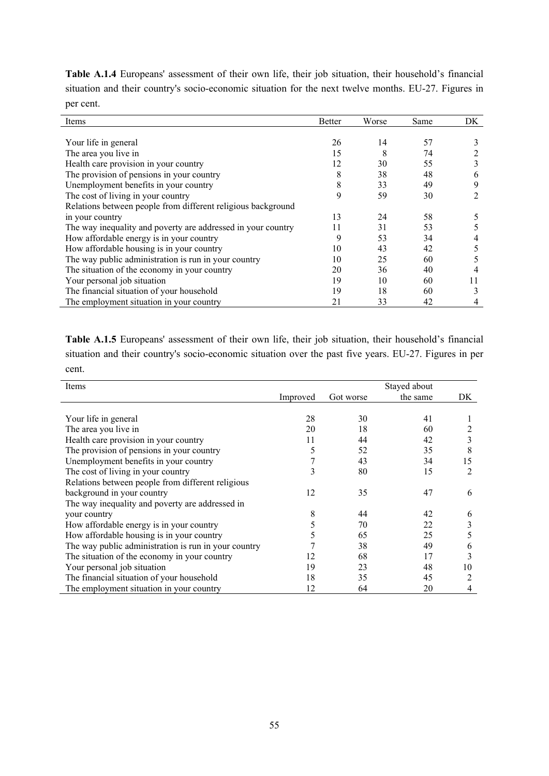**Table A.1.4** Europeans' assessment of their own life, their job situation, their household's financial situation and their country's socio-economic situation for the next twelve months. EU-27. Figures in per cent.

| Items                                                        | <b>Better</b> | Worse | Same | DK |
|--------------------------------------------------------------|---------------|-------|------|----|
|                                                              |               |       |      |    |
| Your life in general                                         | 26            | 14    | 57   |    |
| The area you live in                                         | 15            | 8     | 74   |    |
| Health care provision in your country                        | 12            | 30    | 55   |    |
| The provision of pensions in your country                    | 8             | 38    | 48   | 6  |
| Unemployment benefits in your country                        | 8             | 33    | 49   | 9  |
| The cost of living in your country                           | 9             | 59    | 30   | 2  |
| Relations between people from different religious background |               |       |      |    |
| in your country                                              | 13            | 24    | 58   |    |
| The way inequality and poverty are addressed in your country | 11            | 31    | 53   |    |
| How affordable energy is in your country                     | 9             | 53    | 34   |    |
| How affordable housing is in your country                    | 10            | 43    | 42   |    |
| The way public administration is run in your country         | 10            | 25    | 60   |    |
| The situation of the economy in your country                 | 20            | 36    | 40   |    |
| Your personal job situation                                  | 19            | 10    | 60   | 11 |
| The financial situation of your household                    | 19            | 18    | 60   |    |
| The employment situation in your country                     | 21            | 33    | 42   |    |

**Table A.1.5** Europeans' assessment of their own life, their job situation, their household's financial situation and their country's socio-economic situation over the past five years. EU-27. Figures in per cent.

| Items                                                |          |           | Stayed about |    |
|------------------------------------------------------|----------|-----------|--------------|----|
|                                                      |          |           |              |    |
|                                                      | Improved | Got worse | the same     | DK |
|                                                      |          |           |              |    |
| Your life in general                                 | 28       | 30        | 41           |    |
| The area you live in                                 | 20       | 18        | 60           |    |
| Health care provision in your country                | 11       | 44        | 42           |    |
| The provision of pensions in your country            | 5        | 52        | 35           | 8  |
| Unemployment benefits in your country                | 7        | 43        | 34           | 15 |
| The cost of living in your country                   |          | 80        | 15           | 2  |
| Relations between people from different religious    |          |           |              |    |
| background in your country                           | 12       | 35        | 47           | 6  |
| The way inequality and poverty are addressed in      |          |           |              |    |
| your country                                         | 8        | 44        | 42           | 6  |
| How affordable energy is in your country             |          | 70        | 22           |    |
| How affordable housing is in your country            |          | 65        | 25           |    |
| The way public administration is run in your country |          | 38        | 49           | 6  |
| The situation of the economy in your country         | 12       | 68        | 17           |    |
| Your personal job situation                          | 19       | 23        | 48           | 10 |
| The financial situation of your household            | 18       | 35        | 45           | 2  |
| The employment situation in your country             | 12       | 64        | 20           |    |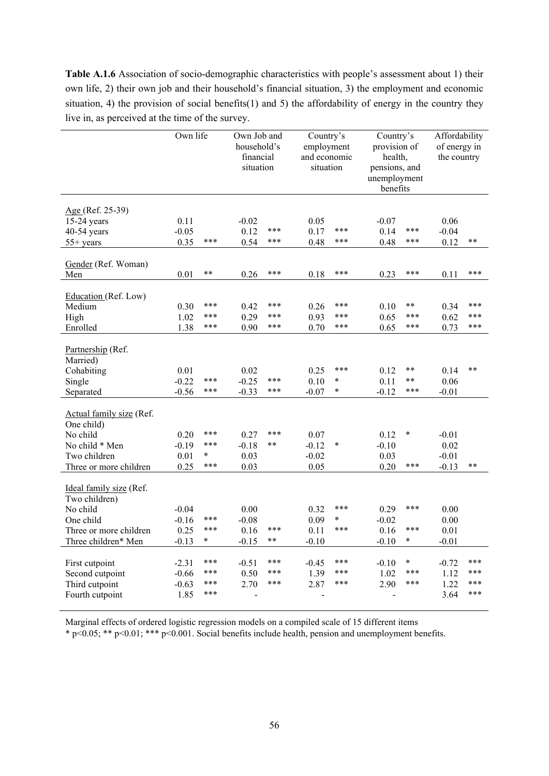**Table A.1.6** Association of socio-demographic characteristics with people's assessment about 1) their own life, 2) their own job and their household's financial situation, 3) the employment and economic situation, 4) the provision of social benefits(1) and 5) the affordability of energy in the country they live in, as perceived at the time of the survey.

|                                          | Own life        |        | Own Job and<br>household's |       | Country's<br>employment |        | Country's<br>provision of     |            | Affordability<br>of energy in |     |  |
|------------------------------------------|-----------------|--------|----------------------------|-------|-------------------------|--------|-------------------------------|------------|-------------------------------|-----|--|
|                                          |                 |        | financial                  |       | and economic            |        | health,                       |            | the country                   |     |  |
|                                          |                 |        | situation                  |       | situation               |        | pensions, and<br>unemployment |            |                               |     |  |
|                                          |                 |        |                            |       |                         |        | benefits                      |            |                               |     |  |
|                                          |                 |        |                            |       |                         |        |                               |            |                               |     |  |
| $Age (Ref. 25-39)$<br>$15-24$ years      | 0.11            |        | $-0.02$                    |       | 0.05                    |        | $-0.07$                       |            | 0.06                          |     |  |
| $40-54$ years                            | $-0.05$         |        | 0.12                       | ***   | 0.17                    | ***    | 0.14                          | ***        | $-0.04$                       |     |  |
| $55+$ years                              | 0.35            | ***    | 0.54                       | ***   | 0.48                    | ***    | 0.48                          | ***        | 0.12                          | **  |  |
|                                          |                 |        |                            |       |                         |        |                               |            |                               |     |  |
| Gender (Ref. Woman)                      |                 | $***$  |                            | ***   |                         |        |                               | ***        |                               | *** |  |
| Men                                      | 0.01            |        | 0.26                       |       | 0.18                    | $***$  | 0.23                          |            | 0.11                          |     |  |
| Education (Ref. Low)                     |                 |        |                            |       |                         |        |                               |            |                               |     |  |
| Medium                                   | 0.30            | ***    | 0.42                       | ***   | 0.26                    | ***    | 0.10                          | $***$      | 0.34                          | *** |  |
| High                                     | 1.02            | ***    | 0.29                       | ***   | 0.93                    | ***    | 0.65                          | ***        | 0.62                          | *** |  |
| Enrolled                                 | 1.38            | ***    | 0.90                       | ***   | 0.70                    | ***    | 0.65                          | ***        | 0.73                          | *** |  |
|                                          |                 |        |                            |       |                         |        |                               |            |                               |     |  |
| Partnership (Ref.                        |                 |        |                            |       |                         |        |                               |            |                               |     |  |
| Married)                                 |                 |        |                            |       |                         | ***    |                               | $\ast\ast$ |                               | **  |  |
| Cohabiting                               | 0.01<br>$-0.22$ | ***    | 0.02                       | ***   | 0.25                    | $\ast$ | 0.12                          | $***$      | 0.14                          |     |  |
| Single                                   | $-0.56$         | ***    | $-0.25$<br>$-0.33$         | ***   | 0.10<br>$-0.07$         | $\ast$ | 0.11<br>$-0.12$               | ***        | 0.06<br>$-0.01$               |     |  |
| Separated                                |                 |        |                            |       |                         |        |                               |            |                               |     |  |
| Actual family size (Ref.                 |                 |        |                            |       |                         |        |                               |            |                               |     |  |
| One child)                               |                 |        |                            |       |                         |        |                               |            |                               |     |  |
| No child                                 | 0.20            | ***    | 0.27                       | ***   | 0.07                    |        | 0.12                          | $\ast$     | $-0.01$                       |     |  |
| No child * Men                           | $-0.19$         | ***    | $-0.18$                    | $***$ | $-0.12$                 | $\ast$ | $-0.10$                       |            | 0.02                          |     |  |
| Two children                             | 0.01            | $\ast$ | 0.03                       |       | $-0.02$                 |        | 0.03                          |            | $-0.01$                       |     |  |
| Three or more children                   | 0.25            | ***    | 0.03                       |       | 0.05                    |        | 0.20                          | ***        | $-0.13$                       | **  |  |
|                                          |                 |        |                            |       |                         |        |                               |            |                               |     |  |
| Ideal family size (Ref.<br>Two children) |                 |        |                            |       |                         |        |                               |            |                               |     |  |
| No child                                 | $-0.04$         |        | 0.00                       |       | 0.32                    | ***    | 0.29                          | ***        | 0.00                          |     |  |
| One child                                | $-0.16$         | ***    | $-0.08$                    |       | 0.09                    | $\ast$ | $-0.02$                       |            | 0.00                          |     |  |
| Three or more children                   | 0.25            | ***    | 0.16                       | ***   | 0.11                    | ***    | 0.16                          | ***        | 0.01                          |     |  |
| Three children* Men                      | $-0.13$         | $\ast$ | $-0.15$                    | $***$ | $-0.10$                 |        | $-0.10$                       | $\ast$     | $-0.01$                       |     |  |
|                                          |                 |        |                            |       |                         |        |                               |            |                               |     |  |
| First cutpoint                           | $-2.31$         | ***    | $-0.51$                    | ***   | $-0.45$                 | ***    | $-0.10$                       | ∗          | $-0.72$                       | *** |  |
| Second cutpoint                          | $-0.66$         | ***    | 0.50                       | ***   | 1.39                    | ***    | 1.02                          | ***        | 1.12                          | *** |  |
| Third cutpoint                           | $-0.63$         | ***    | 2.70                       | ***   | 2.87                    | ***    | 2.90                          | ***        | 1.22                          | *** |  |
| Fourth cutpoint                          | 1.85            | ***    | $\overline{\phantom{0}}$   |       | $\overline{a}$          |        | $\overline{\phantom{0}}$      |            | 3.64                          | *** |  |

Marginal effects of ordered logistic regression models on a compiled scale of 15 different items

\* p<0.05; \*\* p<0.01; \*\*\* p<0.001. Social benefits include health, pension and unemployment benefits.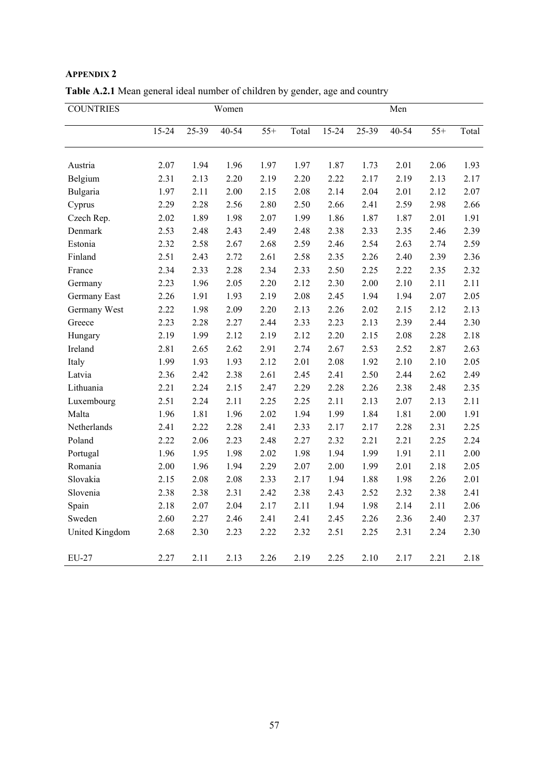#### **APPENDIX 2**

| <b>COUNTRIES</b> |       |       | Women |       |       |       |       | Men   |       |       |
|------------------|-------|-------|-------|-------|-------|-------|-------|-------|-------|-------|
|                  | 15-24 | 25-39 | 40-54 | $55+$ | Total | 15-24 | 25-39 | 40-54 | $55+$ | Total |
| Austria          | 2.07  | 1.94  | 1.96  | 1.97  | 1.97  | 1.87  | 1.73  | 2.01  | 2.06  | 1.93  |
| Belgium          | 2.31  | 2.13  | 2.20  | 2.19  | 2.20  | 2.22  | 2.17  | 2.19  | 2.13  | 2.17  |
| Bulgaria         | 1.97  | 2.11  | 2.00  | 2.15  | 2.08  | 2.14  | 2.04  | 2.01  | 2.12  | 2.07  |
| Cyprus           | 2.29  | 2.28  | 2.56  | 2.80  | 2.50  | 2.66  | 2.41  | 2.59  | 2.98  | 2.66  |
| Czech Rep.       | 2.02  | 1.89  | 1.98  | 2.07  | 1.99  | 1.86  | 1.87  | 1.87  | 2.01  | 1.91  |
| Denmark          | 2.53  | 2.48  | 2.43  | 2.49  | 2.48  | 2.38  | 2.33  | 2.35  | 2.46  | 2.39  |
| Estonia          | 2.32  | 2.58  | 2.67  | 2.68  | 2.59  | 2.46  | 2.54  | 2.63  | 2.74  | 2.59  |
| Finland          | 2.51  | 2.43  | 2.72  | 2.61  | 2.58  | 2.35  | 2.26  | 2.40  | 2.39  | 2.36  |
| France           | 2.34  | 2.33  | 2.28  | 2.34  | 2.33  | 2.50  | 2.25  | 2.22  | 2.35  | 2.32  |
| Germany          | 2.23  | 1.96  | 2.05  | 2.20  | 2.12  | 2.30  | 2.00  | 2.10  | 2.11  | 2.11  |
| Germany East     | 2.26  | 1.91  | 1.93  | 2.19  | 2.08  | 2.45  | 1.94  | 1.94  | 2.07  | 2.05  |
| Germany West     | 2.22  | 1.98  | 2.09  | 2.20  | 2.13  | 2.26  | 2.02  | 2.15  | 2.12  | 2.13  |
| Greece           | 2.23  | 2.28  | 2.27  | 2.44  | 2.33  | 2.23  | 2.13  | 2.39  | 2.44  | 2.30  |
| Hungary          | 2.19  | 1.99  | 2.12  | 2.19  | 2.12  | 2.20  | 2.15  | 2.08  | 2.28  | 2.18  |
| Ireland          | 2.81  | 2.65  | 2.62  | 2.91  | 2.74  | 2.67  | 2.53  | 2.52  | 2.87  | 2.63  |
| Italy            | 1.99  | 1.93  | 1.93  | 2.12  | 2.01  | 2.08  | 1.92  | 2.10  | 2.10  | 2.05  |
| Latvia           | 2.36  | 2.42  | 2.38  | 2.61  | 2.45  | 2.41  | 2.50  | 2.44  | 2.62  | 2.49  |
| Lithuania        | 2.21  | 2.24  | 2.15  | 2.47  | 2.29  | 2.28  | 2.26  | 2.38  | 2.48  | 2.35  |
| Luxembourg       | 2.51  | 2.24  | 2.11  | 2.25  | 2.25  | 2.11  | 2.13  | 2.07  | 2.13  | 2.11  |
| Malta            | 1.96  | 1.81  | 1.96  | 2.02  | 1.94  | 1.99  | 1.84  | 1.81  | 2.00  | 1.91  |
| Netherlands      | 2.41  | 2.22  | 2.28  | 2.41  | 2.33  | 2.17  | 2.17  | 2.28  | 2.31  | 2.25  |
| Poland           | 2.22  | 2.06  | 2.23  | 2.48  | 2.27  | 2.32  | 2.21  | 2.21  | 2.25  | 2.24  |
| Portugal         | 1.96  | 1.95  | 1.98  | 2.02  | 1.98  | 1.94  | 1.99  | 1.91  | 2.11  | 2.00  |
| Romania          | 2.00  | 1.96  | 1.94  | 2.29  | 2.07  | 2.00  | 1.99  | 2.01  | 2.18  | 2.05  |
| Slovakia         | 2.15  | 2.08  | 2.08  | 2.33  | 2.17  | 1.94  | 1.88  | 1.98  | 2.26  | 2.01  |
| Slovenia         | 2.38  | 2.38  | 2.31  | 2.42  | 2.38  | 2.43  | 2.52  | 2.32  | 2.38  | 2.41  |
| Spain            | 2.18  | 2.07  | 2.04  | 2.17  | 2.11  | 1.94  | 1.98  | 2.14  | 2.11  | 2.06  |
| Sweden           | 2.60  | 2.27  | 2.46  | 2.41  | 2.41  | 2.45  | 2.26  | 2.36  | 2.40  | 2.37  |
| United Kingdom   | 2.68  | 2.30  | 2.23  | 2.22  | 2.32  | 2.51  | 2.25  | 2.31  | 2.24  | 2.30  |
| EU-27            | 2.27  | 2.11  | 2.13  | 2.26  | 2.19  | 2.25  | 2.10  | 2.17  | 2.21  | 2.18  |

**Table A.2.1** Mean general ideal number of children by gender, age and country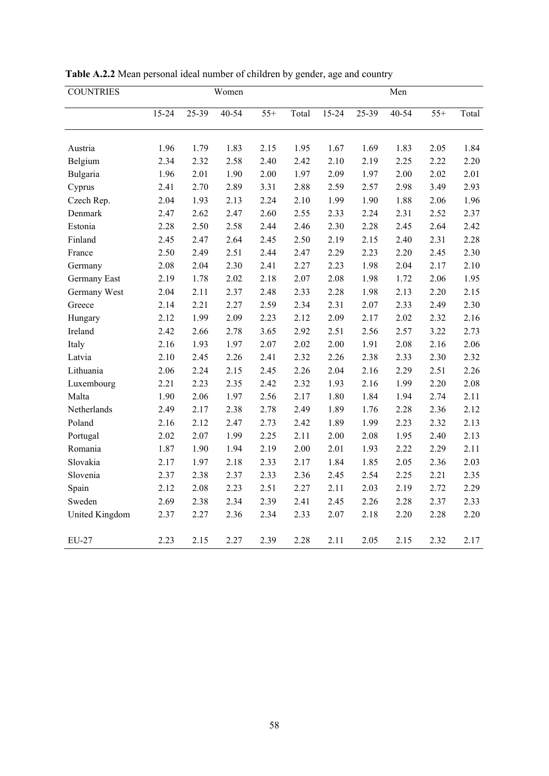| <b>COUNTRIES</b>      |       |           | Women |                 |       |           |       | Men       |       |       |
|-----------------------|-------|-----------|-------|-----------------|-------|-----------|-------|-----------|-------|-------|
|                       | 15-24 | $25 - 39$ | 40-54 | $\frac{1}{55+}$ | Total | $15 - 24$ | 25-39 | $40 - 54$ | $55+$ | Total |
| Austria               | 1.96  | 1.79      | 1.83  | 2.15            | 1.95  | 1.67      | 1.69  | 1.83      | 2.05  | 1.84  |
| Belgium               | 2.34  | 2.32      | 2.58  | 2.40            | 2.42  | 2.10      | 2.19  | 2.25      | 2.22  | 2.20  |
| Bulgaria              | 1.96  | 2.01      | 1.90  | 2.00            | 1.97  | 2.09      | 1.97  | 2.00      | 2.02  | 2.01  |
| Cyprus                | 2.41  | 2.70      | 2.89  | 3.31            | 2.88  | 2.59      | 2.57  | 2.98      | 3.49  | 2.93  |
| Czech Rep.            | 2.04  | 1.93      | 2.13  | 2.24            | 2.10  | 1.99      | 1.90  | 1.88      | 2.06  | 1.96  |
| Denmark               | 2.47  | 2.62      | 2.47  | 2.60            | 2.55  | 2.33      | 2.24  | 2.31      | 2.52  | 2.37  |
| Estonia               | 2.28  | 2.50      | 2.58  | 2.44            | 2.46  | 2.30      | 2.28  | 2.45      | 2.64  | 2.42  |
| Finland               | 2.45  | 2.47      | 2.64  | 2.45            | 2.50  | 2.19      | 2.15  | 2.40      | 2.31  | 2.28  |
| France                | 2.50  | 2.49      | 2.51  | 2.44            | 2.47  | 2.29      | 2.23  | 2.20      | 2.45  | 2.30  |
| Germany               | 2.08  | 2.04      | 2.30  | 2.41            | 2.27  | 2.23      | 1.98  | 2.04      | 2.17  | 2.10  |
| Germany East          | 2.19  | 1.78      | 2.02  | 2.18            | 2.07  | 2.08      | 1.98  | 1.72      | 2.06  | 1.95  |
| Germany West          | 2.04  | 2.11      | 2.37  | 2.48            | 2.33  | 2.28      | 1.98  | 2.13      | 2.20  | 2.15  |
| Greece                | 2.14  | 2.21      | 2.27  | 2.59            | 2.34  | 2.31      | 2.07  | 2.33      | 2.49  | 2.30  |
| Hungary               | 2.12  | 1.99      | 2.09  | 2.23            | 2.12  | 2.09      | 2.17  | 2.02      | 2.32  | 2.16  |
| Ireland               | 2.42  | 2.66      | 2.78  | 3.65            | 2.92  | 2.51      | 2.56  | 2.57      | 3.22  | 2.73  |
| Italy                 | 2.16  | 1.93      | 1.97  | 2.07            | 2.02  | 2.00      | 1.91  | 2.08      | 2.16  | 2.06  |
| Latvia                | 2.10  | 2.45      | 2.26  | 2.41            | 2.32  | 2.26      | 2.38  | 2.33      | 2.30  | 2.32  |
| Lithuania             | 2.06  | 2.24      | 2.15  | 2.45            | 2.26  | 2.04      | 2.16  | 2.29      | 2.51  | 2.26  |
| Luxembourg            | 2.21  | 2.23      | 2.35  | 2.42            | 2.32  | 1.93      | 2.16  | 1.99      | 2.20  | 2.08  |
| Malta                 | 1.90  | 2.06      | 1.97  | 2.56            | 2.17  | 1.80      | 1.84  | 1.94      | 2.74  | 2.11  |
| Netherlands           | 2.49  | 2.17      | 2.38  | 2.78            | 2.49  | 1.89      | 1.76  | 2.28      | 2.36  | 2.12  |
| Poland                | 2.16  | 2.12      | 2.47  | 2.73            | 2.42  | 1.89      | 1.99  | 2.23      | 2.32  | 2.13  |
| Portugal              | 2.02  | 2.07      | 1.99  | 2.25            | 2.11  | 2.00      | 2.08  | 1.95      | 2.40  | 2.13  |
| Romania               | 1.87  | 1.90      | 1.94  | 2.19            | 2.00  | 2.01      | 1.93  | 2.22      | 2.29  | 2.11  |
| Slovakia              | 2.17  | 1.97      | 2.18  | 2.33            | 2.17  | 1.84      | 1.85  | 2.05      | 2.36  | 2.03  |
| Slovenia              | 2.37  | 2.38      | 2.37  | 2.33            | 2.36  | 2.45      | 2.54  | 2.25      | 2.21  | 2.35  |
| Spain                 | 2.12  | 2.08      | 2.23  | 2.51            | 2.27  | 2.11      | 2.03  | 2.19      | 2.72  | 2.29  |
| Sweden                | 2.69  | 2.38      | 2.34  | 2.39            | 2.41  | 2.45      | 2.26  | 2.28      | 2.37  | 2.33  |
| <b>United Kingdom</b> | 2.37  | 2.27      | 2.36  | 2.34            | 2.33  | 2.07      | 2.18  | 2.20      | 2.28  | 2.20  |
| EU-27                 | 2.23  | 2.15      | 2.27  | 2.39            | 2.28  | 2.11      | 2.05  | 2.15      | 2.32  | 2.17  |

**Table A.2.2** Mean personal ideal number of children by gender, age and country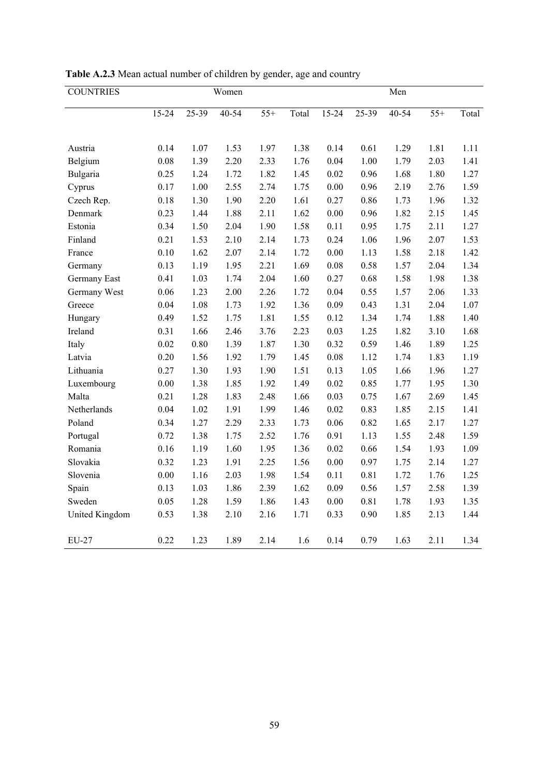| <b>COUNTRIES</b> |       |       | Women |       |       |          |       | Men   |       |       |
|------------------|-------|-------|-------|-------|-------|----------|-------|-------|-------|-------|
|                  | 15-24 | 25-39 | 40-54 | $55+$ | Total | 15-24    | 25-39 | 40-54 | $55+$ | Total |
| Austria          | 0.14  | 1.07  | 1.53  | 1.97  | 1.38  | 0.14     | 0.61  | 1.29  | 1.81  | 1.11  |
| Belgium          | 0.08  | 1.39  | 2.20  | 2.33  | 1.76  | 0.04     | 1.00  | 1.79  | 2.03  | 1.41  |
| Bulgaria         | 0.25  | 1.24  | 1.72  | 1.82  | 1.45  | 0.02     | 0.96  | 1.68  | 1.80  | 1.27  |
| Cyprus           | 0.17  | 1.00  | 2.55  | 2.74  | 1.75  | 0.00     | 0.96  | 2.19  | 2.76  | 1.59  |
| Czech Rep.       | 0.18  | 1.30  | 1.90  | 2.20  | 1.61  | 0.27     | 0.86  | 1.73  | 1.96  | 1.32  |
| Denmark          | 0.23  | 1.44  | 1.88  | 2.11  | 1.62  | 0.00     | 0.96  | 1.82  | 2.15  | 1.45  |
| Estonia          | 0.34  | 1.50  | 2.04  | 1.90  | 1.58  | 0.11     | 0.95  | 1.75  | 2.11  | 1.27  |
| Finland          | 0.21  | 1.53  | 2.10  | 2.14  | 1.73  | 0.24     | 1.06  | 1.96  | 2.07  | 1.53  |
| France           | 0.10  | 1.62  | 2.07  | 2.14  | 1.72  | $0.00\,$ | 1.13  | 1.58  | 2.18  | 1.42  |
| Germany          | 0.13  | 1.19  | 1.95  | 2.21  | 1.69  | 0.08     | 0.58  | 1.57  | 2.04  | 1.34  |
| Germany East     | 0.41  | 1.03  | 1.74  | 2.04  | 1.60  | 0.27     | 0.68  | 1.58  | 1.98  | 1.38  |
| Germany West     | 0.06  | 1.23  | 2.00  | 2.26  | 1.72  | 0.04     | 0.55  | 1.57  | 2.06  | 1.33  |
| Greece           | 0.04  | 1.08  | 1.73  | 1.92  | 1.36  | 0.09     | 0.43  | 1.31  | 2.04  | 1.07  |
| Hungary          | 0.49  | 1.52  | 1.75  | 1.81  | 1.55  | 0.12     | 1.34  | 1.74  | 1.88  | 1.40  |
| Ireland          | 0.31  | 1.66  | 2.46  | 3.76  | 2.23  | 0.03     | 1.25  | 1.82  | 3.10  | 1.68  |
| Italy            | 0.02  | 0.80  | 1.39  | 1.87  | 1.30  | 0.32     | 0.59  | 1.46  | 1.89  | 1.25  |
| Latvia           | 0.20  | 1.56  | 1.92  | 1.79  | 1.45  | 0.08     | 1.12  | 1.74  | 1.83  | 1.19  |
| Lithuania        | 0.27  | 1.30  | 1.93  | 1.90  | 1.51  | 0.13     | 1.05  | 1.66  | 1.96  | 1.27  |
| Luxembourg       | 0.00  | 1.38  | 1.85  | 1.92  | 1.49  | 0.02     | 0.85  | 1.77  | 1.95  | 1.30  |
| Malta            | 0.21  | 1.28  | 1.83  | 2.48  | 1.66  | 0.03     | 0.75  | 1.67  | 2.69  | 1.45  |
| Netherlands      | 0.04  | 1.02  | 1.91  | 1.99  | 1.46  | 0.02     | 0.83  | 1.85  | 2.15  | 1.41  |
| Poland           | 0.34  | 1.27  | 2.29  | 2.33  | 1.73  | 0.06     | 0.82  | 1.65  | 2.17  | 1.27  |
| Portugal         | 0.72  | 1.38  | 1.75  | 2.52  | 1.76  | 0.91     | 1.13  | 1.55  | 2.48  | 1.59  |
| Romania          | 0.16  | 1.19  | 1.60  | 1.95  | 1.36  | 0.02     | 0.66  | 1.54  | 1.93  | 1.09  |
| Slovakia         | 0.32  | 1.23  | 1.91  | 2.25  | 1.56  | 0.00     | 0.97  | 1.75  | 2.14  | 1.27  |
| Slovenia         | 0.00  | 1.16  | 2.03  | 1.98  | 1.54  | 0.11     | 0.81  | 1.72  | 1.76  | 1.25  |
| Spain            | 0.13  | 1.03  | 1.86  | 2.39  | 1.62  | 0.09     | 0.56  | 1.57  | 2.58  | 1.39  |
| Sweden           | 0.05  | 1.28  | 1.59  | 1.86  | 1.43  | $0.00\,$ | 0.81  | 1.78  | 1.93  | 1.35  |
| United Kingdom   | 0.53  | 1.38  | 2.10  | 2.16  | 1.71  | 0.33     | 0.90  | 1.85  | 2.13  | 1.44  |
| EU-27            | 0.22  | 1.23  | 1.89  | 2.14  | 1.6   | 0.14     | 0.79  | 1.63  | 2.11  | 1.34  |

**Table A.2.3** Mean actual number of children by gender, age and country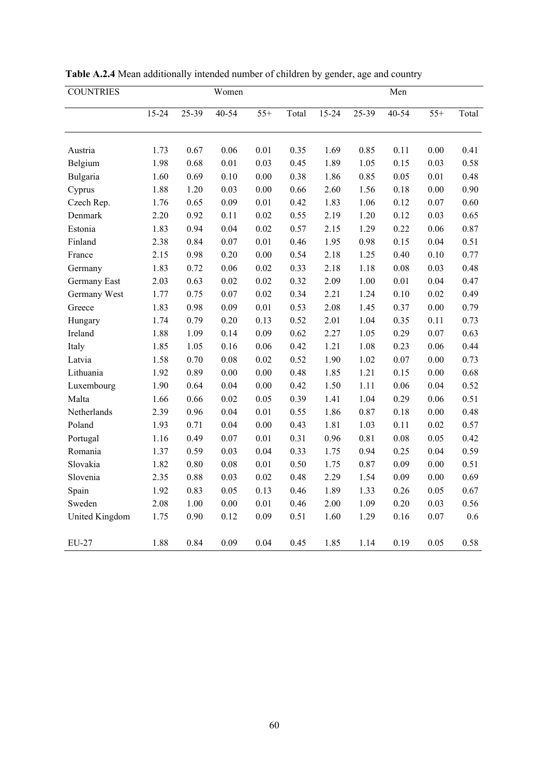| <b>COUNTRIES</b> |       |           | Women     |       |       |       |                       | Men       |       |         |
|------------------|-------|-----------|-----------|-------|-------|-------|-----------------------|-----------|-------|---------|
|                  | 15-24 | $25 - 39$ | $40 - 54$ | $55+$ | Total | 15-24 | $\frac{25-39}{25-39}$ | $40 - 54$ | $55+$ | Total   |
| Austria          | 1.73  | 0.67      | 0.06      | 0.01  | 0.35  | 1.69  | 0.85                  | 0.11      | 0.00  | 0.41    |
| Belgium          | 1.98  | 0.68      | 0.01      | 0.03  | 0.45  | 1.89  | 1.05                  | 0.15      | 0.03  | 0.58    |
| Bulgaria         | 1.60  | 0.69      | 0.10      | 0.00  | 0.38  | 1.86  | 0.85                  | 0.05      | 0.01  | 0.48    |
| Cyprus           | 1.88  | 1.20      | 0.03      | 0.00  | 0.66  | 2.60  | 1.56                  | 0.18      | 0.00  | 0.90    |
| Czech Rep.       | 1.76  | 0.65      | 0.09      | 0.01  | 0.42  | 1.83  | 1.06                  | 0.12      | 0.07  | 0.60    |
| Denmark          | 2.20  | 0.92      | 0.11      | 0.02  | 0.55  | 2.19  | 1.20                  | 0.12      | 0.03  | 0.65    |
| Estonia          | 1.83  | 0.94      | 0.04      | 0.02  | 0.57  | 2.15  | 1.29                  | 0.22      | 0.06  | 0.87    |
| Finland          | 2.38  | 0.84      | 0.07      | 0.01  | 0.46  | 1.95  | 0.98                  | 0.15      | 0.04  | 0.51    |
| France           | 2.15  | 0.98      | 0.20      | 0.00  | 0.54  | 2.18  | 1.25                  | 0.40      | 0.10  | 0.77    |
| Germany          | 1.83  | 0.72      | 0.06      | 0.02  | 0.33  | 2.18  | 1.18                  | 0.08      | 0.03  | 0.48    |
| Germany East     | 2.03  | 0.63      | 0.02      | 0.02  | 0.32  | 2.09  | 1.00                  | 0.01      | 0.04  | 0.47    |
| Germany West     | 1.77  | 0.75      | 0.07      | 0.02  | 0.34  | 2.21  | 1.24                  | 0.10      | 0.02  | 0.49    |
| Greece           | 1.83  | 0.98      | 0.09      | 0.01  | 0.53  | 2.08  | 1.45                  | 0.37      | 0.00  | 0.79    |
| Hungary          | 1.74  | 0.79      | 0.20      | 0.13  | 0.52  | 2.01  | 1.04                  | 0.35      | 0.11  | 0.73    |
| Ireland          | 1.88  | 1.09      | 0.14      | 0.09  | 0.62  | 2.27  | 1.05                  | 0.29      | 0.07  | 0.63    |
| Italy            | 1.85  | 1.05      | 0.16      | 0.06  | 0.42  | 1.21  | 1.08                  | 0.23      | 0.06  | 0.44    |
| Latvia           | 1.58  | 0.70      | 0.08      | 0.02  | 0.52  | 1.90  | 1.02                  | 0.07      | 0.00  | 0.73    |
| Lithuania        | 1.92  | 0.89      | 0.00      | 0.00  | 0.48  | 1.85  | 1.21                  | 0.15      | 0.00  | 0.68    |
| Luxembourg       | 1.90  | 0.64      | 0.04      | 0.00  | 0.42  | 1.50  | 1.11                  | 0.06      | 0.04  | 0.52    |
| Malta            | 1.66  | 0.66      | 0.02      | 0.05  | 0.39  | 1.41  | 1.04                  | 0.29      | 0.06  | 0.51    |
| Netherlands      | 2.39  | 0.96      | 0.04      | 0.01  | 0.55  | 1.86  | 0.87                  | 0.18      | 0.00  | 0.48    |
| Poland           | 1.93  | 0.71      | 0.04      | 0.00  | 0.43  | 1.81  | 1.03                  | 0.11      | 0.02  | 0.57    |
| Portugal         | 1.16  | 0.49      | 0.07      | 0.01  | 0.31  | 0.96  | 0.81                  | 0.08      | 0.05  | 0.42    |
| Romania          | 1.37  | 0.59      | 0.03      | 0.04  | 0.33  | 1.75  | 0.94                  | 0.25      | 0.04  | 0.59    |
| Slovakia         | 1.82  | 0.80      | 0.08      | 0.01  | 0.50  | 1.75  | 0.87                  | 0.09      | 0.00  | 0.51    |
| Slovenia         | 2.35  | 0.88      | 0.03      | 0.02  | 0.48  | 2.29  | 1.54                  | 0.09      | 0.00  | 0.69    |
| Spain            | 1.92  | 0.83      | 0.05      | 0.13  | 0.46  | 1.89  | 1.33                  | 0.26      | 0.05  | 0.67    |
| Sweden           | 2.08  | $1.00\,$  | $0.00\,$  | 0.01  | 0.46  | 2.00  | 1.09                  | 0.20      | 0.03  | 0.56    |
| United Kingdom   | 1.75  | 0.90      | 0.12      | 0.09  | 0.51  | 1.60  | 1.29                  | 0.16      | 0.07  | $0.6\,$ |
|                  |       |           |           |       |       |       |                       |           |       |         |
| EU-27            | 1.88  | 0.84      | 0.09      | 0.04  | 0.45  | 1.85  | 1.14                  | 0.19      | 0.05  | 0.58    |

**Table A.2.4** Mean additionally intended number of children by gender, age and country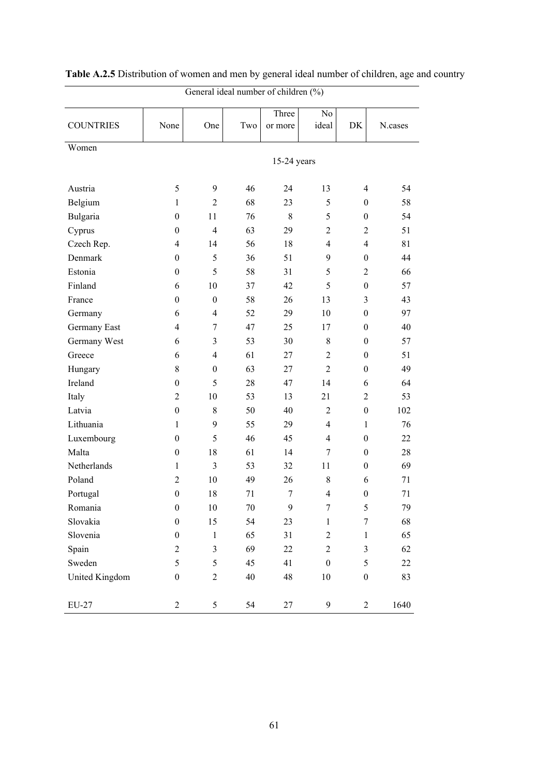| General ideal number of children (%) |                  |                         |     |               |                  |                  |         |  |  |  |
|--------------------------------------|------------------|-------------------------|-----|---------------|------------------|------------------|---------|--|--|--|
|                                      |                  |                         |     | Three         | No               |                  |         |  |  |  |
| <b>COUNTRIES</b>                     | None             | One                     | Two | or more       | ideal            | DK               | N.cases |  |  |  |
| Women                                |                  |                         |     |               |                  |                  |         |  |  |  |
|                                      |                  |                         |     | $15-24$ years |                  |                  |         |  |  |  |
| Austria                              | 5                | 9                       | 46  | 24            | 13               | $\overline{4}$   | 54      |  |  |  |
| Belgium                              | $\mathbf{1}$     | $\overline{2}$          | 68  | 23            | 5                | $\boldsymbol{0}$ | 58      |  |  |  |
| Bulgaria                             | $\boldsymbol{0}$ | 11                      | 76  | 8             | 5                | $\boldsymbol{0}$ | 54      |  |  |  |
| Cyprus                               | $\boldsymbol{0}$ | $\overline{4}$          | 63  | 29            | $\overline{2}$   | $\overline{2}$   | 51      |  |  |  |
| Czech Rep.                           | $\overline{4}$   | 14                      | 56  | 18            | $\overline{4}$   | $\overline{4}$   | 81      |  |  |  |
| Denmark                              | $\boldsymbol{0}$ | 5                       | 36  | 51            | 9                | $\boldsymbol{0}$ | 44      |  |  |  |
| Estonia                              | $\boldsymbol{0}$ | 5                       | 58  | 31            | 5                | $\overline{2}$   | 66      |  |  |  |
| Finland                              | 6                | 10                      | 37  | 42            | 5                | $\boldsymbol{0}$ | 57      |  |  |  |
| France                               | $\boldsymbol{0}$ | $\boldsymbol{0}$        | 58  | 26            | 13               | 3                | 43      |  |  |  |
| Germany                              | 6                | $\overline{4}$          | 52  | 29            | 10               | $\boldsymbol{0}$ | 97      |  |  |  |
| Germany East                         | $\overline{4}$   | 7                       | 47  | 25            | 17               | $\boldsymbol{0}$ | 40      |  |  |  |
| Germany West                         | 6                | $\overline{\mathbf{3}}$ | 53  | 30            | $8\,$            | $\boldsymbol{0}$ | 57      |  |  |  |
| Greece                               | 6                | $\overline{4}$          | 61  | 27            | $\overline{2}$   | $\boldsymbol{0}$ | 51      |  |  |  |
| Hungary                              | 8                | $\boldsymbol{0}$        | 63  | 27            | $\overline{2}$   | $\boldsymbol{0}$ | 49      |  |  |  |
| Ireland                              | $\boldsymbol{0}$ | 5                       | 28  | 47            | 14               | 6                | 64      |  |  |  |
| Italy                                | $\overline{2}$   | 10                      | 53  | 13            | 21               | $\overline{2}$   | 53      |  |  |  |
| Latvia                               | $\boldsymbol{0}$ | 8                       | 50  | 40            | $\overline{2}$   | $\boldsymbol{0}$ | 102     |  |  |  |
| Lithuania                            | $\mathbf{1}$     | 9                       | 55  | 29            | $\overline{4}$   | $\mathbf{1}$     | 76      |  |  |  |
| Luxembourg                           | $\boldsymbol{0}$ | 5                       | 46  | 45            | $\overline{4}$   | $\boldsymbol{0}$ | 22      |  |  |  |
| Malta                                | $\boldsymbol{0}$ | 18                      | 61  | 14            | 7                | $\boldsymbol{0}$ | 28      |  |  |  |
| Netherlands                          | $\mathbf{1}$     | $\mathfrak{Z}$          | 53  | 32            | 11               | $\boldsymbol{0}$ | 69      |  |  |  |
| Poland                               | $\overline{2}$   | 10                      | 49  | 26            | 8                | 6                | 71      |  |  |  |
| Portugal                             | $\boldsymbol{0}$ | 18                      | 71  | $\tau$        | 4                | $\boldsymbol{0}$ | 71      |  |  |  |
| Romania                              | $\boldsymbol{0}$ | 10                      | 70  | 9             | 7                | 5                | 79      |  |  |  |
| Slovakia                             | $\boldsymbol{0}$ | 15                      | 54  | 23            | 1                | $\overline{7}$   | 68      |  |  |  |
| Slovenia                             | $\boldsymbol{0}$ | $\mathbf{1}$            | 65  | 31            | $\overline{c}$   | 1                | 65      |  |  |  |
| Spain                                | $\overline{2}$   | $\mathfrak{Z}$          | 69  | 22            | $\overline{2}$   | $\mathfrak{Z}$   | 62      |  |  |  |
| Sweden                               | 5                | 5                       | 45  | 41            | $\boldsymbol{0}$ | 5                | 22      |  |  |  |
| United Kingdom                       | $\boldsymbol{0}$ | $\sqrt{2}$              | 40  | 48            | 10               | $\boldsymbol{0}$ | 83      |  |  |  |
| EU-27                                | $\overline{c}$   | 5                       | 54  | 27            | 9                | $\mathbf{2}$     | 1640    |  |  |  |

### **Table A.2.5** Distribution of women and men by general ideal number of children, age and country

61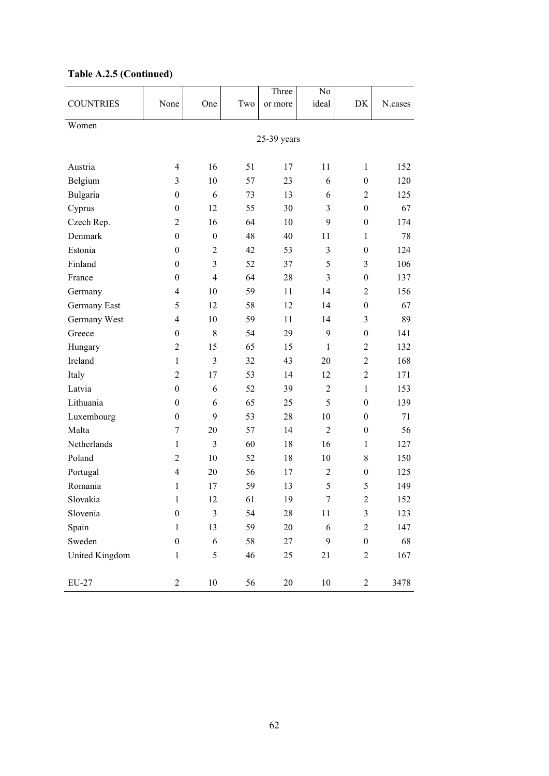|                  |                         |                         |     | Three         | No               |                         |         |
|------------------|-------------------------|-------------------------|-----|---------------|------------------|-------------------------|---------|
| <b>COUNTRIES</b> | None                    | One                     | Two | or more       | ideal            | DK                      | N.cases |
| Women            |                         |                         |     |               |                  |                         |         |
|                  |                         |                         |     | $25-39$ years |                  |                         |         |
|                  |                         |                         |     |               |                  |                         |         |
| Austria          | $\overline{4}$          | 16                      | 51  | 17            | 11               | $\mathbf{1}$            | 152     |
| Belgium          | 3                       | 10                      | 57  | 23            | 6                | $\boldsymbol{0}$        | 120     |
| Bulgaria         | $\boldsymbol{0}$        | 6                       | 73  | 13            | 6                | $\overline{2}$          | 125     |
| Cyprus           | $\boldsymbol{0}$        | 12                      | 55  | 30            | 3                | $\boldsymbol{0}$        | 67      |
| Czech Rep.       | $\overline{2}$          | 16                      | 64  | 10            | 9                | $\boldsymbol{0}$        | 174     |
| Denmark          | $\boldsymbol{0}$        | $\boldsymbol{0}$        | 48  | 40            | 11               | $\mathbf{1}$            | 78      |
| Estonia          | $\boldsymbol{0}$        | $\overline{c}$          | 42  | 53            | 3                | $\boldsymbol{0}$        | 124     |
| Finland          | $\boldsymbol{0}$        | 3                       | 52  | 37            | 5                | 3                       | 106     |
| France           | $\boldsymbol{0}$        | $\overline{4}$          | 64  | 28            | 3                | $\boldsymbol{0}$        | 137     |
| Germany          | $\overline{4}$          | 10                      | 59  | 11            | 14               | $\overline{2}$          | 156     |
| Germany East     | 5                       | 12                      | 58  | 12            | 14               | $\boldsymbol{0}$        | 67      |
| Germany West     | $\overline{4}$          | 10                      | 59  | 11            | 14               | 3                       | 89      |
| Greece           | $\boldsymbol{0}$        | $\,8\,$                 | 54  | 29            | 9                | $\boldsymbol{0}$        | 141     |
| Hungary          | $\overline{2}$          | 15                      | 65  | 15            | $\mathbf{1}$     | $\overline{2}$          | 132     |
| Ireland          | $\mathbf{1}$            | 3                       | 32  | 43            | 20               | $\overline{2}$          | 168     |
| Italy            | $\overline{2}$          | 17                      | 53  | 14            | 12               | $\overline{2}$          | 171     |
| Latvia           | $\boldsymbol{0}$        | 6                       | 52  | 39            | $\overline{2}$   | $\mathbf{1}$            | 153     |
| Lithuania        | $\boldsymbol{0}$        | 6                       | 65  | 25            | 5                | $\boldsymbol{0}$        | 139     |
| Luxembourg       | $\boldsymbol{0}$        | 9                       | 53  | 28            | 10               | $\boldsymbol{0}$        | 71      |
| Malta            | $\overline{7}$          | 20                      | 57  | 14            | $\overline{2}$   | $\boldsymbol{0}$        | 56      |
| Netherlands      | $\mathbf{1}$            | $\overline{3}$          | 60  | 18            | 16               | $\mathbf{1}$            | 127     |
| Poland           | $\overline{2}$          | 10                      | 52  | 18            | 10               | $\,$ 8 $\,$             | 150     |
| Portugal         | $\overline{\mathbf{4}}$ | 20                      | 56  | 17            | $\overline{2}$   | $\boldsymbol{0}$        | 125     |
| Romania          | $\mathbf{1}$            | 17                      | 59  | 13            | 5                | 5                       | 149     |
| Slovakia         | $\mathbf{1}$            | 12                      | 61  | 19            | $\boldsymbol{7}$ | $\overline{c}$          | 152     |
| Slovenia         | $\boldsymbol{0}$        | $\overline{\mathbf{3}}$ | 54  | 28            | 11               | $\overline{\mathbf{3}}$ | 123     |
| Spain            | $\mathbf{1}$            | 13                      | 59  | $20\,$        | 6                | $\overline{c}$          | 147     |
| Sweden           | $\boldsymbol{0}$        | 6                       | 58  | 27            | 9                | $\boldsymbol{0}$        | 68      |
| United Kingdom   | $\mathbf{1}$            | 5                       | 46  | 25            | 21               | $\boldsymbol{2}$        | 167     |
| EU-27            | $\overline{2}$          | $10\,$                  | 56  | $20\,$        | $10\,$           | $\overline{c}$          | 3478    |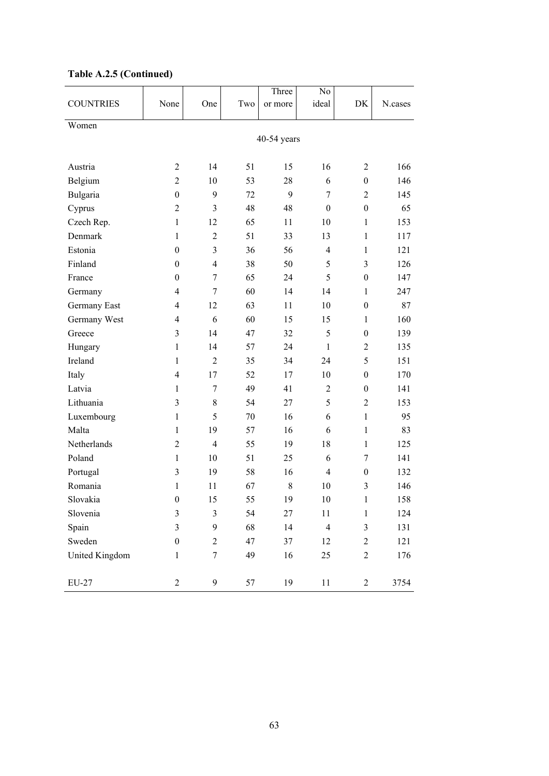|                  |                          |                          |     | Three   | No                      |                  |         |  |  |  |
|------------------|--------------------------|--------------------------|-----|---------|-------------------------|------------------|---------|--|--|--|
| <b>COUNTRIES</b> | None                     | One                      | Two | or more | ideal                   | DK               | N.cases |  |  |  |
| Women            |                          |                          |     |         |                         |                  |         |  |  |  |
|                  | 40-54 years              |                          |     |         |                         |                  |         |  |  |  |
|                  |                          |                          |     |         |                         |                  |         |  |  |  |
| Austria          | $\overline{2}$           | 14                       | 51  | 15      | 16                      | $\overline{2}$   | 166     |  |  |  |
| Belgium          | $\overline{2}$           | 10                       | 53  | 28      | 6                       | $\boldsymbol{0}$ | 146     |  |  |  |
| Bulgaria         | $\boldsymbol{0}$         | 9                        | 72  | 9       | $\tau$                  | $\overline{2}$   | 145     |  |  |  |
| Cyprus           | $\overline{2}$           | 3                        | 48  | 48      | $\mathbf{0}$            | $\boldsymbol{0}$ | 65      |  |  |  |
| Czech Rep.       | $\mathbf{1}$             | 12                       | 65  | 11      | 10                      | $\mathbf{1}$     | 153     |  |  |  |
| Denmark          | $\mathbf{1}$             | $\overline{2}$           | 51  | 33      | 13                      | $\mathbf{1}$     | 117     |  |  |  |
| Estonia          | $\boldsymbol{0}$         | 3                        | 36  | 56      | $\overline{4}$          | $\mathbf{1}$     | 121     |  |  |  |
| Finland          | $\boldsymbol{0}$         | $\overline{\mathcal{A}}$ | 38  | 50      | 5                       | 3                | 126     |  |  |  |
| France           | $\boldsymbol{0}$         | 7                        | 65  | 24      | 5                       | $\boldsymbol{0}$ | 147     |  |  |  |
| Germany          | $\overline{4}$           | $\overline{7}$           | 60  | 14      | 14                      | $\mathbf{1}$     | 247     |  |  |  |
| Germany East     | $\overline{\mathcal{A}}$ | 12                       | 63  | 11      | 10                      | $\boldsymbol{0}$ | 87      |  |  |  |
| Germany West     | 4                        | 6                        | 60  | 15      | 15                      | $\mathbf{1}$     | 160     |  |  |  |
| Greece           | 3                        | 14                       | 47  | 32      | 5                       | $\boldsymbol{0}$ | 139     |  |  |  |
| Hungary          | $\mathbf{1}$             | 14                       | 57  | 24      | $\mathbf{1}$            | $\overline{2}$   | 135     |  |  |  |
| Ireland          | $\mathbf{1}$             | $\overline{2}$           | 35  | 34      | 24                      | 5                | 151     |  |  |  |
| Italy            | $\overline{4}$           | 17                       | 52  | 17      | 10                      | $\boldsymbol{0}$ | 170     |  |  |  |
| Latvia           | $\mathbf{1}$             | 7                        | 49  | 41      | $\overline{2}$          | $\boldsymbol{0}$ | 141     |  |  |  |
| Lithuania        | 3                        | 8                        | 54  | 27      | 5                       | $\overline{2}$   | 153     |  |  |  |
| Luxembourg       | $\mathbf{1}$             | 5                        | 70  | 16      | 6                       | $\mathbf{1}$     | 95      |  |  |  |
| Malta            | $\mathbf{1}$             | 19                       | 57  | 16      | 6                       | $\mathbf{1}$     | 83      |  |  |  |
| Netherlands      | $\overline{2}$           | $\overline{4}$           | 55  | 19      | 18                      | $\mathbf{1}$     | 125     |  |  |  |
| Poland           | $\mathbf{1}$             | 10                       | 51  | 25      | 6                       | 7                | 141     |  |  |  |
| Portugal         | 3                        | 19                       | 58  | 16      | $\overline{4}$          | $\boldsymbol{0}$ | 132     |  |  |  |
| Romania          | $\mathbf{1}$             | 11                       | 67  | 8       | 10                      | 3                | 146     |  |  |  |
| Slovakia         | $\boldsymbol{0}$         | 15                       | 55  | 19      | 10                      | $\,1$            | 158     |  |  |  |
| Slovenia         | $\mathfrak{Z}$           | $\mathfrak{Z}$           | 54  | 27      | 11                      | $\,1$            | 124     |  |  |  |
| Spain            | $\overline{\mathbf{3}}$  | 9                        | 68  | 14      | $\overline{\mathbf{4}}$ | $\mathfrak{Z}$   | 131     |  |  |  |
| Sweden           | $\boldsymbol{0}$         | $\overline{c}$           | 47  | 37      | 12                      | $\overline{c}$   | 121     |  |  |  |
| United Kingdom   | $\mathbf{1}$             | $\boldsymbol{7}$         | 49  | 16      | 25                      | $\overline{c}$   | 176     |  |  |  |
| EU-27            | $\boldsymbol{2}$         | 9                        | 57  | 19      | 11                      | $\overline{c}$   | 3754    |  |  |  |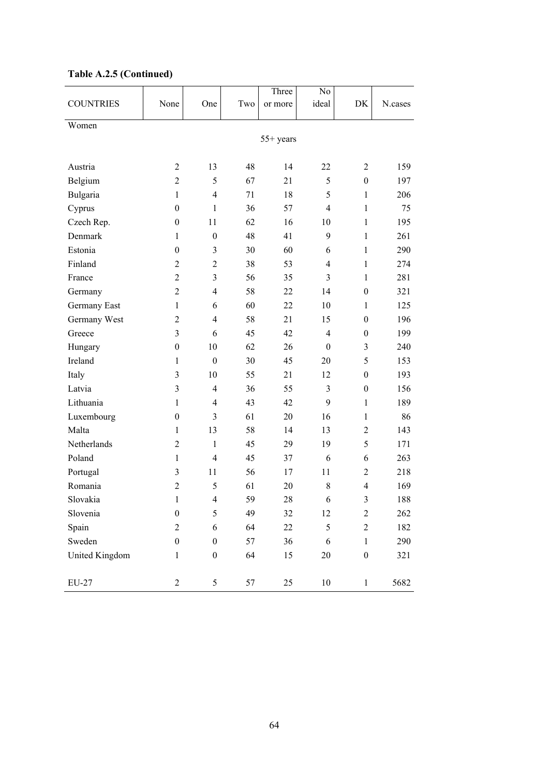|                       |                         |                         |     | Three     | No               |                  |         |
|-----------------------|-------------------------|-------------------------|-----|-----------|------------------|------------------|---------|
| <b>COUNTRIES</b>      | None                    | One                     | Two | or more   | ideal            | DK               | N.cases |
| Women                 |                         |                         |     |           |                  |                  |         |
|                       |                         |                         |     | 55+ years |                  |                  |         |
|                       |                         |                         |     |           |                  |                  |         |
| Austria               | $\overline{2}$          | 13                      | 48  | 14        | 22               | $\overline{2}$   | 159     |
| Belgium               | $\overline{2}$          | 5                       | 67  | 21        | 5                | $\boldsymbol{0}$ | 197     |
| Bulgaria              | $\mathbf{1}$            | $\overline{4}$          | 71  | 18        | 5                | $\mathbf{1}$     | 206     |
| Cyprus                | $\boldsymbol{0}$        | $\mathbf{1}$            | 36  | 57        | $\overline{4}$   | $\mathbf{1}$     | 75      |
| Czech Rep.            | $\boldsymbol{0}$        | 11                      | 62  | 16        | 10               | $\mathbf{1}$     | 195     |
| Denmark               | $\mathbf{1}$            | $\boldsymbol{0}$        | 48  | 41        | 9                | $\mathbf{1}$     | 261     |
| Estonia               | $\boldsymbol{0}$        | $\overline{\mathbf{3}}$ | 30  | 60        | 6                | $\mathbf{1}$     | 290     |
| Finland               | $\overline{c}$          | $\sqrt{2}$              | 38  | 53        | 4                | $\mathbf{1}$     | 274     |
| France                | $\overline{c}$          | $\overline{\mathbf{3}}$ | 56  | 35        | $\overline{3}$   | $\mathbf{1}$     | 281     |
| Germany               | $\overline{c}$          | $\overline{4}$          | 58  | 22        | 14               | $\boldsymbol{0}$ | 321     |
| Germany East          | $\mathbf{1}$            | 6                       | 60  | 22        | 10               | $\mathbf{1}$     | 125     |
| Germany West          | $\overline{c}$          | $\overline{4}$          | 58  | 21        | 15               | $\boldsymbol{0}$ | 196     |
| Greece                | $\overline{\mathbf{3}}$ | 6                       | 45  | 42        | $\overline{4}$   | $\boldsymbol{0}$ | 199     |
| Hungary               | $\boldsymbol{0}$        | 10                      | 62  | 26        | $\boldsymbol{0}$ | 3                | 240     |
| Ireland               | $\mathbf{1}$            | $\boldsymbol{0}$        | 30  | 45        | 20               | 5                | 153     |
| Italy                 | 3                       | 10                      | 55  | 21        | 12               | $\boldsymbol{0}$ | 193     |
| Latvia                | $\overline{\mathbf{3}}$ | $\overline{4}$          | 36  | 55        | 3                | $\boldsymbol{0}$ | 156     |
| Lithuania             | $\mathbf{1}$            | $\overline{4}$          | 43  | 42        | 9                | $\mathbf{1}$     | 189     |
| Luxembourg            | $\boldsymbol{0}$        | $\mathfrak{Z}$          | 61  | 20        | 16               | $\mathbf{1}$     | 86      |
| Malta                 | $\mathbf{1}$            | 13                      | 58  | 14        | 13               | $\overline{c}$   | 143     |
| Netherlands           | $\overline{2}$          | $\mathbf{1}$            | 45  | 29        | 19               | 5                | 171     |
| Poland                | $\mathbf{1}$            | $\overline{4}$          | 45  | 37        | 6                | 6                | 263     |
| Portugal              | 3                       | 11                      | 56  | 17        | 11               | $\overline{c}$   | 218     |
| Romania               | $\overline{2}$          | 5                       | 61  | 20        | 8                | $\overline{4}$   | 169     |
| Slovakia              | $\,1$                   | $\overline{\mathbf{4}}$ | 59  | $28\,$    | $\sqrt{6}$       | $\mathfrak{Z}$   | 188     |
| Slovenia              | $\boldsymbol{0}$        | 5                       | 49  | 32        | 12               | $\overline{c}$   | 262     |
| Spain                 | $\overline{c}$          | 6                       | 64  | 22        | 5                | $\overline{c}$   | 182     |
| Sweden                | $\boldsymbol{0}$        | $\boldsymbol{0}$        | 57  | 36        | 6                | $\,1$            | 290     |
| <b>United Kingdom</b> | $\,1$                   | $\boldsymbol{0}$        | 64  | 15        | $20\,$           | $\boldsymbol{0}$ | 321     |
| EU-27                 | $\overline{c}$          | 5                       | 57  | 25        | $10\,$           | $\mathbf{1}$     | 5682    |
|                       |                         |                         |     |           |                  |                  |         |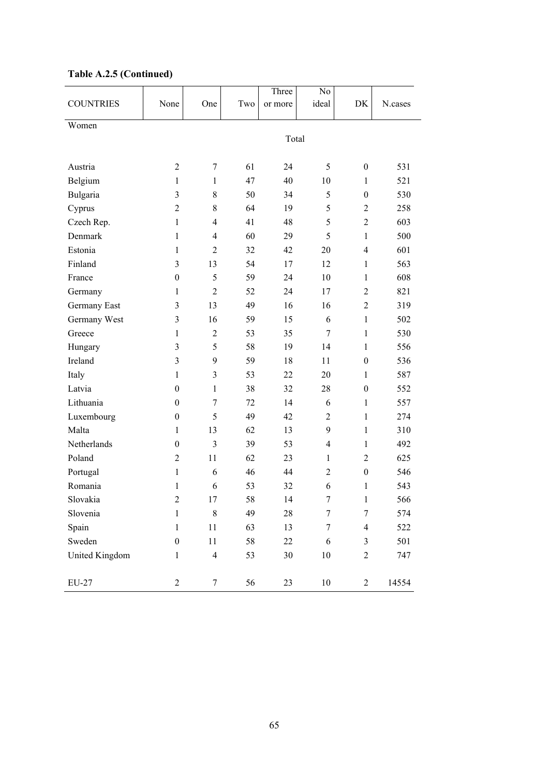|                       |                  |                |     | Three   | No               |                  |         |  |
|-----------------------|------------------|----------------|-----|---------|------------------|------------------|---------|--|
| <b>COUNTRIES</b>      | None             | One            | Two | or more | ideal            | DK               | N.cases |  |
| Women                 |                  |                |     |         |                  |                  |         |  |
|                       | Total            |                |     |         |                  |                  |         |  |
|                       |                  |                |     |         |                  |                  |         |  |
| Austria               | $\overline{2}$   | 7              | 61  | 24      | 5                | $\boldsymbol{0}$ | 531     |  |
| Belgium               | $\mathbf{1}$     | $\mathbf{1}$   | 47  | 40      | 10               | $\mathbf{1}$     | 521     |  |
| Bulgaria              | 3                | 8              | 50  | 34      | 5                | $\boldsymbol{0}$ | 530     |  |
| Cyprus                | $\overline{2}$   | 8              | 64  | 19      | 5                | $\overline{2}$   | 258     |  |
| Czech Rep.            | $\mathbf{1}$     | $\overline{4}$ | 41  | 48      | 5                | $\overline{2}$   | 603     |  |
| Denmark               | $\mathbf{1}$     | $\overline{4}$ | 60  | 29      | 5                | $\mathbf{1}$     | 500     |  |
| Estonia               | $\mathbf{1}$     | $\overline{2}$ | 32  | 42      | 20               | $\overline{4}$   | 601     |  |
| Finland               | 3                | 13             | 54  | 17      | 12               | $\mathbf{1}$     | 563     |  |
| France                | $\boldsymbol{0}$ | 5              | 59  | 24      | 10               | $\mathbf{1}$     | 608     |  |
| Germany               | $\mathbf{1}$     | $\overline{2}$ | 52  | 24      | 17               | $\overline{2}$   | 821     |  |
| Germany East          | 3                | 13             | 49  | 16      | 16               | $\overline{2}$   | 319     |  |
| Germany West          | 3                | 16             | 59  | 15      | 6                | $\mathbf{1}$     | 502     |  |
| Greece                | $\mathbf{1}$     | $\overline{2}$ | 53  | 35      | 7                | $\mathbf{1}$     | 530     |  |
| Hungary               | 3                | 5              | 58  | 19      | 14               | $\mathbf{1}$     | 556     |  |
| Ireland               | 3                | 9              | 59  | 18      | 11               | $\boldsymbol{0}$ | 536     |  |
| Italy                 | $\mathbf{1}$     | 3              | 53  | 22      | 20               | $\mathbf{1}$     | 587     |  |
| Latvia                | $\boldsymbol{0}$ | $\mathbf{1}$   | 38  | 32      | 28               | $\boldsymbol{0}$ | 552     |  |
| Lithuania             | $\boldsymbol{0}$ | 7              | 72  | 14      | 6                | 1                | 557     |  |
| Luxembourg            | $\boldsymbol{0}$ | 5              | 49  | 42      | $\overline{2}$   | $\mathbf{1}$     | 274     |  |
| Malta                 | $\mathbf{1}$     | 13             | 62  | 13      | 9                | $\mathbf{1}$     | 310     |  |
| Netherlands           | $\boldsymbol{0}$ | 3              | 39  | 53      | $\overline{4}$   | $\mathbf{1}$     | 492     |  |
| Poland                | $\overline{2}$   | 11             | 62  | 23      | $\mathbf{1}$     | $\overline{2}$   | 625     |  |
| Portugal              | $\mathbf{1}$     | 6              | 46  | 44      | $\overline{2}$   | $\boldsymbol{0}$ | 546     |  |
| Romania               | 1                | 6              | 53  | 32      | 6                | 1                | 543     |  |
| Slovakia              | $\overline{c}$   | 17             | 58  | 14      | $\boldsymbol{7}$ | $\mathbf{1}$     | 566     |  |
| Slovenia              | $\mathbf{1}$     | 8              | 49  | 28      | $\tau$           | $\overline{7}$   | 574     |  |
| Spain                 | $\mathbf{1}$     | 11             | 63  | 13      | 7                | $\overline{4}$   | 522     |  |
| Sweden                | $\boldsymbol{0}$ | 11             | 58  | 22      | 6                | 3                | 501     |  |
| <b>United Kingdom</b> | $\mathbf{1}$     | $\overline{4}$ | 53  | 30      | $10\,$           | $\overline{c}$   | 747     |  |
|                       |                  |                |     |         |                  |                  |         |  |
| EU-27                 | $\overline{2}$   | $\tau$         | 56  | 23      | $10\,$           | $\overline{2}$   | 14554   |  |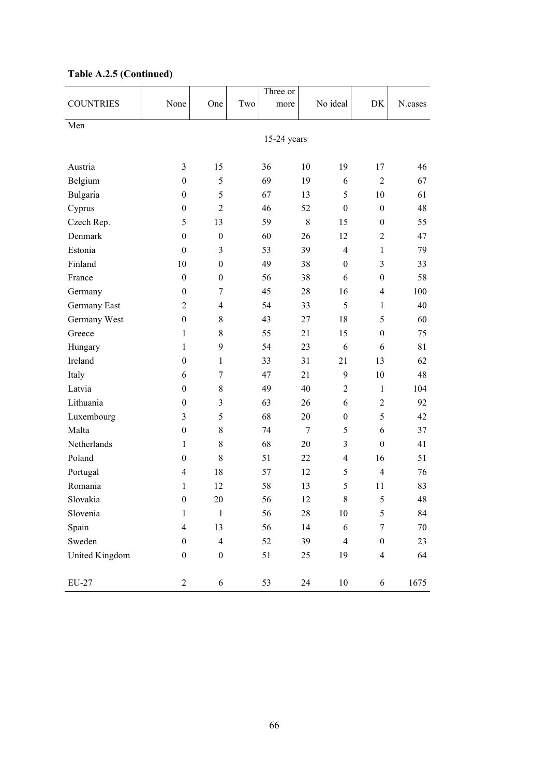|                  |                  |                  |     | Three or    |                |                  |                          |         |
|------------------|------------------|------------------|-----|-------------|----------------|------------------|--------------------------|---------|
| <b>COUNTRIES</b> | None             | One              | Two | more        |                | No ideal         | DK                       | N.cases |
| Men              |                  |                  |     |             |                |                  |                          |         |
|                  |                  |                  |     | 15-24 years |                |                  |                          |         |
|                  |                  |                  |     |             |                |                  |                          |         |
| Austria          | 3                | 15               |     | 36          | 10             | 19               | 17                       | 46      |
| Belgium          | $\boldsymbol{0}$ | 5                |     | 69          | 19             | 6                | $\overline{2}$           | 67      |
| Bulgaria         | $\boldsymbol{0}$ | 5                |     | 67          | 13             | 5                | 10                       | 61      |
| Cyprus           | $\boldsymbol{0}$ | $\overline{2}$   |     | 46          | 52             | $\boldsymbol{0}$ | $\boldsymbol{0}$         | 48      |
| Czech Rep.       | 5                | 13               |     | 59          | $\,8\,$        | 15               | $\boldsymbol{0}$         | 55      |
| Denmark          | $\boldsymbol{0}$ | $\boldsymbol{0}$ |     | 60          | 26             | 12               | $\overline{2}$           | 47      |
| Estonia          | $\mathbf{0}$     | 3                |     | 53          | 39             | $\overline{4}$   | $\mathbf{1}$             | 79      |
| Finland          | 10               | $\boldsymbol{0}$ |     | 49          | 38             | $\boldsymbol{0}$ | 3                        | 33      |
| France           | $\boldsymbol{0}$ | $\boldsymbol{0}$ |     | 56          | 38             | 6                | $\boldsymbol{0}$         | 58      |
| Germany          | $\boldsymbol{0}$ | 7                |     | 45          | 28             | 16               | $\overline{\mathcal{A}}$ | 100     |
| Germany East     | $\overline{2}$   | $\overline{4}$   |     | 54          | 33             | 5                | $\mathbf{1}$             | 40      |
| Germany West     | $\boldsymbol{0}$ | $8\,$            |     | 43          | 27             | 18               | 5                        | 60      |
| Greece           | $\mathbf{1}$     | $\,8\,$          |     | 55          | 21             | 15               | $\boldsymbol{0}$         | 75      |
| Hungary          | $\mathbf{1}$     | 9                |     | 54          | 23             | 6                | 6                        | 81      |
| Ireland          | $\boldsymbol{0}$ | $\mathbf{1}$     |     | 33          | 31             | 21               | 13                       | 62      |
| Italy            | 6                | $\tau$           |     | 47          | 21             | 9                | 10                       | 48      |
| Latvia           | $\mathbf{0}$     | $8\,$            |     | 49          | 40             | $\overline{2}$   | $\mathbf{1}$             | 104     |
| Lithuania        | $\boldsymbol{0}$ | 3                |     | 63          | 26             | 6                | $\overline{2}$           | 92      |
| Luxembourg       | $\overline{3}$   | 5                |     | 68          | 20             | $\boldsymbol{0}$ | 5                        | 42      |
| Malta            | $\boldsymbol{0}$ | $\,8\,$          |     | 74          | $\overline{7}$ | 5                | 6                        | 37      |
| Netherlands      | $\mathbf{1}$     | $8\,$            |     | 68          | 20             | $\overline{3}$   | $\boldsymbol{0}$         | 41      |
| Poland           | $\boldsymbol{0}$ | 8                |     | 51          | 22             | $\overline{4}$   | 16                       | 51      |
| Portugal         | $\overline{4}$   | 18               |     | 57          | 12             | 5                | $\overline{4}$           | 76      |
| Romania          | $\mathbf{1}$     | 12               |     | 58          | 13             | 5                | 11                       | 83      |
| Slovakia         | $\boldsymbol{0}$ | 20               |     | 56          | $12\,$         | $\,$ $\,$        | 5                        | 48      |
| Slovenia         | $\mathbf{1}$     | $\,1\,$          |     | 56          | 28             | $10\,$           | 5                        | 84      |
| Spain            | $\overline{4}$   | 13               |     | 56          | 14             | 6                | 7                        | 70      |
| Sweden           | $\boldsymbol{0}$ | $\overline{4}$   |     | 52          | 39             | $\overline{4}$   | $\boldsymbol{0}$         | 23      |
| United Kingdom   | $\boldsymbol{0}$ | $\boldsymbol{0}$ |     | 51          | 25             | 19               | $\overline{\mathbf{4}}$  | 64      |
| EU-27            | $\sqrt{2}$       |                  |     | 53          | 24             | $10\,$           | 6                        | 1675    |
|                  |                  | 6                |     |             |                |                  |                          |         |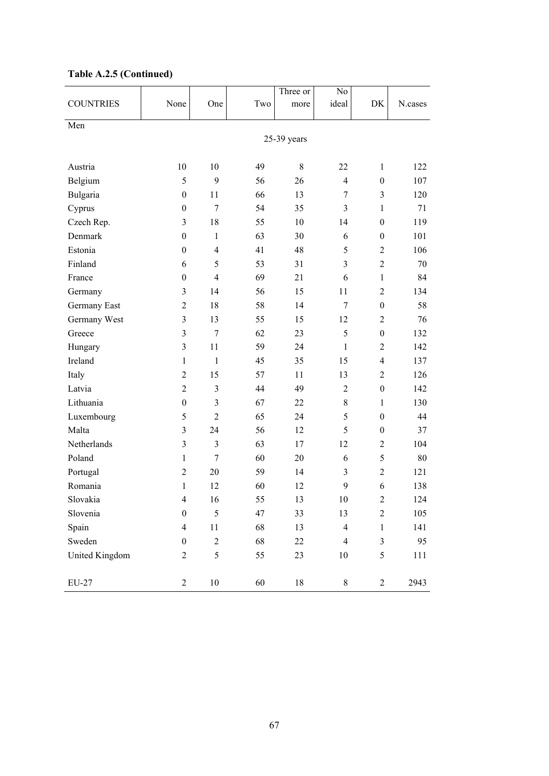|                  |                  |                |     | Three or    | No                      |                  |         |  |  |
|------------------|------------------|----------------|-----|-------------|-------------------------|------------------|---------|--|--|
| <b>COUNTRIES</b> | None             | One            | Two | more        | ideal                   | DK               | N.cases |  |  |
| Men              |                  |                |     |             |                         |                  |         |  |  |
|                  |                  |                |     | 25-39 years |                         |                  |         |  |  |
|                  |                  |                |     |             |                         |                  |         |  |  |
| Austria          | 10               | 10             | 49  | 8           | 22                      | $\mathbf{1}$     | 122     |  |  |
| Belgium          | 5                | 9              | 56  | 26          | $\overline{4}$          | $\boldsymbol{0}$ | 107     |  |  |
| Bulgaria         | $\boldsymbol{0}$ | 11             | 66  | 13          | 7                       | 3                | 120     |  |  |
| Cyprus           | $\boldsymbol{0}$ | $\tau$         | 54  | 35          | 3                       | $\mathbf{1}$     | 71      |  |  |
| Czech Rep.       | 3                | 18             | 55  | 10          | 14                      | $\boldsymbol{0}$ | 119     |  |  |
| Denmark          | $\boldsymbol{0}$ | $\mathbf{1}$   | 63  | 30          | 6                       | $\boldsymbol{0}$ | 101     |  |  |
| Estonia          | $\boldsymbol{0}$ | $\overline{4}$ | 41  | 48          | 5                       | $\overline{2}$   | 106     |  |  |
| Finland          | 6                | 5              | 53  | 31          | $\overline{3}$          | $\overline{c}$   | 70      |  |  |
| France           | $\boldsymbol{0}$ | $\overline{4}$ | 69  | 21          | 6                       | $\mathbf{1}$     | 84      |  |  |
| Germany          | $\mathfrak{Z}$   | 14             | 56  | 15          | 11                      | $\overline{2}$   | 134     |  |  |
| Germany East     | $\sqrt{2}$       | 18             | 58  | 14          | $\overline{7}$          | $\boldsymbol{0}$ | 58      |  |  |
| Germany West     | $\mathfrak{Z}$   | 13             | 55  | 15          | 12                      | $\sqrt{2}$       | 76      |  |  |
| Greece           | $\overline{3}$   | $\tau$         | 62  | 23          | 5                       | $\boldsymbol{0}$ | 132     |  |  |
| Hungary          | $\overline{3}$   | 11             | 59  | 24          | $\mathbf{1}$            | $\overline{2}$   | 142     |  |  |
| Ireland          | $\mathbf{1}$     | $\mathbf{1}$   | 45  | 35          | 15                      | $\overline{4}$   | 137     |  |  |
| Italy            | $\overline{2}$   | 15             | 57  | 11          | 13                      | $\overline{2}$   | 126     |  |  |
| Latvia           | $\overline{2}$   | $\overline{3}$ | 44  | 49          | $\overline{2}$          | $\boldsymbol{0}$ | 142     |  |  |
| Lithuania        | $\boldsymbol{0}$ | 3              | 67  | 22          | 8                       | $\mathbf{1}$     | 130     |  |  |
| Luxembourg       | 5                | $\overline{2}$ | 65  | 24          | 5                       | $\boldsymbol{0}$ | 44      |  |  |
| Malta            | $\mathfrak{Z}$   | 24             | 56  | 12          | 5                       | $\boldsymbol{0}$ | 37      |  |  |
| Netherlands      | $\overline{3}$   | $\overline{3}$ | 63  | 17          | 12                      | $\overline{2}$   | 104     |  |  |
| Poland           | $\mathbf{1}$     | $\tau$         | 60  | 20          | 6                       | 5                | 80      |  |  |
| Portugal         | $\overline{2}$   | 20             | 59  | 14          | $\overline{\mathbf{3}}$ | $\overline{c}$   | 121     |  |  |
| Romania          | $\mathbf{1}$     | 12             | 60  | 12          | 9                       | 6                | 138     |  |  |
| Slovakia         | $\overline{4}$   | 16             | 55  | 13          | $10\,$                  | $\overline{c}$   | 124     |  |  |
| Slovenia         | $\boldsymbol{0}$ | 5              | 47  | 33          | 13                      | $\sqrt{2}$       | 105     |  |  |
| Spain            | $\overline{4}$   | 11             | 68  | 13          | $\overline{\mathbf{4}}$ | $\mathbf{1}$     | 141     |  |  |
| Sweden           | $\boldsymbol{0}$ | $\mathbf{2}$   | 68  | 22          | $\overline{4}$          | 3                | 95      |  |  |
| United Kingdom   | $\sqrt{2}$       | 5              | 55  | 23          | 10                      | 5                | 111     |  |  |
| $\text{EU-}27$   | $\overline{c}$   | $10\,$         | 60  | 18          | $8\,$                   | $\overline{c}$   | 2943    |  |  |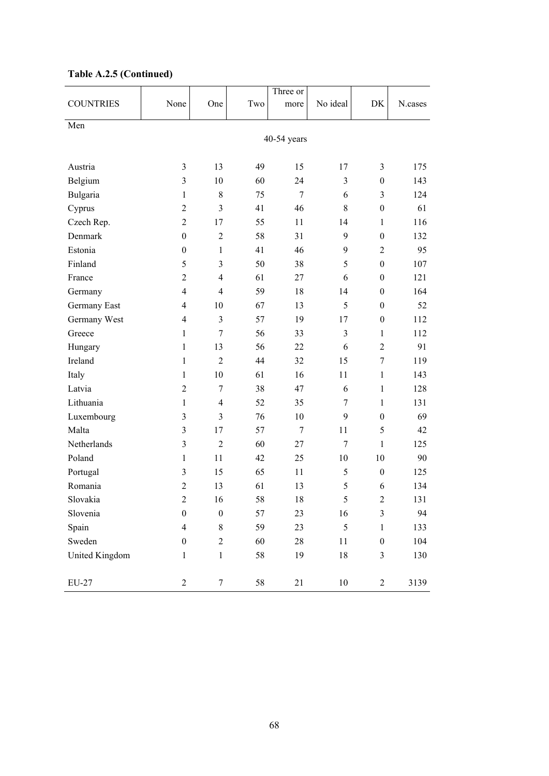|                  |                  |                  |     | Three or       |                         |                         |         |  |  |  |
|------------------|------------------|------------------|-----|----------------|-------------------------|-------------------------|---------|--|--|--|
| <b>COUNTRIES</b> | None             | One              | Two | more           | No ideal                | DK                      | N.cases |  |  |  |
| Men              |                  |                  |     |                |                         |                         |         |  |  |  |
|                  |                  |                  |     | 40-54 years    |                         |                         |         |  |  |  |
|                  |                  |                  |     |                |                         |                         |         |  |  |  |
| Austria          | $\overline{3}$   | 13               | 49  | 15             | 17                      | 3                       | 175     |  |  |  |
| Belgium          | $\overline{3}$   | 10               | 60  | 24             | $\overline{\mathbf{3}}$ | $\boldsymbol{0}$        | 143     |  |  |  |
| Bulgaria         | $\mathbf{1}$     | $\,8\,$          | 75  | $\overline{7}$ | 6                       | 3                       | 124     |  |  |  |
| Cyprus           | $\overline{2}$   | $\overline{3}$   | 41  | 46             | $\,$ 8 $\,$             | $\boldsymbol{0}$        | 61      |  |  |  |
| Czech Rep.       | $\overline{2}$   | 17               | 55  | 11             | 14                      | $\mathbf{1}$            | 116     |  |  |  |
| Denmark          | $\boldsymbol{0}$ | $\overline{2}$   | 58  | 31             | 9                       | $\boldsymbol{0}$        | 132     |  |  |  |
| Estonia          | $\boldsymbol{0}$ | $\mathbf{1}$     | 41  | 46             | 9                       | $\overline{2}$          | 95      |  |  |  |
| Finland          | 5                | 3                | 50  | 38             | 5                       | $\boldsymbol{0}$        | 107     |  |  |  |
| France           | $\overline{2}$   | $\overline{4}$   | 61  | 27             | 6                       | $\boldsymbol{0}$        | 121     |  |  |  |
| Germany          | $\overline{4}$   | $\overline{4}$   | 59  | 18             | 14                      | $\boldsymbol{0}$        | 164     |  |  |  |
| Germany East     | 4                | 10               | 67  | 13             | 5                       | $\boldsymbol{0}$        | 52      |  |  |  |
| Germany West     | $\overline{4}$   | 3                | 57  | 19             | 17                      | $\boldsymbol{0}$        | 112     |  |  |  |
| Greece           | $\mathbf{1}$     | $\tau$           | 56  | 33             | 3                       | $\mathbf{1}$            | 112     |  |  |  |
| Hungary          | $\mathbf{1}$     | 13               | 56  | 22             | 6                       | $\overline{2}$          | 91      |  |  |  |
| Ireland          | $\,1\,$          | $\overline{2}$   | 44  | 32             | 15                      | $\overline{7}$          | 119     |  |  |  |
| Italy            | $\mathbf{1}$     | 10               | 61  | 16             | 11                      | $\mathbf{1}$            | 143     |  |  |  |
| Latvia           | $\overline{2}$   | 7                | 38  | 47             | 6                       | $\mathbf{1}$            | 128     |  |  |  |
| Lithuania        | $\mathbf{1}$     | $\overline{4}$   | 52  | 35             | 7                       | $\mathbf{1}$            | 131     |  |  |  |
| Luxembourg       | $\mathfrak{Z}$   | 3                | 76  | 10             | 9                       | $\boldsymbol{0}$        | 69      |  |  |  |
| Malta            | $\overline{3}$   | 17               | 57  | $\overline{7}$ | 11                      | 5                       | 42      |  |  |  |
| Netherlands      | $\overline{3}$   | $\overline{2}$   | 60  | 27             | $\overline{7}$          | $\mathbf{1}$            | 125     |  |  |  |
| Poland           | $\mathbf{1}$     | 11               | 42  | 25             | 10                      | 10                      | 90      |  |  |  |
| Portugal         | $\mathfrak{Z}$   | 15               | 65  | 11             | 5                       | $\boldsymbol{0}$        | 125     |  |  |  |
| Romania          | $\overline{c}$   | 13               | 61  | 13             | 5                       | 6                       | 134     |  |  |  |
| Slovakia         | $\overline{c}$   | 16               | 58  | 18             | 5                       | $\overline{c}$          | 131     |  |  |  |
| Slovenia         | $\boldsymbol{0}$ | $\boldsymbol{0}$ | 57  | 23             | 16                      | $\overline{\mathbf{3}}$ | 94      |  |  |  |
| Spain            | $\overline{4}$   | $\,8\,$          | 59  | 23             | 5                       | $\mathbf{1}$            | 133     |  |  |  |
| Sweden           | $\boldsymbol{0}$ | $\sqrt{2}$       | 60  | 28             | 11                      | $\boldsymbol{0}$        | 104     |  |  |  |
| United Kingdom   | $\,1\,$          | $\,1$            | 58  | 19             | 18                      | 3                       | 130     |  |  |  |
|                  |                  |                  |     |                |                         |                         |         |  |  |  |
| EU-27            | $\sqrt{2}$       | $\tau$           | 58  | 21             | $10\,$                  | $\overline{c}$          | 3139    |  |  |  |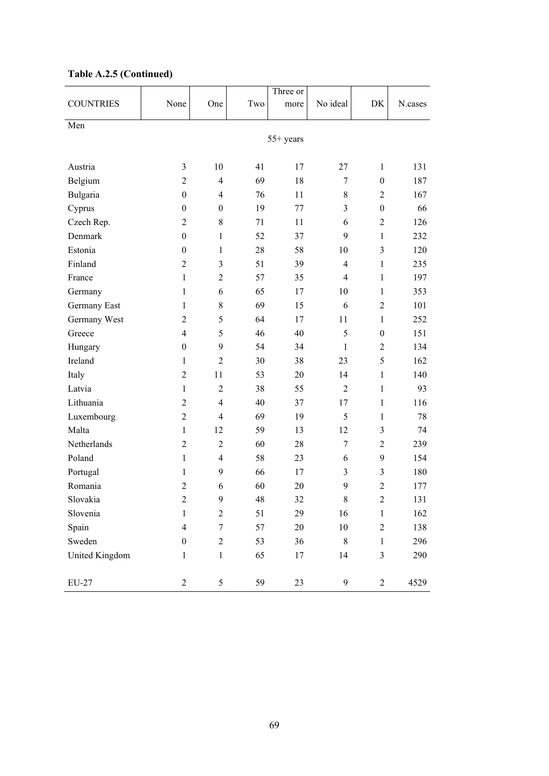|                  |                  |                  |     | Three or    |                         |                  |         |  |  |  |
|------------------|------------------|------------------|-----|-------------|-------------------------|------------------|---------|--|--|--|
| <b>COUNTRIES</b> | None             | One              | Two | more        | No ideal                | DK               | N.cases |  |  |  |
| Men              |                  |                  |     |             |                         |                  |         |  |  |  |
|                  |                  |                  |     | $55+$ years |                         |                  |         |  |  |  |
|                  |                  |                  |     |             |                         |                  |         |  |  |  |
| Austria          | $\mathfrak{Z}$   | 10               | 41  | 17          | 27                      | $\mathbf{1}$     | 131     |  |  |  |
| Belgium          | $\overline{2}$   | $\overline{4}$   | 69  | 18          | 7                       | $\boldsymbol{0}$ | 187     |  |  |  |
| Bulgaria         | $\boldsymbol{0}$ | $\overline{4}$   | 76  | 11          | $\,$ 8 $\,$             | $\overline{2}$   | 167     |  |  |  |
| Cyprus           | $\boldsymbol{0}$ | $\boldsymbol{0}$ | 19  | 77          | 3                       | $\boldsymbol{0}$ | 66      |  |  |  |
| Czech Rep.       | $\overline{2}$   | $\,8\,$          | 71  | 11          | 6                       | $\overline{2}$   | 126     |  |  |  |
| Denmark          | $\boldsymbol{0}$ | $\mathbf{1}$     | 52  | 37          | 9                       | $\mathbf{1}$     | 232     |  |  |  |
| Estonia          | $\boldsymbol{0}$ | $\mathbf{1}$     | 28  | 58          | 10                      | $\overline{3}$   | 120     |  |  |  |
| Finland          | $\overline{2}$   | 3                | 51  | 39          | $\overline{4}$          | $\mathbf{1}$     | 235     |  |  |  |
| France           | $\mathbf{1}$     | $\overline{2}$   | 57  | 35          | $\overline{4}$          | $\mathbf{1}$     | 197     |  |  |  |
| Germany          | $\mathbf{1}$     | 6                | 65  | 17          | 10                      | $\mathbf{1}$     | 353     |  |  |  |
| Germany East     | $\mathbf{1}$     | $\,$ $\,$        | 69  | 15          | 6                       | $\overline{2}$   | 101     |  |  |  |
| Germany West     | $\overline{2}$   | 5                | 64  | 17          | 11                      | $\mathbf{1}$     | 252     |  |  |  |
| Greece           | $\overline{4}$   | 5                | 46  | 40          | 5                       | $\boldsymbol{0}$ | 151     |  |  |  |
| Hungary          | $\boldsymbol{0}$ | 9                | 54  | 34          | $\mathbf{1}$            | $\overline{2}$   | 134     |  |  |  |
| Ireland          | $\mathbf{1}$     | $\overline{2}$   | 30  | 38          | 23                      | 5                | 162     |  |  |  |
| Italy            | $\overline{2}$   | 11               | 53  | 20          | 14                      | $\mathbf{1}$     | 140     |  |  |  |
| Latvia           | $\mathbf{1}$     | $\overline{2}$   | 38  | 55          | $\overline{2}$          | $\mathbf{1}$     | 93      |  |  |  |
| Lithuania        | $\overline{2}$   | $\overline{4}$   | 40  | 37          | 17                      | $\mathbf{1}$     | 116     |  |  |  |
| Luxembourg       | $\overline{2}$   | $\overline{4}$   | 69  | 19          | 5                       | $\mathbf{1}$     | 78      |  |  |  |
| Malta            | $\mathbf{1}$     | 12               | 59  | 13          | 12                      | $\mathfrak{Z}$   | 74      |  |  |  |
| Netherlands      | $\sqrt{2}$       | $\sqrt{2}$       | 60  | 28          | $\boldsymbol{7}$        | $\mathfrak{2}$   | 239     |  |  |  |
| Poland           | $\mathbf{1}$     | $\overline{4}$   | 58  | 23          | 6                       | 9                | 154     |  |  |  |
| Portugal         | $\mathbf{1}$     | 9                | 66  | 17          | $\overline{\mathbf{3}}$ | $\mathfrak{Z}$   | 180     |  |  |  |
| Romania          | $\overline{c}$   | 6                | 60  | 20          | 9                       | $\overline{c}$   | 177     |  |  |  |
| Slovakia         | $\overline{c}$   | 9                | 48  | 32          | $\,8$                   | $\overline{c}$   | 131     |  |  |  |
| Slovenia         | $\mathbf{1}$     | $\sqrt{2}$       | 51  | 29          | 16                      | $\mathbf{1}$     | 162     |  |  |  |
| Spain            | $\overline{4}$   | $\boldsymbol{7}$ | 57  | 20          | 10                      | $\sqrt{2}$       | 138     |  |  |  |
| Sweden           | $\boldsymbol{0}$ | $\sqrt{2}$       | 53  | 36          | $8\,$                   | $\mathbf{1}$     | 296     |  |  |  |
| United Kingdom   | $\,1\,$          | $\,1\,$          | 65  | 17          | 14                      | $\mathfrak{Z}$   | 290     |  |  |  |
| EU-27            | $\sqrt{2}$       | 5                | 59  | 23          | 9                       | $\mathfrak{2}$   | 4529    |  |  |  |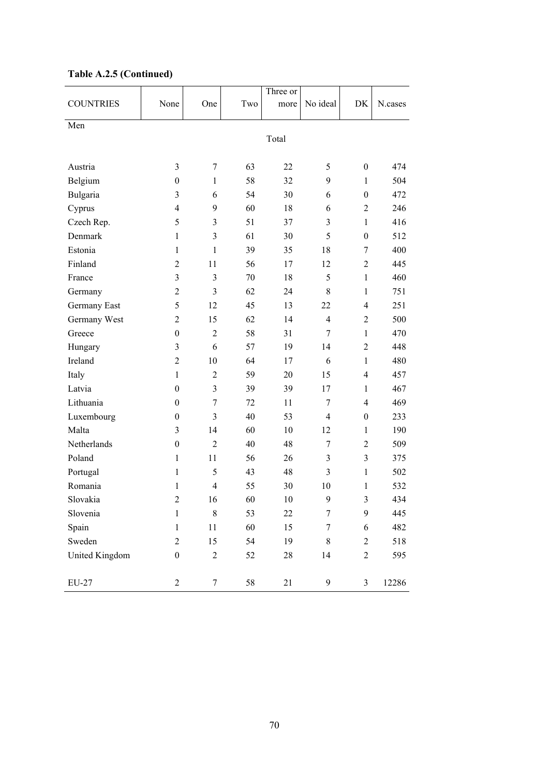|                  |                         |                         |     | Three or |                  |                          |         |
|------------------|-------------------------|-------------------------|-----|----------|------------------|--------------------------|---------|
| <b>COUNTRIES</b> | None                    | One                     | Two | more     | No ideal         | DK                       | N.cases |
| Men              |                         |                         |     |          |                  |                          |         |
|                  |                         |                         |     | Total    |                  |                          |         |
|                  |                         |                         |     |          |                  |                          |         |
| Austria          | 3                       | 7                       | 63  | 22       | 5                | $\boldsymbol{0}$         | 474     |
| Belgium          | $\boldsymbol{0}$        | $\mathbf{1}$            | 58  | 32       | 9                | $\mathbf{1}$             | 504     |
| Bulgaria         | $\mathfrak{Z}$          | 6                       | 54  | 30       | 6                | $\boldsymbol{0}$         | 472     |
| Cyprus           | $\overline{\mathbf{4}}$ | 9                       | 60  | 18       | 6                | $\overline{2}$           | 246     |
| Czech Rep.       | 5                       | 3                       | 51  | 37       | 3                | $\mathbf{1}$             | 416     |
| Denmark          | 1                       | $\overline{3}$          | 61  | 30       | 5                | $\boldsymbol{0}$         | 512     |
| Estonia          | $\mathbf{1}$            | $\mathbf{1}$            | 39  | 35       | 18               | 7                        | 400     |
| Finland          | $\overline{2}$          | 11                      | 56  | 17       | 12               | $\overline{2}$           | 445     |
| France           | $\overline{\mathbf{3}}$ | $\overline{3}$          | 70  | 18       | 5                | $\mathbf{1}$             | 460     |
| Germany          | $\overline{2}$          | $\overline{3}$          | 62  | 24       | 8                | $\mathbf{1}$             | 751     |
| Germany East     | 5                       | 12                      | 45  | 13       | 22               | $\overline{\mathcal{A}}$ | 251     |
| Germany West     | $\overline{2}$          | 15                      | 62  | 14       | $\overline{4}$   | $\overline{2}$           | 500     |
| Greece           | $\boldsymbol{0}$        | $\overline{2}$          | 58  | 31       | $\overline{7}$   | $\mathbf{1}$             | 470     |
| Hungary          | $\overline{\mathbf{3}}$ | 6                       | 57  | 19       | 14               | $\overline{2}$           | 448     |
| Ireland          | $\overline{2}$          | 10                      | 64  | 17       | 6                | $\mathbf{1}$             | 480     |
| Italy            | $\mathbf{1}$            | $\overline{c}$          | 59  | 20       | 15               | $\overline{4}$           | 457     |
| Latvia           | $\boldsymbol{0}$        | $\overline{\mathbf{3}}$ | 39  | 39       | 17               | $\mathbf{1}$             | 467     |
| Lithuania        | $\boldsymbol{0}$        | $\tau$                  | 72  | 11       | 7                | $\overline{4}$           | 469     |
| Luxembourg       | $\boldsymbol{0}$        | $\overline{3}$          | 40  | 53       | $\overline{4}$   | $\boldsymbol{0}$         | 233     |
| Malta            | 3                       | 14                      | 60  | 10       | 12               | $\mathbf{1}$             | 190     |
| Netherlands      | $\boldsymbol{0}$        | $\overline{2}$          | 40  | 48       | $\tau$           | $\overline{2}$           | 509     |
| Poland           | $\mathbf{1}$            | 11                      | 56  | 26       | 3                | 3                        | 375     |
| Portugal         | $\mathbf{1}$            | 5                       | 43  | 48       | 3                | $\mathbf{1}$             | 502     |
| Romania          | $\mathbf{1}$            | $\overline{4}$          | 55  | 30       | 10               | 1                        | 532     |
| Slovakia         | $\overline{c}$          | 16                      | 60  | 10       | $\boldsymbol{9}$ | 3                        | 434     |
| Slovenia         | 1                       | $\,$ 8 $\,$             | 53  | 22       | 7                | 9                        | 445     |
| Spain            | $\mathbf{1}$            | 11                      | 60  | 15       | 7                | 6                        | 482     |
| Sweden           | $\mathfrak{2}$          | 15                      | 54  | 19       | $8\,$            | $\overline{c}$           | 518     |
| United Kingdom   | $\boldsymbol{0}$        | $\overline{2}$          | 52  | 28       | 14               | $\overline{2}$           | 595     |
| EU-27            | $\overline{c}$          | 7                       | 58  | 21       | 9                | 3                        | 12286   |
|                  |                         |                         |     |          |                  |                          |         |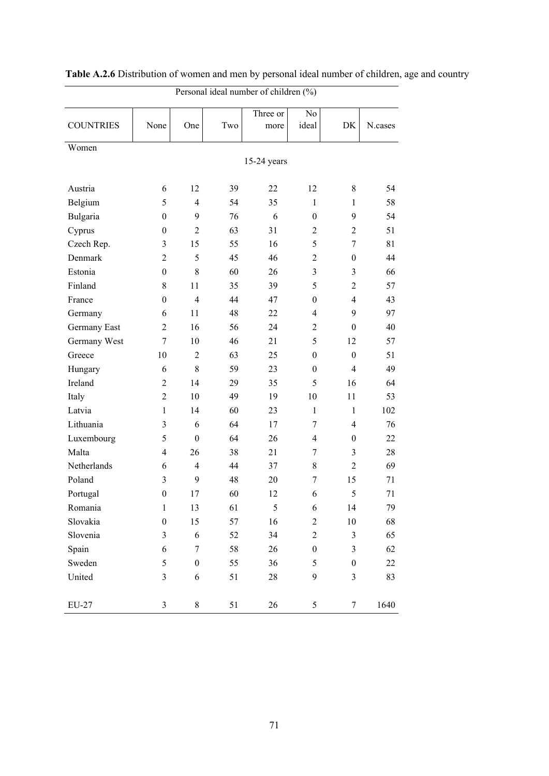| Personal ideal number of children (%) |                  |                  |     |          |                         |                  |         |  |  |
|---------------------------------------|------------------|------------------|-----|----------|-------------------------|------------------|---------|--|--|
|                                       |                  |                  |     | Three or | No                      |                  |         |  |  |
| <b>COUNTRIES</b>                      | None             | One              | Two | more     | ideal                   | DK               | N.cases |  |  |
| Women                                 |                  |                  |     |          |                         |                  |         |  |  |
|                                       | 15-24 years      |                  |     |          |                         |                  |         |  |  |
| Austria                               | 6                | 12               | 39  | 22       | 12                      | 8                | 54      |  |  |
| Belgium                               | 5                | $\overline{4}$   | 54  | 35       | $\mathbf{1}$            | $\mathbf{1}$     | 58      |  |  |
| Bulgaria                              | $\boldsymbol{0}$ | 9                | 76  | 6        | $\boldsymbol{0}$        | 9                | 54      |  |  |
| Cyprus                                | $\boldsymbol{0}$ | $\overline{2}$   | 63  | 31       | $\overline{2}$          | $\overline{c}$   | 51      |  |  |
| Czech Rep.                            | $\mathfrak{Z}$   | 15               | 55  | 16       | 5                       | $\overline{7}$   | 81      |  |  |
| Denmark                               | $\overline{2}$   | 5                | 45  | 46       | $\mathbf 2$             | $\boldsymbol{0}$ | 44      |  |  |
| Estonia                               | $\boldsymbol{0}$ | 8                | 60  | 26       | $\overline{\mathbf{3}}$ | 3                | 66      |  |  |
| Finland                               | $\,$ 8 $\,$      | 11               | 35  | 39       | 5                       | $\overline{2}$   | 57      |  |  |
| France                                | $\boldsymbol{0}$ | $\overline{4}$   | 44  | 47       | $\boldsymbol{0}$        | $\overline{4}$   | 43      |  |  |
| Germany                               | 6                | 11               | 48  | 22       | $\overline{4}$          | 9                | 97      |  |  |
| Germany East                          | $\overline{2}$   | 16               | 56  | 24       | $\overline{2}$          | $\boldsymbol{0}$ | 40      |  |  |
| Germany West                          | $\boldsymbol{7}$ | 10               | 46  | 21       | 5                       | 12               | 57      |  |  |
| Greece                                | 10               | $\overline{2}$   | 63  | 25       | $\boldsymbol{0}$        | $\boldsymbol{0}$ | 51      |  |  |
| Hungary                               | 6                | 8                | 59  | 23       | $\boldsymbol{0}$        | $\overline{4}$   | 49      |  |  |
| Ireland                               | $\overline{2}$   | 14               | 29  | 35       | 5                       | 16               | 64      |  |  |
| Italy                                 | $\overline{2}$   | 10               | 49  | 19       | 10                      | 11               | 53      |  |  |
| Latvia                                | $\mathbf{1}$     | 14               | 60  | 23       | $\mathbf{1}$            | $\mathbf{1}$     | 102     |  |  |
| Lithuania                             | $\mathfrak{Z}$   | 6                | 64  | 17       | 7                       | $\overline{4}$   | 76      |  |  |
| Luxembourg                            | 5                | $\boldsymbol{0}$ | 64  | 26       | $\overline{4}$          | $\boldsymbol{0}$ | 22      |  |  |
| Malta                                 | $\overline{4}$   | 26               | 38  | 21       | 7                       | 3                | 28      |  |  |
| Netherlands                           | 6                | $\overline{4}$   | 44  | 37       | 8                       | $\overline{2}$   | 69      |  |  |
| Poland                                | $\overline{3}$   | 9                | 48  | 20       | $\overline{7}$          | 15               | 71      |  |  |
| Portugal                              | $\boldsymbol{0}$ | 17               | 60  | 12       | 6                       | 5                | 71      |  |  |
| Romania                               | 1                | 13               | 61  | 5        | 6                       | 14               | 79      |  |  |
| Slovakia                              | $\boldsymbol{0}$ | 15               | 57  | 16       | $\overline{c}$          | 10               | 68      |  |  |
| Slovenia                              | $\mathfrak{Z}$   | 6                | 52  | 34       | $\sqrt{2}$              | $\mathfrak{Z}$   | 65      |  |  |
| Spain                                 | 6                | $\tau$           | 58  | 26       | $\boldsymbol{0}$        | $\mathfrak{Z}$   | 62      |  |  |
| Sweden                                | 5                | $\boldsymbol{0}$ | 55  | 36       | 5                       | $\boldsymbol{0}$ | 22      |  |  |
| United                                | $\mathfrak{Z}$   | 6                | 51  | $28\,$   | 9                       | $\mathfrak{Z}$   | 83      |  |  |
| EU-27                                 | $\mathfrak{Z}$   | $8\,$            | 51  | 26       | $\mathfrak s$           | 7                | 1640    |  |  |

### **Table A.2.6** Distribution of women and men by personal ideal number of children, age and country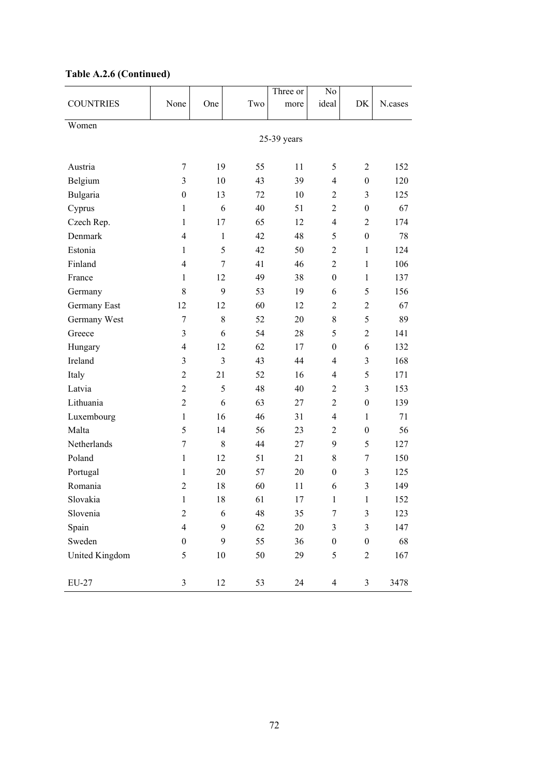|                  |                  |     |                      | Three or    | No               |                         |         |
|------------------|------------------|-----|----------------------|-------------|------------------|-------------------------|---------|
| <b>COUNTRIES</b> | None             | One | Two                  | more        | ideal            | DK                      | N.cases |
| Women            |                  |     |                      |             |                  |                         |         |
|                  |                  |     |                      | 25-39 years |                  |                         |         |
|                  |                  |     |                      |             |                  |                         |         |
| Austria          | 7                | 19  | 55                   | 11          | 5                | $\overline{2}$          | 152     |
| Belgium          | 3                | 10  | 43                   | 39          | $\overline{4}$   | $\boldsymbol{0}$        | 120     |
| Bulgaria         | $\boldsymbol{0}$ | 13  | 72                   | 10          | $\overline{2}$   | 3                       | 125     |
| Cyprus           | $\mathbf{1}$     |     | 6<br>40              | 51          | $\overline{2}$   | $\boldsymbol{0}$        | 67      |
| Czech Rep.       | $\mathbf{1}$     | 17  | 65                   | 12          | $\overline{4}$   | $\overline{2}$          | 174     |
| Denmark          | $\overline{4}$   |     | 42<br>$\mathbf{1}$   | 48          | 5                | $\boldsymbol{0}$        | 78      |
| Estonia          | $\mathbf{1}$     |     | 5<br>42              | 50          | $\overline{2}$   | $\mathbf{1}$            | 124     |
| Finland          | $\overline{4}$   |     | $\overline{7}$<br>41 | 46          | $\overline{2}$   | $\mathbf{1}$            | 106     |
| France           | $\mathbf{1}$     | 12  | 49                   | 38          | $\boldsymbol{0}$ | $\mathbf{1}$            | 137     |
| Germany          | 8                |     | 9<br>53              | 19          | 6                | 5                       | 156     |
| Germany East     | 12               | 12  | 60                   | 12          | $\overline{2}$   | $\overline{2}$          | 67      |
| Germany West     | $\overline{7}$   |     | $8\,$<br>52          | 20          | $\,$ 8 $\,$      | 5                       | 89      |
| Greece           | 3                |     | 6<br>54              | 28          | 5                | $\overline{2}$          | 141     |
| Hungary          | $\overline{4}$   | 12  | 62                   | 17          | $\boldsymbol{0}$ | 6                       | 132     |
| Ireland          | 3                |     | 3<br>43              | 44          | $\overline{4}$   | 3                       | 168     |
| Italy            | $\overline{2}$   | 21  | 52                   | 16          | $\overline{4}$   | 5                       | 171     |
| Latvia           | $\overline{2}$   |     | 5<br>48              | 40          | $\overline{2}$   | $\overline{3}$          | 153     |
| Lithuania        | $\overline{2}$   |     | 63<br>6              | 27          | $\overline{2}$   | $\boldsymbol{0}$        | 139     |
| Luxembourg       | $\mathbf{1}$     | 16  | 46                   | 31          | $\overline{4}$   | $\mathbf{1}$            | 71      |
| Malta            | 5                | 14  | 56                   | 23          | $\overline{2}$   | $\boldsymbol{0}$        | 56      |
| Netherlands      | $\overline{7}$   |     | $\,$ 8 $\,$<br>44    | 27          | 9                | 5                       | 127     |
| Poland           | $\mathbf{1}$     | 12  | 51                   | 21          | $\,$ 8 $\,$      | $\overline{7}$          | 150     |
| Portugal         | 1                | 20  | 57                   | 20          | $\boldsymbol{0}$ | $\mathfrak{Z}$          | 125     |
| Romania          | $\overline{2}$   | 18  | 60                   | 11          | 6                | $\overline{\mathbf{3}}$ | 149     |
| Slovakia         | $\,1$            | 18  | 61                   | 17          | $\mathbf{1}$     | $\,1$                   | 152     |
| Slovenia         | $\overline{2}$   |     | 6<br>48              | 35          | $\boldsymbol{7}$ | $\mathfrak{Z}$          | 123     |
| Spain            | $\overline{4}$   |     | 9<br>62              | $20\,$      | $\mathfrak{Z}$   | $\overline{3}$          | 147     |
| Sweden           | $\boldsymbol{0}$ |     | 9<br>55              | 36          | $\boldsymbol{0}$ | $\boldsymbol{0}$        | 68      |
| United Kingdom   | 5                | 10  | 50                   | 29          | 5                | $\mathbf{2}$            | 167     |
| EU-27            | $\mathfrak{Z}$   | 12  | 53                   | 24          | $\overline{4}$   | 3                       | 3478    |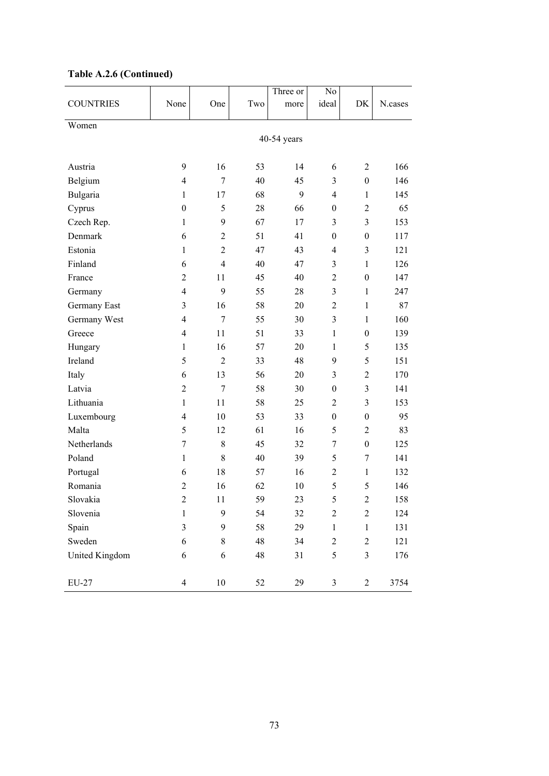|                       |                         |                |     | Three or    | No               |                  |         |
|-----------------------|-------------------------|----------------|-----|-------------|------------------|------------------|---------|
| <b>COUNTRIES</b>      | None                    | One            | Two | more        | ideal            | DK               | N.cases |
| Women                 |                         |                |     |             |                  |                  |         |
|                       |                         |                |     | 40-54 years |                  |                  |         |
|                       |                         |                |     |             |                  |                  |         |
| Austria               | 9                       | 16             | 53  | 14          | 6                | $\overline{2}$   | 166     |
| Belgium               | $\overline{4}$          | $\overline{7}$ | 40  | 45          | 3                | $\boldsymbol{0}$ | 146     |
| Bulgaria              | $\mathbf{1}$            | 17             | 68  | 9           | $\overline{4}$   | $\mathbf{1}$     | 145     |
| Cyprus                | $\boldsymbol{0}$        | 5              | 28  | 66          | $\boldsymbol{0}$ | $\sqrt{2}$       | 65      |
| Czech Rep.            | $\mathbf{1}$            | 9              | 67  | 17          | 3                | 3                | 153     |
| Denmark               | 6                       | $\overline{2}$ | 51  | 41          | $\boldsymbol{0}$ | $\boldsymbol{0}$ | 117     |
| Estonia               | $\mathbf{1}$            | $\overline{2}$ | 47  | 43          | $\overline{4}$   | $\mathfrak{Z}$   | 121     |
| Finland               | 6                       | $\overline{4}$ | 40  | 47          | 3                | $\mathbf{1}$     | 126     |
| France                | $\overline{2}$          | 11             | 45  | 40          | $\overline{2}$   | $\boldsymbol{0}$ | 147     |
| Germany               | $\overline{4}$          | 9              | 55  | 28          | $\overline{3}$   | $\mathbf{1}$     | 247     |
| Germany East          | 3                       | 16             | 58  | 20          | $\overline{2}$   | $\mathbf{1}$     | 87      |
| Germany West          | $\overline{4}$          | $\overline{7}$ | 55  | 30          | 3                | $\mathbf{1}$     | 160     |
| Greece                | $\overline{4}$          | 11             | 51  | 33          | $\mathbf{1}$     | $\boldsymbol{0}$ | 139     |
| Hungary               | $\mathbf{1}$            | 16             | 57  | 20          | $\mathbf{1}$     | 5                | 135     |
| Ireland               | 5                       | $\overline{2}$ | 33  | 48          | 9                | 5                | 151     |
| Italy                 | 6                       | 13             | 56  | 20          | 3                | $\overline{2}$   | 170     |
| Latvia                | $\overline{2}$          | $\overline{7}$ | 58  | 30          | $\boldsymbol{0}$ | 3                | 141     |
| Lithuania             | $\mathbf{1}$            | 11             | 58  | 25          | $\overline{2}$   | 3                | 153     |
| Luxembourg            | $\overline{4}$          | 10             | 53  | 33          | $\boldsymbol{0}$ | $\boldsymbol{0}$ | 95      |
| Malta                 | 5                       | 12             | 61  | 16          | 5                | $\overline{2}$   | 83      |
| Netherlands           | $\overline{7}$          | $\,8\,$        | 45  | 32          | $\overline{7}$   | $\boldsymbol{0}$ | 125     |
| Poland                | $\mathbf{1}$            | $8\,$          | 40  | 39          | 5                | $\overline{7}$   | 141     |
| Portugal              | 6                       | 18             | 57  | 16          | $\overline{2}$   | $\mathbf{1}$     | 132     |
| Romania               | $\overline{2}$          | 16             | 62  | 10          | 5                | 5                | 146     |
| Slovakia              | $\overline{c}$          | 11             | 59  | 23          | 5                | $\overline{c}$   | 158     |
| Slovenia              | $\mathbf{1}$            | 9              | 54  | 32          | $\sqrt{2}$       | $\overline{2}$   | 124     |
| Spain                 | $\overline{\mathbf{3}}$ | 9              | 58  | 29          | $\,1$            | $\mathbf{1}$     | 131     |
| Sweden                | 6                       | $8\,$          | 48  | 34          | $\mathbf{2}$     | $\mathfrak{2}$   | 121     |
| <b>United Kingdom</b> | 6                       | 6              | 48  | 31          | 5                | $\mathfrak{Z}$   | 176     |
| EU-27                 | $\overline{4}$          | $10\,$         | 52  | 29          | $\mathfrak{Z}$   | $\overline{c}$   | 3754    |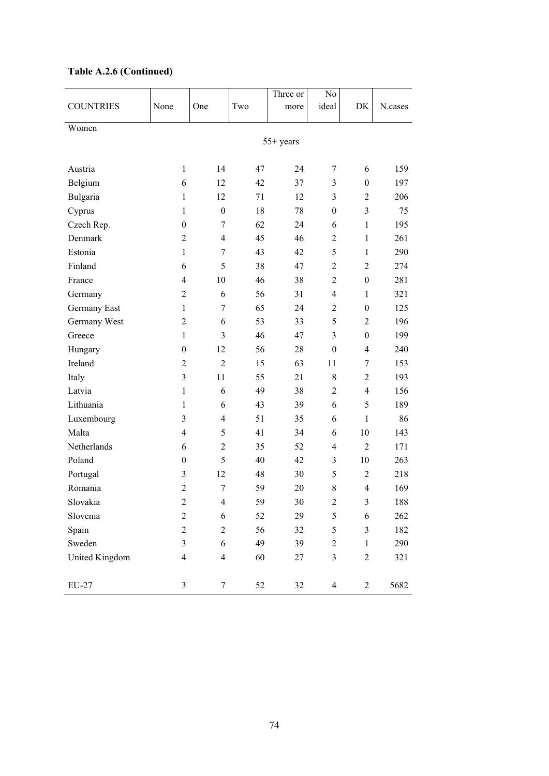|                       |                         |                          |     | Three or    | No                      |                  |         |
|-----------------------|-------------------------|--------------------------|-----|-------------|-------------------------|------------------|---------|
| <b>COUNTRIES</b>      | None                    | One                      | Two | more        | ideal                   | DK               | N.cases |
|                       |                         |                          |     |             |                         |                  |         |
| Women                 |                         |                          |     |             |                         |                  |         |
|                       |                         |                          |     | $55+$ years |                         |                  |         |
| Austria               | $\mathbf{1}$            | 14                       | 47  | 24          | 7                       | 6                | 159     |
| Belgium               | 6                       | 12                       | 42  | 37          | 3                       | $\boldsymbol{0}$ | 197     |
|                       |                         |                          |     |             |                         | $\overline{2}$   | 206     |
| Bulgaria              | $\mathbf{1}$            | 12                       | 71  | 12          | 3                       |                  |         |
| Cyprus                | $\mathbf{1}$            | $\boldsymbol{0}$         | 18  | 78          | $\boldsymbol{0}$        | 3                | 75      |
| Czech Rep.            | $\boldsymbol{0}$        | 7                        | 62  | 24          | 6                       | 1                | 195     |
| Denmark               | $\overline{2}$          | $\overline{4}$           | 45  | 46          | $\overline{2}$          | $\mathbf{1}$     | 261     |
| Estonia               | $\mathbf{1}$            | 7                        | 43  | 42          | 5                       | 1                | 290     |
| Finland               | 6                       | 5                        | 38  | 47          | $\overline{2}$          | $\overline{2}$   | 274     |
| France                | $\overline{4}$          | 10                       | 46  | 38          | $\overline{2}$          | $\boldsymbol{0}$ | 281     |
| Germany               | $\overline{2}$          | 6                        | 56  | 31          | $\overline{4}$          | $\mathbf{1}$     | 321     |
| Germany East          | $\mathbf{1}$            | 7                        | 65  | 24          | $\overline{2}$          | $\boldsymbol{0}$ | 125     |
| Germany West          | $\overline{2}$          | 6                        | 53  | 33          | 5                       | $\overline{2}$   | 196     |
| Greece                | $\mathbf{1}$            | 3                        | 46  | 47          | 3                       | $\boldsymbol{0}$ | 199     |
| Hungary               | $\boldsymbol{0}$        | 12                       | 56  | 28          | $\boldsymbol{0}$        | $\overline{4}$   | 240     |
| Ireland               | $\overline{2}$          | $\overline{2}$           | 15  | 63          | 11                      | 7                | 153     |
| Italy                 | 3                       | 11                       | 55  | 21          | $\,$ 8 $\,$             | $\overline{2}$   | 193     |
| Latvia                | $\mathbf{1}$            | 6                        | 49  | 38          | $\overline{2}$          | $\overline{4}$   | 156     |
| Lithuania             | $\mathbf{1}$            | 6                        | 43  | 39          | 6                       | 5                | 189     |
| Luxembourg            | 3                       | $\overline{4}$           | 51  | 35          | 6                       | 1                | 86      |
| Malta                 | $\overline{4}$          | 5                        | 41  | 34          | 6                       | 10               | 143     |
| Netherlands           | 6                       | $\overline{2}$           | 35  | 52          | $\overline{4}$          | $\overline{2}$   | 171     |
| Poland                | $\boldsymbol{0}$        | 5                        | 40  | 42          | 3                       | 10               | 263     |
| Portugal              | 3                       | 12                       | 48  | 30          | 5                       | $\overline{2}$   | 218     |
| Romania               | $\overline{c}$          | $\overline{7}$           | 59  | 20          | 8                       | $\overline{4}$   | 169     |
| Slovakia              | $\overline{\mathbf{c}}$ | 4                        | 59  | 30          | $\overline{\mathbf{c}}$ | 3                | 188     |
| Slovenia              | $\overline{c}$          | $\boldsymbol{6}$         | 52  | 29          | 5                       | 6                | 262     |
| Spain                 | $\overline{c}$          | $\overline{c}$           | 56  | 32          | 5                       | $\overline{3}$   | 182     |
| Sweden                | $\overline{\mathbf{3}}$ | 6                        | 49  | 39          | $\boldsymbol{2}$        | $\mathbf{1}$     | 290     |
| <b>United Kingdom</b> | $\overline{4}$          | $\overline{\mathcal{L}}$ | 60  | 27          | $\mathfrak{Z}$          | $\mathbf{2}$     | 321     |
|                       |                         |                          |     |             |                         |                  |         |
| EU-27                 | $\mathfrak{Z}$          | $\tau$                   | 52  | 32          | $\overline{4}$          | $\overline{2}$   | 5682    |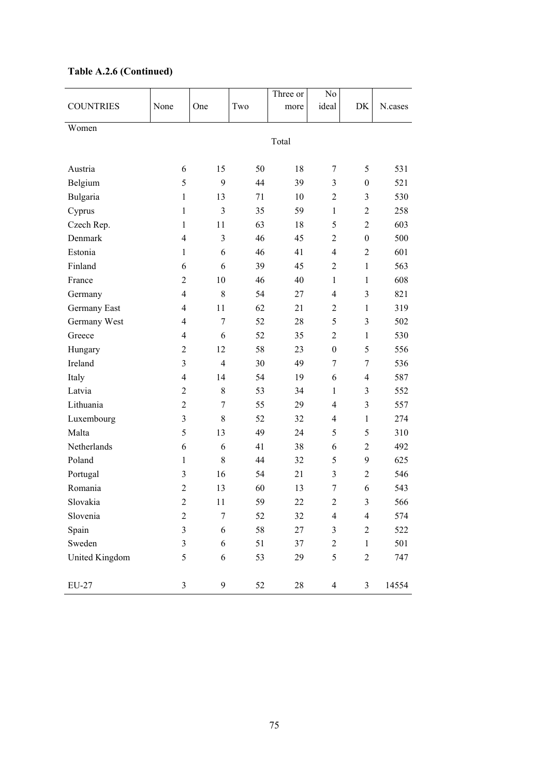|                       |                         |                  |     | Three or | No               |                  |         |
|-----------------------|-------------------------|------------------|-----|----------|------------------|------------------|---------|
| <b>COUNTRIES</b>      | None                    | One              | Two | more     | ideal            | DK               | N.cases |
|                       |                         |                  |     |          |                  |                  |         |
| Women                 |                         |                  |     |          |                  |                  |         |
|                       |                         |                  |     | Total    |                  |                  |         |
|                       |                         |                  |     |          |                  |                  |         |
| Austria               | 6                       | 15               | 50  | 18       | 7                | 5                | 531     |
| Belgium               | 5                       | 9                | 44  | 39       | 3                | $\boldsymbol{0}$ | 521     |
| Bulgaria              | $\mathbf{1}$            | 13               | 71  | 10       | $\overline{c}$   | 3                | 530     |
| Cyprus                | $\mathbf{1}$            | 3                | 35  | 59       | $\mathbf{1}$     | $\mathbf{2}$     | 258     |
| Czech Rep.            | $\mathbf{1}$            | 11               | 63  | 18       | 5                | $\overline{2}$   | 603     |
| Denmark               | $\overline{4}$          | 3                | 46  | 45       | $\overline{c}$   | $\boldsymbol{0}$ | 500     |
| Estonia               | $\mathbf{1}$            | 6                | 46  | 41       | 4                | $\sqrt{2}$       | 601     |
| Finland               | 6                       | 6                | 39  | 45       | $\overline{2}$   | $\mathbf{1}$     | 563     |
| France                | $\overline{2}$          | 10               | 46  | 40       | $\mathbf{1}$     | 1                | 608     |
| Germany               | $\overline{4}$          | $\,8\,$          | 54  | 27       | $\overline{4}$   | 3                | 821     |
| Germany East          | $\overline{4}$          | 11               | 62  | 21       | $\overline{2}$   | $\mathbf{1}$     | 319     |
| Germany West          | $\overline{4}$          | $\overline{7}$   | 52  | 28       | 5                | 3                | 502     |
| Greece                | $\overline{4}$          | 6                | 52  | 35       | $\overline{2}$   | $\mathbf{1}$     | 530     |
| Hungary               | $\overline{2}$          | 12               | 58  | 23       | $\boldsymbol{0}$ | 5                | 556     |
| Ireland               | 3                       | $\overline{4}$   | 30  | 49       | 7                | 7                | 536     |
| Italy                 | $\overline{4}$          | 14               | 54  | 19       | 6                | $\overline{4}$   | 587     |
| Latvia                | $\overline{2}$          | $\,$ 8 $\,$      | 53  | 34       | $\mathbf{1}$     | 3                | 552     |
| Lithuania             | $\overline{2}$          | $\overline{7}$   | 55  | 29       | $\overline{4}$   | 3                | 557     |
| Luxembourg            | $\overline{\mathbf{3}}$ | $\,$ 8 $\,$      | 52  | 32       | $\overline{4}$   | $\mathbf{1}$     | 274     |
| Malta                 | 5                       | 13               | 49  | 24       | 5                | 5                | 310     |
| Netherlands           | 6                       | 6                | 41  | 38       | 6                | $\overline{2}$   | 492     |
| Poland                | $\mathbf{1}$            | $\,8\,$          | 44  | 32       | 5                | 9                | 625     |
| Portugal              | 3                       | 16               | 54  | 21       | 3                | $\overline{2}$   | 546     |
| Romania               | $\overline{2}$          | 13               | 60  | 13       | $\overline{7}$   | 6                | 543     |
| Slovakia              | 2                       | 11               | 59  | 22       | 2                | 3                | 566     |
| Slovenia              | $\overline{2}$          | 7                | 52  | 32       | $\overline{4}$   | $\overline{4}$   | 574     |
| Spain                 | $\mathfrak{Z}$          | 6                | 58  | 27       | $\mathfrak{Z}$   | $\overline{2}$   | 522     |
| Sweden                | 3                       | 6                | 51  | 37       | $\overline{c}$   | $\mathbf{1}$     | 501     |
| <b>United Kingdom</b> | 5                       | $\sqrt{6}$       | 53  | 29       | 5                | $\mathbf{2}$     | 747     |
|                       |                         |                  |     |          |                  |                  |         |
| EU-27                 | 3                       | $\boldsymbol{9}$ | 52  | 28       | $\overline{4}$   | $\mathfrak{Z}$   | 14554   |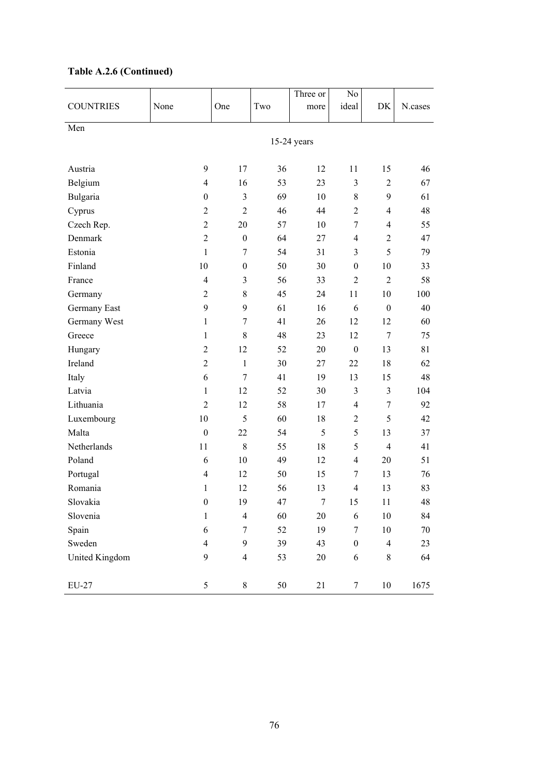|                       |                         |                          |     | Three or         | No               |                  |         |
|-----------------------|-------------------------|--------------------------|-----|------------------|------------------|------------------|---------|
| <b>COUNTRIES</b>      | None                    | One                      | Two | more             | ideal            | DK               | N.cases |
| Men                   |                         |                          |     |                  |                  |                  |         |
|                       |                         |                          |     | 15-24 years      |                  |                  |         |
|                       |                         |                          |     |                  |                  |                  |         |
| Austria               | 9                       | 17                       | 36  | 12               | 11               | 15               | 46      |
| Belgium               | $\overline{4}$          | 16                       | 53  | 23               | 3                | $\overline{2}$   | 67      |
| Bulgaria              | $\boldsymbol{0}$        | $\overline{\mathbf{3}}$  | 69  | 10               | $\,$ 8 $\,$      | 9                | 61      |
| Cyprus                | $\overline{2}$          | $\overline{2}$           | 46  | 44               | $\overline{2}$   | $\overline{4}$   | 48      |
| Czech Rep.            | $\overline{2}$          | 20                       | 57  | 10               | $\overline{7}$   | $\overline{4}$   | 55      |
| Denmark               | $\overline{2}$          | $\boldsymbol{0}$         | 64  | 27               | $\overline{4}$   | $\overline{2}$   | 47      |
| Estonia               | $\mathbf{1}$            | $\boldsymbol{7}$         | 54  | 31               | 3                | 5                | 79      |
| Finland               | 10                      | $\boldsymbol{0}$         | 50  | 30               | $\boldsymbol{0}$ | 10               | 33      |
| France                | $\overline{4}$          | $\overline{\mathbf{3}}$  | 56  | 33               | $\overline{2}$   | $\overline{2}$   | 58      |
| Germany               | $\overline{2}$          | $\,8\,$                  | 45  | 24               | 11               | 10               | 100     |
| Germany East          | $\mathbf{9}$            | 9                        | 61  | 16               | 6                | $\boldsymbol{0}$ | 40      |
| Germany West          | $\mathbf{1}$            | $\boldsymbol{7}$         | 41  | 26               | 12               | 12               | 60      |
| Greece                | $\mathbf{1}$            | 8                        | 48  | 23               | 12               | $\tau$           | 75      |
| Hungary               | $\overline{2}$          | 12                       | 52  | 20               | $\boldsymbol{0}$ | 13               | 81      |
| Ireland               | $\overline{2}$          | $\mathbf{1}$             | 30  | 27               | 22               | 18               | 62      |
| Italy                 | $\sqrt{6}$              | $\overline{7}$           | 41  | 19               | 13               | 15               | 48      |
| Latvia                | $\mathbf{1}$            | 12                       | 52  | 30               | 3                | $\overline{3}$   | 104     |
| Lithuania             | $\overline{2}$          | 12                       | 58  | 17               | $\overline{4}$   | $\tau$           | 92      |
| Luxembourg            | 10                      | 5                        | 60  | 18               | $\boldsymbol{2}$ | 5                | 42      |
| Malta                 | $\boldsymbol{0}$        | 22                       | 54  | 5                | 5                | 13               | 37      |
| Netherlands           | 11                      | 8                        | 55  | 18               | 5                | $\overline{4}$   | 41      |
| Poland                | 6                       | 10                       | 49  | 12               | $\overline{4}$   | 20               | 51      |
| Portugal              | $\overline{4}$          | 12                       | 50  | 15               | $\tau$           | 13               | 76      |
| Romania               | $\mathbf{1}$            | 12                       | 56  | 13               | $\overline{4}$   | 13               | 83      |
| Slovakia              | $\boldsymbol{0}$        | 19                       | 47  | $\boldsymbol{7}$ | 15               | 11               | 48      |
| Slovenia              | $\mathbf{1}$            | $\overline{\mathcal{L}}$ | 60  | 20               | $\sqrt{6}$       | 10               | 84      |
| Spain                 | 6                       | 7                        | 52  | 19               | 7                | 10               | 70      |
| Sweden                | $\overline{\mathbf{4}}$ | 9                        | 39  | 43               | $\boldsymbol{0}$ | $\overline{4}$   | 23      |
| <b>United Kingdom</b> | 9                       | $\overline{\mathcal{L}}$ | 53  | $20\,$           | 6                | $\,$ 8 $\,$      | 64      |
| EU-27                 | 5                       | $\,$ $\,$                | 50  | 21               | $\tau$           | $10\,$           | 1675    |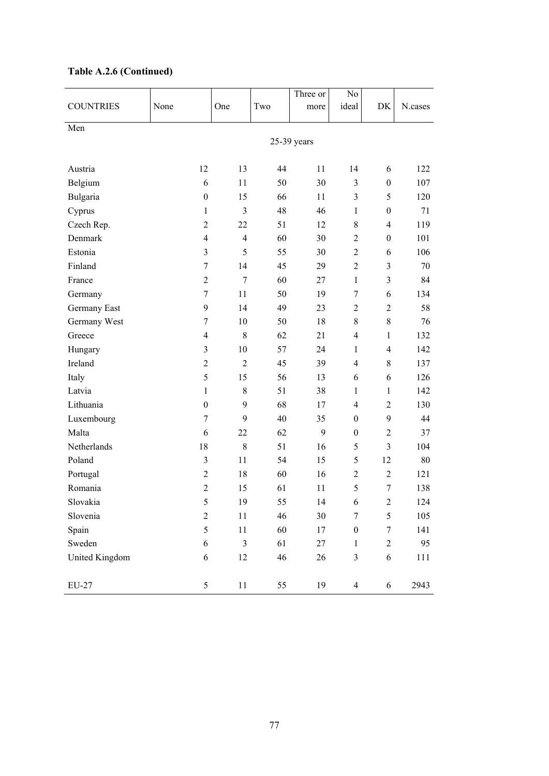|                  |                         |                         |     | Three or    | No               |                  |         |
|------------------|-------------------------|-------------------------|-----|-------------|------------------|------------------|---------|
| <b>COUNTRIES</b> | None                    | One                     | Two | more        | ideal            | DK               | N.cases |
| Men              |                         |                         |     |             |                  |                  |         |
|                  |                         |                         |     | 25-39 years |                  |                  |         |
|                  |                         |                         |     |             |                  |                  |         |
| Austria          | 12                      | 13                      | 44  | 11          | 14               | 6                | 122     |
| Belgium          | 6                       | 11                      | 50  | 30          | 3                | $\mathbf{0}$     | 107     |
| Bulgaria         | $\boldsymbol{0}$        | 15                      | 66  | 11          | 3                | 5                | 120     |
| Cyprus           | $\mathbf{1}$            | $\overline{3}$          | 48  | 46          | $\mathbf{1}$     | $\boldsymbol{0}$ | 71      |
| Czech Rep.       | $\overline{2}$          | 22                      | 51  | 12          | 8                | $\overline{4}$   | 119     |
| Denmark          | $\overline{4}$          | $\overline{4}$          | 60  | 30          | $\overline{2}$   | $\mathbf{0}$     | 101     |
| Estonia          | $\mathfrak{Z}$          | 5                       | 55  | 30          | $\overline{2}$   | 6                | 106     |
| Finland          | $\overline{7}$          | 14                      | 45  | 29          | $\overline{c}$   | $\overline{3}$   | 70      |
| France           | $\overline{2}$          | $\overline{7}$          | 60  | 27          | $\mathbf{1}$     | $\overline{3}$   | 84      |
| Germany          | $\boldsymbol{7}$        | 11                      | 50  | 19          | $\boldsymbol{7}$ | 6                | 134     |
| Germany East     | 9                       | 14                      | 49  | 23          | $\overline{c}$   | $\sqrt{2}$       | 58      |
| Germany West     | $\boldsymbol{7}$        | 10                      | 50  | 18          | 8                | $8\,$            | 76      |
| Greece           | $\overline{\mathbf{4}}$ | $\,8\,$                 | 62  | 21          | $\overline{4}$   | $\mathbf{1}$     | 132     |
| Hungary          | $\overline{\mathbf{3}}$ | 10                      | 57  | 24          | $\mathbf{1}$     | $\overline{4}$   | 142     |
| Ireland          | $\overline{2}$          | $\overline{2}$          | 45  | 39          | $\overline{4}$   | $8\,$            | 137     |
| Italy            | 5                       | 15                      | 56  | 13          | 6                | 6                | 126     |
| Latvia           | $\mathbf{1}$            | $8\,$                   | 51  | 38          | $\mathbf{1}$     | $\mathbf{1}$     | 142     |
| Lithuania        | $\boldsymbol{0}$        | 9                       | 68  | 17          | $\overline{4}$   | $\overline{2}$   | 130     |
| Luxembourg       | $\boldsymbol{7}$        | 9                       | 40  | 35          | $\boldsymbol{0}$ | 9                | 44      |
| Malta            | 6                       | 22                      | 62  | 9           | $\boldsymbol{0}$ | $\overline{2}$   | 37      |
| Netherlands      | 18                      | 8                       | 51  | 16          | 5                | $\overline{3}$   | 104     |
| Poland           | $\overline{\mathbf{3}}$ | 11                      | 54  | 15          | 5                | 12               | 80      |
| Portugal         | $\overline{c}$          | 18                      | 60  | 16          | $\overline{2}$   | $\sqrt{2}$       | 121     |
| Romania          | $\overline{c}$          | 15                      | 61  | 11          | 5                | $\boldsymbol{7}$ | 138     |
| Slovakia         | 5                       | 19                      | 55  | 14          | 6                | $\overline{c}$   | 124     |
| Slovenia         | $\overline{c}$          | 11                      | 46  | 30          | $\overline{7}$   | 5                | 105     |
| Spain            | 5                       | 11                      | 60  | 17          | $\boldsymbol{0}$ | $\tau$           | 141     |
| Sweden           | 6                       | $\overline{\mathbf{3}}$ | 61  | $27\,$      | $\mathbf{1}$     | $\mathfrak{2}$   | 95      |
| United Kingdom   | 6                       | 12                      | 46  | 26          | 3                | 6                | 111     |
|                  |                         |                         |     |             |                  |                  |         |
| EU-27            | $\mathfrak s$           | 11                      | 55  | 19          | $\overline{4}$   | 6                | 2943    |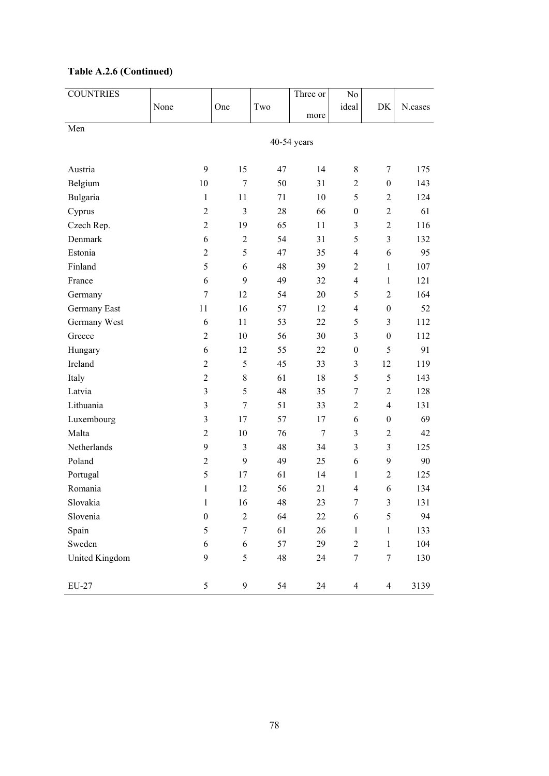| <b>COUNTRIES</b>      |                  |                  |     | Three or       | No               |                         |         |
|-----------------------|------------------|------------------|-----|----------------|------------------|-------------------------|---------|
|                       | None             | One              | Two |                | ideal            | DK                      | N.cases |
| Men                   |                  |                  |     | more           |                  |                         |         |
|                       |                  |                  |     | 40-54 years    |                  |                         |         |
|                       |                  |                  |     |                |                  |                         |         |
| Austria               | 9                | 15               | 47  | 14             | $\,$ 8 $\,$      | $\tau$                  | 175     |
| Belgium               | 10               | $\tau$           | 50  | 31             | $\overline{2}$   | $\boldsymbol{0}$        | 143     |
| Bulgaria              | $\mathbf{1}$     | 11               | 71  | 10             | 5                | $\overline{2}$          | 124     |
| Cyprus                | $\boldsymbol{2}$ | $\overline{3}$   | 28  | 66             | $\boldsymbol{0}$ | $\overline{2}$          | 61      |
| Czech Rep.            | $\sqrt{2}$       | 19               | 65  | 11             | 3                | $\overline{2}$          | 116     |
| Denmark               | 6                | $\overline{2}$   | 54  | 31             | 5                | $\overline{3}$          | 132     |
| Estonia               | $\sqrt{2}$       | 5                | 47  | 35             | $\overline{4}$   | 6                       | 95      |
| Finland               | 5                | 6                | 48  | 39             | $\overline{2}$   | $\mathbf{1}$            | 107     |
| France                | 6                | 9                | 49  | 32             | $\overline{4}$   | $\mathbf{1}$            | 121     |
| Germany               | $\overline{7}$   | 12               | 54  | 20             | 5                | $\overline{2}$          | 164     |
| Germany East          | 11               | 16               | 57  | 12             | $\overline{4}$   | $\boldsymbol{0}$        | 52      |
| Germany West          | 6                | 11               | 53  | 22             | 5                | $\overline{\mathbf{3}}$ | 112     |
| Greece                | $\overline{2}$   | 10               | 56  | 30             | 3                | $\boldsymbol{0}$        | 112     |
| Hungary               | $\sqrt{6}$       | 12               | 55  | 22             | $\boldsymbol{0}$ | 5                       | 91      |
| Ireland               | $\overline{c}$   | 5                | 45  | 33             | 3                | 12                      | 119     |
| Italy                 | $\overline{2}$   | $8\,$            | 61  | 18             | 5                | 5                       | 143     |
| Latvia                | $\overline{3}$   | 5                | 48  | 35             | 7                | $\overline{2}$          | 128     |
| Lithuania             | $\overline{3}$   | $\overline{7}$   | 51  | 33             | $\overline{2}$   | $\overline{4}$          | 131     |
| Luxembourg            | 3                | 17               | 57  | 17             | 6                | $\boldsymbol{0}$        | 69      |
| Malta                 | $\overline{2}$   | 10               | 76  | $\overline{7}$ | 3                | $\overline{2}$          | 42      |
| Netherlands           | 9                | 3                | 48  | 34             | 3                | $\overline{3}$          | 125     |
| Poland                | $\overline{2}$   | 9                | 49  | 25             | 6                | 9                       | 90      |
| Portugal              | 5                | 17               | 61  | 14             | $\mathbf{1}$     | $\sqrt{2}$              | 125     |
| Romania               | $\mathbf{1}$     | 12               | 56  | 21             | $\overline{4}$   | 6                       | 134     |
| Slovakia              | 1                | 16               | 48  | 23             | 7                | 3                       | 131     |
| Slovenia              | $\boldsymbol{0}$ | $\overline{2}$   | 64  | 22             | 6                | 5                       | 94      |
| Spain                 | 5                | $\boldsymbol{7}$ | 61  | 26             | $\mathbf{1}$     | $\mathbf{1}$            | 133     |
| Sweden                | $\boldsymbol{6}$ | 6                | 57  | 29             | $\overline{2}$   | $\mathbf{1}$            | 104     |
| <b>United Kingdom</b> | 9                | 5                | 48  | 24             | $\tau$           | $\tau$                  | 130     |
| EU-27                 | $\sqrt{5}$       | 9                | 54  | 24             | $\overline{4}$   | $\overline{4}$          | 3139    |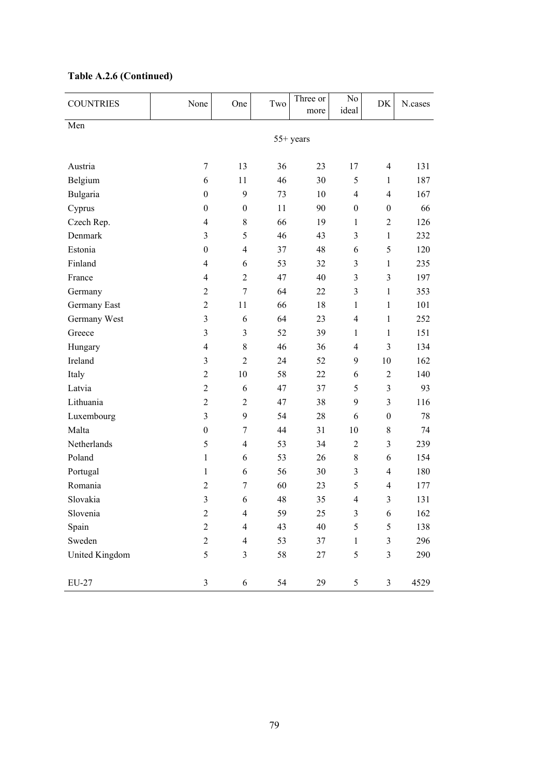| <b>COUNTRIES</b>      | None                    | One              | Two | Three or<br>more | No<br>ideal              | DK                       | N.cases |
|-----------------------|-------------------------|------------------|-----|------------------|--------------------------|--------------------------|---------|
| Men                   |                         |                  |     |                  |                          |                          |         |
|                       |                         |                  |     | $55+ years$      |                          |                          |         |
|                       |                         |                  |     |                  |                          |                          |         |
| Austria               | $\boldsymbol{7}$        | 13               | 36  | 23               | 17                       | $\overline{4}$           | 131     |
| Belgium               | 6                       | 11               | 46  | 30               | 5                        | $\mathbf{1}$             | 187     |
| Bulgaria              | $\boldsymbol{0}$        | 9                | 73  | 10               | $\overline{4}$           | $\overline{4}$           | 167     |
| Cyprus                | $\boldsymbol{0}$        | $\boldsymbol{0}$ | 11  | 90               | $\boldsymbol{0}$         | $\boldsymbol{0}$         | 66      |
| Czech Rep.            | $\overline{4}$          | $\,8\,$          | 66  | 19               | $\mathbf{1}$             | $\overline{2}$           | 126     |
| Denmark               | $\overline{\mathbf{3}}$ | 5                | 46  | 43               | 3                        | $\mathbf{1}$             | 232     |
| Estonia               | $\boldsymbol{0}$        | $\overline{4}$   | 37  | 48               | 6                        | 5                        | 120     |
| Finland               | $\overline{4}$          | 6                | 53  | 32               | 3                        | $\mathbf{1}$             | 235     |
| France                | $\overline{4}$          | $\overline{2}$   | 47  | 40               | $\mathfrak{Z}$           | $\overline{\mathbf{3}}$  | 197     |
| Germany               | $\overline{c}$          | $\overline{7}$   | 64  | 22               | 3                        | $\mathbf{1}$             | 353     |
| Germany East          | $\sqrt{2}$              | 11               | 66  | 18               | $\mathbf{1}$             | $\mathbf{1}$             | 101     |
| Germany West          | $\overline{\mathbf{3}}$ | 6                | 64  | 23               | $\overline{\mathcal{A}}$ | $\mathbf{1}$             | 252     |
| Greece                | $\mathfrak{Z}$          | $\overline{3}$   | 52  | 39               | $\mathbf{1}$             | $\mathbf{1}$             | 151     |
| Hungary               | $\overline{4}$          | $8\,$            | 46  | 36               | $\overline{\mathcal{A}}$ | 3                        | 134     |
| Ireland               | 3                       | $\overline{2}$   | 24  | 52               | 9                        | 10                       | 162     |
| Italy                 | $\overline{2}$          | 10               | 58  | 22               | 6                        | $\overline{2}$           | 140     |
| Latvia                | $\overline{2}$          | 6                | 47  | 37               | 5                        | 3                        | 93      |
| Lithuania             | $\overline{2}$          | $\overline{2}$   | 47  | 38               | 9                        | 3                        | 116     |
| Luxembourg            | 3                       | 9                | 54  | 28               | 6                        | $\boldsymbol{0}$         | 78      |
| Malta                 | $\boldsymbol{0}$        | 7                | 44  | 31               | 10                       | 8                        | 74      |
| Netherlands           | 5                       | $\overline{4}$   | 53  | 34               | $\overline{2}$           | $\overline{3}$           | 239     |
| Poland                | $\mathbf{1}$            | 6                | 53  | 26               | 8                        | 6                        | 154     |
| Portugal              | 1                       | 6                | 56  | 30               | 3                        | $\overline{4}$           | 180     |
| Romania               | $\overline{c}$          | $\sqrt{ }$       | 60  | 23               | 5                        | $\overline{\mathcal{A}}$ | 177     |
| Slovakia              | 3                       | 6                | 48  | 35               | $\overline{4}$           | $\overline{3}$           | 131     |
| Slovenia              | $\sqrt{2}$              | $\overline{4}$   | 59  | 25               | 3                        | 6                        | 162     |
| Spain                 | $\overline{2}$          | $\overline{4}$   | 43  | 40               | 5                        | 5                        | 138     |
| Sweden                | $\overline{2}$          | $\overline{4}$   | 53  | 37               | $\mathbf{1}$             | 3                        | 296     |
| <b>United Kingdom</b> | 5                       | $\mathfrak{Z}$   | 58  | 27               | 5                        | $\overline{\mathbf{3}}$  | 290     |
| EU-27                 | $\mathfrak{Z}$          | $\sqrt{6}$       | 54  | 29               | 5                        | $\mathfrak{Z}$           | 4529    |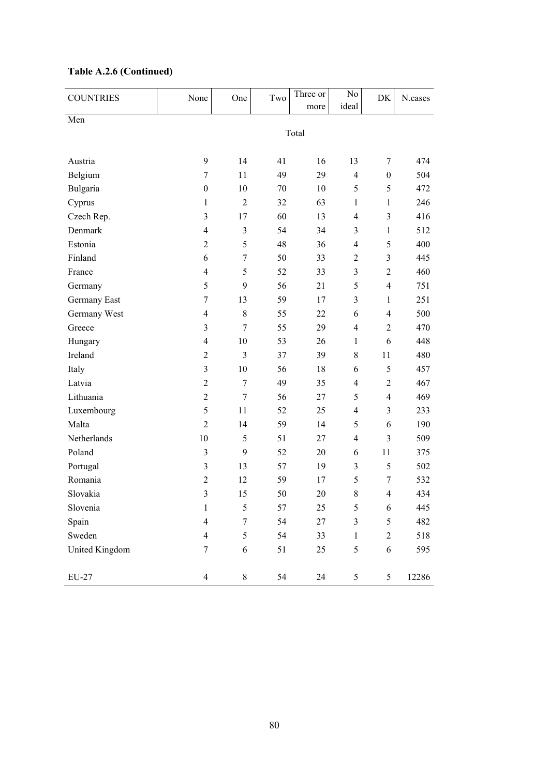| <b>COUNTRIES</b>      | None             | One              | Two | Three or<br>more | No<br>ideal              | DK               | N.cases |
|-----------------------|------------------|------------------|-----|------------------|--------------------------|------------------|---------|
| Men                   |                  |                  |     |                  |                          |                  |         |
|                       |                  |                  |     | Total            |                          |                  |         |
|                       |                  |                  |     |                  |                          |                  |         |
| Austria               | 9                | 14               | 41  | 16               | 13                       | $\tau$           | 474     |
| Belgium               | $\boldsymbol{7}$ | 11               | 49  | 29               | $\overline{4}$           | $\boldsymbol{0}$ | 504     |
| Bulgaria              | $\boldsymbol{0}$ | 10               | 70  | 10               | 5                        | 5                | 472     |
| Cyprus                | $\mathbf{1}$     | $\mathbf 2$      | 32  | 63               | $\mathbf{1}$             | $\mathbf{1}$     | 246     |
| Czech Rep.            | $\mathfrak{Z}$   | 17               | 60  | 13               | $\overline{4}$           | 3                | 416     |
| Denmark               | $\overline{4}$   | $\mathfrak{Z}$   | 54  | 34               | $\mathfrak{Z}$           | $\mathbf{1}$     | 512     |
| Estonia               | $\overline{2}$   | 5                | 48  | 36               | $\overline{4}$           | 5                | 400     |
| Finland               | 6                | $\boldsymbol{7}$ | 50  | 33               | $\overline{2}$           | 3                | 445     |
| France                | $\overline{4}$   | 5                | 52  | 33               | $\mathfrak{Z}$           | $\overline{2}$   | 460     |
| Germany               | 5                | 9                | 56  | 21               | 5                        | $\overline{4}$   | 751     |
| Germany East          | $\boldsymbol{7}$ | 13               | 59  | 17               | 3                        | $\mathbf{1}$     | 251     |
| Germany West          | $\overline{4}$   | $\,8\,$          | 55  | 22               | 6                        | $\overline{4}$   | 500     |
| Greece                | $\mathfrak{Z}$   | $\overline{7}$   | 55  | 29               | $\overline{4}$           | $\overline{2}$   | 470     |
| Hungary               | $\overline{4}$   | 10               | 53  | 26               | $\mathbf{1}$             | 6                | 448     |
| Ireland               | $\overline{2}$   | $\overline{3}$   | 37  | 39               | 8                        | 11               | 480     |
| Italy                 | $\mathfrak{Z}$   | 10               | 56  | 18               | 6                        | 5                | 457     |
| Latvia                | $\overline{2}$   | $\boldsymbol{7}$ | 49  | 35               | $\overline{\mathcal{A}}$ | $\overline{2}$   | 467     |
| Lithuania             | $\overline{c}$   | $\boldsymbol{7}$ | 56  | 27               | 5                        | $\overline{4}$   | 469     |
| Luxembourg            | 5                | 11               | 52  | 25               | $\overline{4}$           | $\overline{3}$   | 233     |
| Malta                 | $\overline{2}$   | 14               | 59  | 14               | 5                        | 6                | 190     |
| Netherlands           | 10               | 5                | 51  | 27               | $\overline{4}$           | 3                | 509     |
| Poland                | $\overline{3}$   | 9                | 52  | 20               | 6                        | 11               | 375     |
| Portugal              | $\mathfrak{Z}$   | 13               | 57  | 19               | 3                        | 5                | 502     |
| Romania               | $\sqrt{2}$       | 12               | 59  | 17               | 5                        | 7                | 532     |
| Slovakia              | 3                | 15               | 50  | 20               | 8                        | $\overline{4}$   | 434     |
| Slovenia              | $\mathbf{1}$     | 5                | 57  | 25               | 5                        | 6                | 445     |
| Spain                 | $\overline{4}$   | $\boldsymbol{7}$ | 54  | 27               | $\mathfrak{Z}$           | 5                | 482     |
| Sweden                | $\overline{4}$   | 5                | 54  | 33               | $\mathbf{1}$             | $\sqrt{2}$       | 518     |
| <b>United Kingdom</b> | 7                | 6                | 51  | 25               | 5                        | 6                | 595     |
| EU-27                 | $\overline{4}$   | $8\,$            | 54  | 24               | 5                        | 5                | 12286   |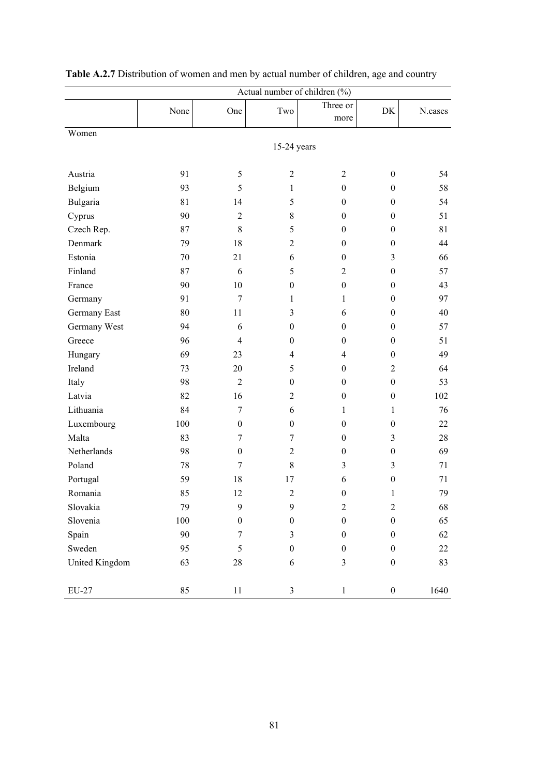|                       | Actual number of children (%) |                  |                  |                  |                  |         |  |  |  |
|-----------------------|-------------------------------|------------------|------------------|------------------|------------------|---------|--|--|--|
|                       | None                          | One              | Two              | Three or<br>more | $\rm DK$         | N.cases |  |  |  |
| Women                 |                               |                  |                  |                  |                  |         |  |  |  |
|                       |                               |                  | 15-24 years      |                  |                  |         |  |  |  |
|                       |                               |                  |                  |                  |                  |         |  |  |  |
| Austria               | 91                            | 5                | $\overline{2}$   | $\overline{2}$   | $\boldsymbol{0}$ | 54      |  |  |  |
| Belgium               | 93                            | 5                | $\mathbf{1}$     | $\mathbf{0}$     | $\boldsymbol{0}$ | 58      |  |  |  |
| Bulgaria              | 81                            | 14               | 5                | $\mathbf{0}$     | $\boldsymbol{0}$ | 54      |  |  |  |
| Cyprus                | 90                            | $\overline{2}$   | $\,$ 8 $\,$      | $\mathbf{0}$     | $\boldsymbol{0}$ | 51      |  |  |  |
| Czech Rep.            | 87                            | 8                | 5                | $\mathbf{0}$     | $\boldsymbol{0}$ | 81      |  |  |  |
| Denmark               | 79                            | 18               | $\overline{2}$   | $\boldsymbol{0}$ | $\boldsymbol{0}$ | 44      |  |  |  |
| Estonia               | 70                            | 21               | 6                | $\mathbf{0}$     | 3                | 66      |  |  |  |
| Finland               | 87                            | 6                | 5                | $\overline{c}$   | $\boldsymbol{0}$ | 57      |  |  |  |
| France                | 90                            | 10               | $\boldsymbol{0}$ | $\boldsymbol{0}$ | $\boldsymbol{0}$ | 43      |  |  |  |
| Germany               | 91                            | $\overline{7}$   | 1                | 1                | $\boldsymbol{0}$ | 97      |  |  |  |
| Germany East          | 80                            | 11               | 3                | 6                | $\boldsymbol{0}$ | 40      |  |  |  |
| Germany West          | 94                            | 6                | $\boldsymbol{0}$ | $\boldsymbol{0}$ | $\boldsymbol{0}$ | 57      |  |  |  |
| Greece                | 96                            | $\overline{4}$   | $\boldsymbol{0}$ | $\mathbf{0}$     | $\boldsymbol{0}$ | 51      |  |  |  |
| Hungary               | 69                            | 23               | 4                | $\overline{4}$   | $\boldsymbol{0}$ | 49      |  |  |  |
| Ireland               | 73                            | 20               | 5                | $\mathbf{0}$     | $\overline{2}$   | 64      |  |  |  |
| Italy                 | 98                            | $\overline{2}$   | $\boldsymbol{0}$ | $\boldsymbol{0}$ | $\boldsymbol{0}$ | 53      |  |  |  |
| Latvia                | 82                            | 16               | $\overline{2}$   | $\boldsymbol{0}$ | $\boldsymbol{0}$ | 102     |  |  |  |
| Lithuania             | 84                            | $\overline{7}$   | 6                | $\mathbf{1}$     | $\mathbf{1}$     | 76      |  |  |  |
| Luxembourg            | 100                           | $\boldsymbol{0}$ | $\boldsymbol{0}$ | $\mathbf{0}$     | $\boldsymbol{0}$ | 22      |  |  |  |
| Malta                 | 83                            | 7                | $\overline{7}$   | $\boldsymbol{0}$ | 3                | 28      |  |  |  |
| Netherlands           | 98                            | $\boldsymbol{0}$ | $\overline{2}$   | $\boldsymbol{0}$ | $\boldsymbol{0}$ | 69      |  |  |  |
| Poland                | 78                            | $\overline{7}$   | 8                | 3                | 3                | 71      |  |  |  |
| Portugal              | 59                            | 18               | 17               | 6                | $\boldsymbol{0}$ | 71      |  |  |  |
| Romania               | 85                            | 12               | $\overline{2}$   | $\boldsymbol{0}$ | $\mathbf{1}$     | 79      |  |  |  |
| Slovakia              | 79                            | 9                | 9                | $\sqrt{2}$       | $\boldsymbol{2}$ | 68      |  |  |  |
| Slovenia              | 100                           | $\boldsymbol{0}$ | $\boldsymbol{0}$ | $\boldsymbol{0}$ | $\boldsymbol{0}$ | 65      |  |  |  |
| Spain                 | 90                            | $\boldsymbol{7}$ | 3                | $\boldsymbol{0}$ | $\boldsymbol{0}$ | 62      |  |  |  |
| Sweden                | 95                            | 5                | $\boldsymbol{0}$ | $\boldsymbol{0}$ | $\boldsymbol{0}$ | $22\,$  |  |  |  |
| <b>United Kingdom</b> | 63                            | $28\,$           | 6                | $\mathfrak{Z}$   | $\boldsymbol{0}$ | 83      |  |  |  |
| EU-27                 | 85                            | 11               | $\mathfrak{Z}$   | $\,1$            | $\boldsymbol{0}$ | 1640    |  |  |  |

# **Table A.2.7** Distribution of women and men by actual number of children, age and country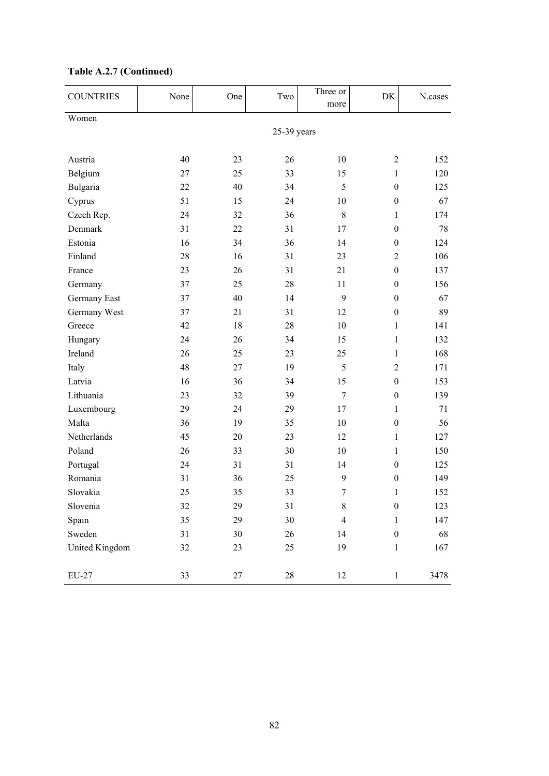| <b>COUNTRIES</b> | None | One | Two           | Three or<br>more | DK               | N.cases |
|------------------|------|-----|---------------|------------------|------------------|---------|
| Women            |      |     |               |                  |                  |         |
|                  |      |     | $25-39$ years |                  |                  |         |
|                  |      |     |               |                  |                  |         |
| Austria          | 40   | 23  | 26            | 10               | $\overline{2}$   | 152     |
| Belgium          | 27   | 25  | 33            | 15               | $\mathbf{1}$     | 120     |
| Bulgaria         | 22   | 40  | 34            | 5                | $\boldsymbol{0}$ | 125     |
| Cyprus           | 51   | 15  | 24            | 10               | $\boldsymbol{0}$ | 67      |
| Czech Rep.       | 24   | 32  | 36            | 8                | $\mathbf{1}$     | 174     |
| Denmark          | 31   | 22  | 31            | 17               | $\boldsymbol{0}$ | 78      |
| Estonia          | 16   | 34  | 36            | 14               | $\boldsymbol{0}$ | 124     |
| Finland          | 28   | 16  | 31            | 23               | $\overline{c}$   | 106     |
| France           | 23   | 26  | 31            | 21               | $\boldsymbol{0}$ | 137     |
| Germany          | 37   | 25  | 28            | 11               | $\boldsymbol{0}$ | 156     |
| Germany East     | 37   | 40  | 14            | 9                | $\boldsymbol{0}$ | 67      |
| Germany West     | 37   | 21  | 31            | 12               | $\boldsymbol{0}$ | 89      |
| Greece           | 42   | 18  | 28            | 10               | $\mathbf{1}$     | 141     |
| Hungary          | 24   | 26  | 34            | 15               | $\mathbf{1}$     | 132     |
| Ireland          | 26   | 25  | 23            | 25               | $\mathbf{1}$     | 168     |
| Italy            | 48   | 27  | 19            | 5                | $\overline{2}$   | 171     |
| Latvia           | 16   | 36  | 34            | 15               | $\boldsymbol{0}$ | 153     |
| Lithuania        | 23   | 32  | 39            | $\tau$           | $\boldsymbol{0}$ | 139     |
| Luxembourg       | 29   | 24  | 29            | 17               | $\mathbf{1}$     | 71      |
| Malta            | 36   | 19  | 35            | 10               | $\boldsymbol{0}$ | 56      |
| Netherlands      | 45   | 20  | 23            | 12               | $\mathbf{1}$     | 127     |
| Poland           | 26   | 33  | 30            | 10               | $\mathbf{1}$     | 150     |
| Portugal         | 24   | 31  | 31            | 14               | $\boldsymbol{0}$ | 125     |
| Romania          | 31   | 36  | 25            | 9                | $\boldsymbol{0}$ | 149     |
| Slovakia         | 25   | 35  | 33            | $\tau$           | $\mathbf{1}$     | 152     |
| Slovenia         | 32   | 29  | 31            | $\,$ 8 $\,$      | $\boldsymbol{0}$ | 123     |
| Spain            | 35   | 29  | 30            | $\overline{4}$   | $\mathbf{1}$     | 147     |
| Sweden           | 31   | 30  | $26\,$        | 14               | $\boldsymbol{0}$ | 68      |
| United Kingdom   | 32   | 23  | 25            | 19               | $\,1$            | 167     |
| EU-27            | 33   | 27  | $28\,$        | 12               | $\,1$            | 3478    |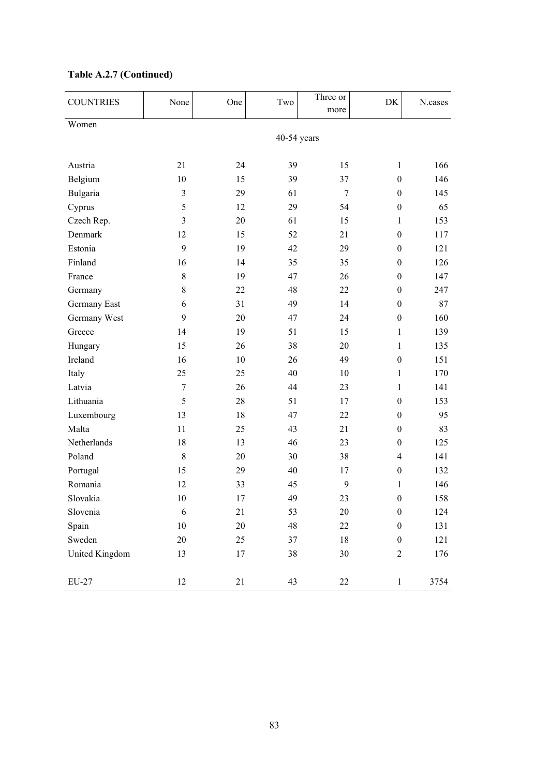| <b>COUNTRIES</b> | None                    | One    | Two         | Three or<br>more | DK               | N.cases |
|------------------|-------------------------|--------|-------------|------------------|------------------|---------|
| Women            |                         |        |             |                  |                  |         |
|                  |                         |        | 40-54 years |                  |                  |         |
|                  |                         |        |             |                  |                  |         |
| Austria          | 21                      | 24     | 39          | 15               | $\mathbf{1}$     | 166     |
| Belgium          | $10\,$                  | 15     | 39          | 37               | $\boldsymbol{0}$ | 146     |
| Bulgaria         | $\overline{\mathbf{3}}$ | 29     | 61          | $\overline{7}$   | $\boldsymbol{0}$ | 145     |
| Cyprus           | 5                       | 12     | 29          | 54               | $\boldsymbol{0}$ | 65      |
| Czech Rep.       | $\overline{\mathbf{3}}$ | 20     | 61          | 15               | $\mathbf{1}$     | 153     |
| Denmark          | 12                      | 15     | 52          | 21               | $\boldsymbol{0}$ | 117     |
| Estonia          | 9                       | 19     | 42          | 29               | $\boldsymbol{0}$ | 121     |
| Finland          | 16                      | 14     | 35          | 35               | $\boldsymbol{0}$ | 126     |
| France           | $8\,$                   | 19     | 47          | 26               | $\boldsymbol{0}$ | 147     |
| Germany          | 8                       | 22     | 48          | 22               | $\boldsymbol{0}$ | 247     |
| Germany East     | 6                       | 31     | 49          | 14               | $\boldsymbol{0}$ | 87      |
| Germany West     | 9                       | 20     | 47          | 24               | $\boldsymbol{0}$ | 160     |
| Greece           | 14                      | 19     | 51          | 15               | $\mathbf{1}$     | 139     |
| Hungary          | 15                      | 26     | 38          | 20               | $\mathbf{1}$     | 135     |
| Ireland          | 16                      | 10     | 26          | 49               | $\boldsymbol{0}$ | 151     |
| Italy            | 25                      | 25     | 40          | 10               | $\mathbf{1}$     | 170     |
| Latvia           | $\tau$                  | 26     | 44          | 23               | $\mathbf{1}$     | 141     |
| Lithuania        | 5                       | 28     | 51          | 17               | $\boldsymbol{0}$ | 153     |
| Luxembourg       | 13                      | 18     | 47          | 22               | $\boldsymbol{0}$ | 95      |
| Malta            | 11                      | 25     | 43          | 21               | $\boldsymbol{0}$ | 83      |
| Netherlands      | $18\,$                  | 13     | 46          | 23               | $\boldsymbol{0}$ | 125     |
| Poland           | $\,8\,$                 | 20     | 30          | 38               | $\overline{4}$   | 141     |
| Portugal         | 15                      | 29     | 40          | 17               | $\boldsymbol{0}$ | 132     |
| Romania          | 12                      | 33     | 45          | 9                | $\mathbf{1}$     | 146     |
| Slovakia         | 10                      | 17     | 49          | 23               | $\boldsymbol{0}$ | 158     |
| Slovenia         | $\sqrt{6}$              | 21     | 53          | 20               | $\boldsymbol{0}$ | 124     |
| Spain            | $10\,$                  | $20\,$ | 48          | 22               | $\boldsymbol{0}$ | 131     |
| Sweden           | 20                      | 25     | 37          | 18               | $\boldsymbol{0}$ | 121     |
| United Kingdom   | 13                      | 17     | 38          | 30               | $\overline{c}$   | 176     |
|                  |                         |        |             |                  |                  |         |
| EU-27            | 12                      | $21\,$ | 43          | 22               | $\,1$            | 3754    |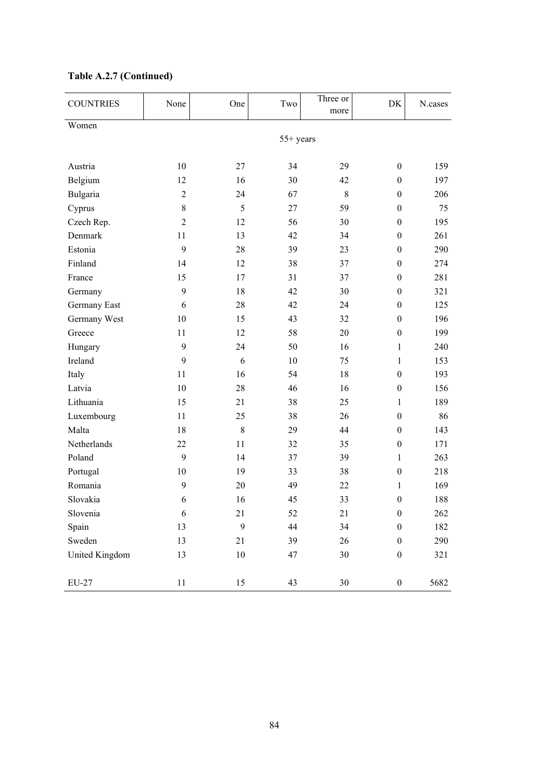| <b>COUNTRIES</b> | None           | One         | Two         | Three or<br>more | DK               | N.cases |
|------------------|----------------|-------------|-------------|------------------|------------------|---------|
| Women            |                |             |             |                  |                  |         |
|                  |                |             | $55+ years$ |                  |                  |         |
|                  |                |             |             |                  |                  |         |
| Austria          | 10             | 27          | 34          | 29               | $\boldsymbol{0}$ | 159     |
| Belgium          | 12             | 16          | 30          | 42               | $\boldsymbol{0}$ | 197     |
| Bulgaria         | $\sqrt{2}$     | 24          | 67          | $8\,$            | $\boldsymbol{0}$ | 206     |
| Cyprus           | 8              | 5           | 27          | 59               | $\boldsymbol{0}$ | 75      |
| Czech Rep.       | $\overline{2}$ | 12          | 56          | 30               | $\boldsymbol{0}$ | 195     |
| Denmark          | 11             | 13          | 42          | 34               | $\boldsymbol{0}$ | 261     |
| Estonia          | 9              | 28          | 39          | 23               | $\boldsymbol{0}$ | 290     |
| Finland          | 14             | 12          | 38          | 37               | $\boldsymbol{0}$ | 274     |
| France           | 15             | 17          | 31          | 37               | $\boldsymbol{0}$ | 281     |
| Germany          | 9              | 18          | 42          | 30               | $\boldsymbol{0}$ | 321     |
| Germany East     | 6              | 28          | 42          | 24               | $\boldsymbol{0}$ | 125     |
| Germany West     | 10             | 15          | 43          | 32               | $\boldsymbol{0}$ | 196     |
| Greece           | 11             | 12          | 58          | 20               | $\boldsymbol{0}$ | 199     |
| Hungary          | 9              | 24          | 50          | 16               | $\mathbf{1}$     | 240     |
| Ireland          | 9              | 6           | 10          | 75               | $\mathbf{1}$     | 153     |
| Italy            | 11             | 16          | 54          | 18               | $\boldsymbol{0}$ | 193     |
| Latvia           | 10             | 28          | 46          | 16               | $\boldsymbol{0}$ | 156     |
| Lithuania        | 15             | 21          | 38          | 25               | $\mathbf{1}$     | 189     |
| Luxembourg       | 11             | 25          | 38          | 26               | $\boldsymbol{0}$ | 86      |
| Malta            | 18             | $\,$ 8 $\,$ | 29          | 44               | $\boldsymbol{0}$ | 143     |
| Netherlands      | 22             | 11          | 32          | 35               | $\boldsymbol{0}$ | 171     |
| Poland           | 9              | 14          | 37          | 39               | $\mathbf{1}$     | 263     |
| Portugal         | 10             | 19          | 33          | 38               | $\boldsymbol{0}$ | 218     |
| Romania          | 9              | 20          | 49          | 22               | $\mathbf{1}$     | 169     |
| Slovakia         | 6              | 16          | 45          | 33               | $\overline{0}$   | 188     |
| Slovenia         | $\sqrt{6}$     | 21          | 52          | 21               | $\boldsymbol{0}$ | 262     |
| Spain            | 13             | 9           | 44          | 34               | $\boldsymbol{0}$ | 182     |
| Sweden           | 13             | 21          | 39          | 26               | $\boldsymbol{0}$ | 290     |
| United Kingdom   | 13             | 10          | 47          | $30\,$           | $\boldsymbol{0}$ | 321     |
| EU-27            | 11             | 15          | 43          | $30\,$           | $\boldsymbol{0}$ | 5682    |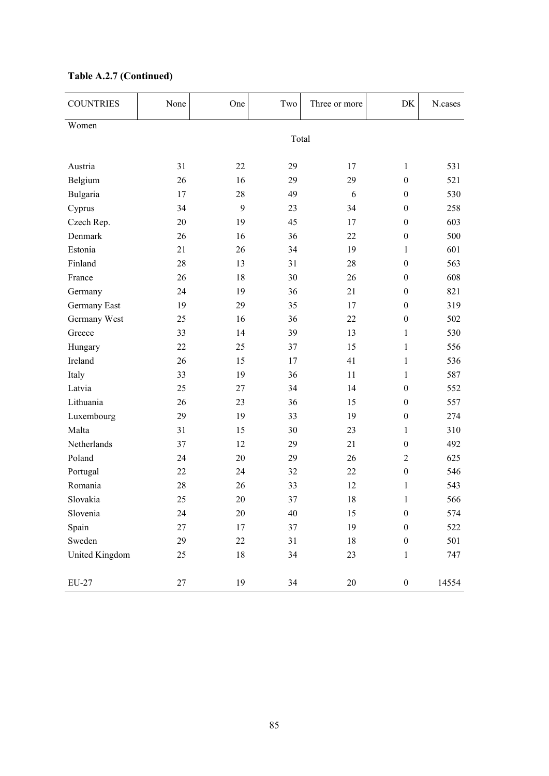| <b>COUNTRIES</b> | None | One    | Two   | Three or more | DK               | N.cases |
|------------------|------|--------|-------|---------------|------------------|---------|
| Women            |      |        |       |               |                  |         |
|                  |      |        | Total |               |                  |         |
|                  |      |        |       |               |                  |         |
| Austria          | 31   | 22     | 29    | 17            | $\mathbf{1}$     | 531     |
| Belgium          | 26   | 16     | 29    | 29            | $\boldsymbol{0}$ | 521     |
| Bulgaria         | 17   | 28     | 49    | 6             | $\boldsymbol{0}$ | 530     |
| Cyprus           | 34   | 9      | 23    | 34            | $\boldsymbol{0}$ | 258     |
| Czech Rep.       | 20   | 19     | 45    | 17            | $\boldsymbol{0}$ | 603     |
| Denmark          | 26   | 16     | 36    | 22            | $\boldsymbol{0}$ | 500     |
| Estonia          | 21   | 26     | 34    | 19            | $\mathbf{1}$     | 601     |
| Finland          | 28   | 13     | 31    | 28            | $\boldsymbol{0}$ | 563     |
| France           | 26   | 18     | 30    | 26            | $\boldsymbol{0}$ | 608     |
| Germany          | 24   | 19     | 36    | 21            | $\boldsymbol{0}$ | 821     |
| Germany East     | 19   | 29     | 35    | 17            | $\boldsymbol{0}$ | 319     |
| Germany West     | 25   | 16     | 36    | 22            | $\boldsymbol{0}$ | 502     |
| Greece           | 33   | 14     | 39    | 13            | $\mathbf{1}$     | 530     |
| Hungary          | 22   | 25     | 37    | 15            | $\mathbf{1}$     | 556     |
| Ireland          | 26   | 15     | 17    | 41            | $\mathbf{1}$     | 536     |
| Italy            | 33   | 19     | 36    | 11            | $\mathbf{1}$     | 587     |
| Latvia           | 25   | 27     | 34    | 14            | $\boldsymbol{0}$ | 552     |
| Lithuania        | 26   | 23     | 36    | 15            | $\boldsymbol{0}$ | 557     |
| Luxembourg       | 29   | 19     | 33    | 19            | $\boldsymbol{0}$ | 274     |
| Malta            | 31   | 15     | 30    | 23            | $\mathbf{1}$     | 310     |
| Netherlands      | 37   | 12     | 29    | 21            | $\boldsymbol{0}$ | 492     |
| Poland           | 24   | 20     | 29    | 26            | $\overline{2}$   | 625     |
| Portugal         | 22   | 24     | 32    | 22            | $\boldsymbol{0}$ | 546     |
| Romania          | 28   | 26     | 33    | 12            | $\mathbf{1}$     | 543     |
| Slovakia         | 25   | 20     | 37    | $18\,$        | $\mathbf{1}$     | 566     |
| Slovenia         | 24   | 20     | 40    | 15            | $\boldsymbol{0}$ | 574     |
| Spain            | 27   | 17     | 37    | 19            | $\boldsymbol{0}$ | 522     |
| Sweden           | 29   | 22     | 31    | 18            | $\boldsymbol{0}$ | 501     |
| United Kingdom   | 25   | $18\,$ | 34    | 23            | $\mathbf{1}$     | 747     |
|                  |      |        |       |               |                  |         |
| EU-27            | 27   | 19     | 34    | $20\,$        | $\boldsymbol{0}$ | 14554   |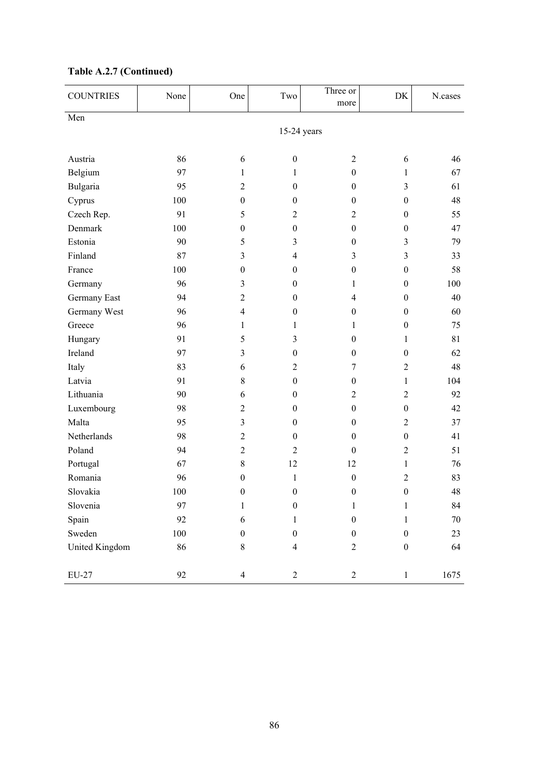| <b>COUNTRIES</b> | None | One              | Two                     | Three or<br>more | DK               | N.cases |
|------------------|------|------------------|-------------------------|------------------|------------------|---------|
| Men              |      |                  |                         |                  |                  |         |
|                  |      |                  |                         | 15-24 years      |                  |         |
| Austria          | 86   | 6                | $\boldsymbol{0}$        | $\overline{2}$   | 6                | 46      |
| Belgium          | 97   | $\mathbf{1}$     | $\mathbf{1}$            | $\boldsymbol{0}$ | $\mathbf{1}$     | 67      |
| Bulgaria         | 95   | $\overline{2}$   | $\boldsymbol{0}$        | $\boldsymbol{0}$ | 3                | 61      |
| Cyprus           | 100  | $\boldsymbol{0}$ | $\boldsymbol{0}$        | $\boldsymbol{0}$ | $\boldsymbol{0}$ | 48      |
| Czech Rep.       | 91   | 5                | $\overline{2}$          | $\overline{2}$   | $\mathbf{0}$     | 55      |
| Denmark          | 100  | $\boldsymbol{0}$ | $\boldsymbol{0}$        | $\boldsymbol{0}$ | $\boldsymbol{0}$ | 47      |
| Estonia          | 90   | 5                | $\overline{\mathbf{3}}$ | $\boldsymbol{0}$ | 3                | 79      |
| Finland          | 87   | 3                | $\overline{4}$          | 3                | 3                | 33      |
| France           | 100  | $\boldsymbol{0}$ | $\boldsymbol{0}$        | $\boldsymbol{0}$ | $\boldsymbol{0}$ | 58      |
| Germany          | 96   | 3                | $\boldsymbol{0}$        | $\mathbf{1}$     | $\boldsymbol{0}$ | 100     |
| Germany East     | 94   | $\overline{2}$   | $\boldsymbol{0}$        | $\overline{4}$   | $\mathbf{0}$     | 40      |
| Germany West     | 96   | $\overline{4}$   | $\boldsymbol{0}$        | $\boldsymbol{0}$ | $\boldsymbol{0}$ | 60      |
| Greece           | 96   | 1                | 1                       | 1                | $\boldsymbol{0}$ | 75      |
| Hungary          | 91   | 5                | 3                       | $\boldsymbol{0}$ | 1                | 81      |
| Ireland          | 97   | 3                | $\boldsymbol{0}$        | $\boldsymbol{0}$ | $\boldsymbol{0}$ | 62      |
| Italy            | 83   | 6                | $\overline{c}$          | $\tau$           | $\overline{2}$   | 48      |
| Latvia           | 91   | 8                | $\boldsymbol{0}$        | $\boldsymbol{0}$ | 1                | 104     |
| Lithuania        | 90   | 6                | $\boldsymbol{0}$        | $\overline{2}$   | $\overline{2}$   | 92      |
| Luxembourg       | 98   | $\overline{2}$   | $\boldsymbol{0}$        | $\boldsymbol{0}$ | $\boldsymbol{0}$ | 42      |
| Malta            | 95   | 3                | $\boldsymbol{0}$        | $\boldsymbol{0}$ | $\overline{2}$   | 37      |
| Netherlands      | 98   | $\overline{2}$   | $\boldsymbol{0}$        | $\boldsymbol{0}$ | $\mathbf{0}$     | 41      |
| Poland           | 94   | $\overline{2}$   | $\overline{2}$          | $\boldsymbol{0}$ | $\overline{2}$   | 51      |
| Portugal         | 67   | 8                | 12                      | 12               | $\mathbf{1}$     | 76      |
| Romania          | 96   | $\boldsymbol{0}$ | $\mathbf{1}$            | $\boldsymbol{0}$ | $\overline{2}$   | 83      |
| Slovakia         | 100  | $\boldsymbol{0}$ | $\boldsymbol{0}$        | $\boldsymbol{0}$ | $\boldsymbol{0}$ | 48      |
| Slovenia         | 97   | $\mathbf{1}$     | $\boldsymbol{0}$        | $\mathbf{1}$     | $\mathbf{1}$     | 84      |
| Spain            | 92   | 6                | $\mathbf{1}$            | $\boldsymbol{0}$ | $\mathbf{1}$     | $70\,$  |
| Sweden           | 100  | $\boldsymbol{0}$ | $\boldsymbol{0}$        | $\boldsymbol{0}$ | $\boldsymbol{0}$ | 23      |
| United Kingdom   | 86   | $8\,$            | $\overline{4}$          | $\sqrt{2}$       | $\boldsymbol{0}$ | 64      |
| EU-27            | 92   | $\overline{4}$   | $\overline{c}$          | $\sqrt{2}$       | $\mathbf{1}$     | 1675    |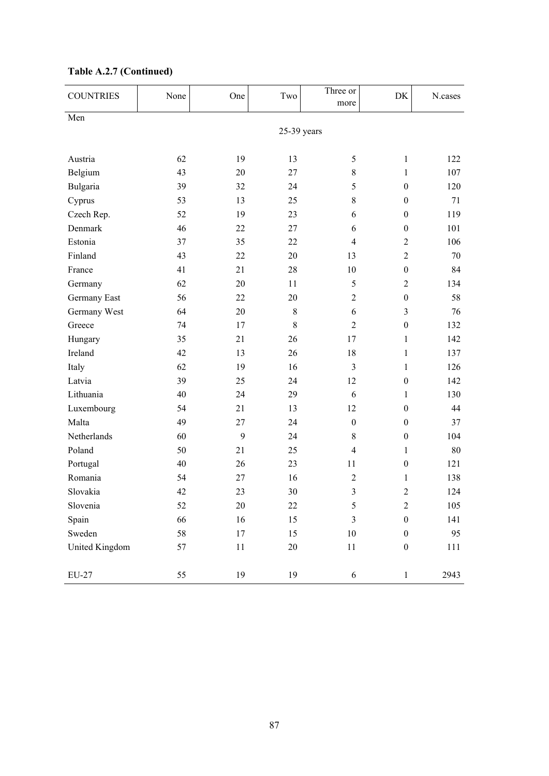| <b>COUNTRIES</b> | None        | One    | Two    | Three or<br>more | DK               | N.cases |  |  |  |
|------------------|-------------|--------|--------|------------------|------------------|---------|--|--|--|
| Men              |             |        |        |                  |                  |         |  |  |  |
|                  | 25-39 years |        |        |                  |                  |         |  |  |  |
| Austria          | 62          | 19     | 13     | 5                | $\mathbf{1}$     | 122     |  |  |  |
| Belgium          | 43          | 20     | 27     | $\,8\,$          | $\mathbf{1}$     | 107     |  |  |  |
| Bulgaria         | 39          | 32     | 24     | 5                | $\boldsymbol{0}$ | 120     |  |  |  |
| Cyprus           | 53          | 13     | 25     | $8\,$            | $\boldsymbol{0}$ | 71      |  |  |  |
| Czech Rep.       | 52          | 19     | 23     | 6                | $\boldsymbol{0}$ | 119     |  |  |  |
| Denmark          | 46          | 22     | 27     | 6                | $\boldsymbol{0}$ | 101     |  |  |  |
| Estonia          | 37          | 35     | 22     | $\overline{4}$   | $\overline{2}$   | 106     |  |  |  |
| Finland          | 43          | 22     | 20     | 13               | $\overline{2}$   | 70      |  |  |  |
| France           | 41          | 21     | 28     | 10               | $\boldsymbol{0}$ | 84      |  |  |  |
| Germany          | 62          | 20     | 11     | 5                | $\overline{2}$   | 134     |  |  |  |
| Germany East     | 56          | 22     | 20     | $\overline{2}$   | $\boldsymbol{0}$ | 58      |  |  |  |
| Germany West     | 64          | 20     | 8      | 6                | 3                | 76      |  |  |  |
| Greece           | 74          | 17     | 8      | $\overline{2}$   | $\boldsymbol{0}$ | 132     |  |  |  |
| Hungary          | 35          | 21     | 26     | 17               | $\mathbf{1}$     | 142     |  |  |  |
| Ireland          | 42          | 13     | 26     | 18               | $\mathbf{1}$     | 137     |  |  |  |
| Italy            | 62          | 19     | 16     | $\mathfrak{Z}$   | $\mathbf{1}$     | 126     |  |  |  |
| Latvia           | 39          | 25     | 24     | 12               | $\boldsymbol{0}$ | 142     |  |  |  |
| Lithuania        | 40          | 24     | 29     | 6                | $\mathbf{1}$     | 130     |  |  |  |
| Luxembourg       | 54          | 21     | 13     | 12               | $\boldsymbol{0}$ | 44      |  |  |  |
| Malta            | 49          | 27     | 24     | $\boldsymbol{0}$ | $\boldsymbol{0}$ | 37      |  |  |  |
| Netherlands      | 60          | 9      | 24     | $8\,$            | $\boldsymbol{0}$ | 104     |  |  |  |
| Poland           | 50          | 21     | 25     | $\overline{4}$   | $\mathbf{1}$     | 80      |  |  |  |
| Portugal         | 40          | 26     | 23     | 11               | $\boldsymbol{0}$ | 121     |  |  |  |
| Romania          | 54          | 27     | 16     | $\overline{2}$   | 1                | 138     |  |  |  |
| Slovakia         | 42          | 23     | 30     | $\mathfrak{Z}$   | $\overline{2}$   | 124     |  |  |  |
| Slovenia         | 52          | $20\,$ | 22     | $\mathfrak s$    | $\sqrt{2}$       | 105     |  |  |  |
| Spain            | 66          | 16     | 15     | $\mathfrak{Z}$   | $\boldsymbol{0}$ | 141     |  |  |  |
| Sweden           | 58          | 17     | 15     | $10\,$           | $\boldsymbol{0}$ | 95      |  |  |  |
| United Kingdom   | 57          | 11     | $20\,$ | 11               | $\boldsymbol{0}$ | 111     |  |  |  |
| EU-27            | 55          | 19     | 19     | $\sqrt{6}$       | $\,1$            | 2943    |  |  |  |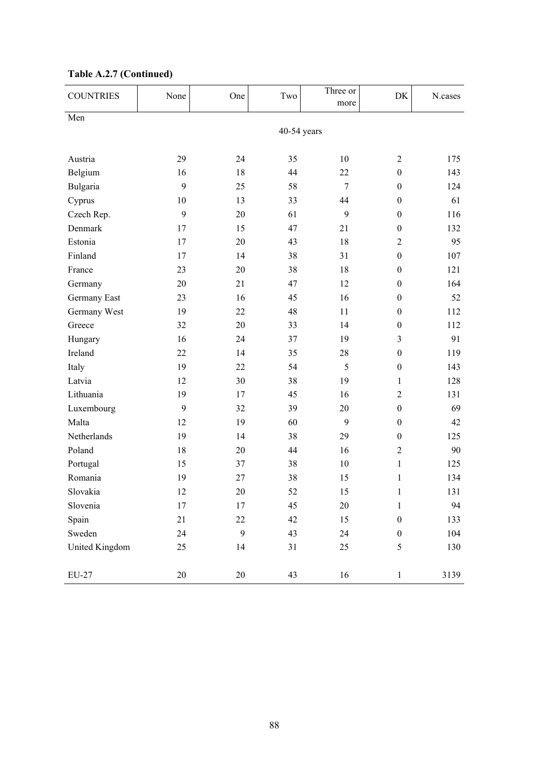| <b>COUNTRIES</b> | None   | One         | Two | Three or<br>more | DK               | N.cases |  |  |  |  |
|------------------|--------|-------------|-----|------------------|------------------|---------|--|--|--|--|
| Men              |        |             |     |                  |                  |         |  |  |  |  |
|                  |        | 40-54 years |     |                  |                  |         |  |  |  |  |
|                  |        |             |     |                  |                  |         |  |  |  |  |
| Austria          | 29     | 24          | 35  | 10               | $\overline{2}$   | 175     |  |  |  |  |
| Belgium          | 16     | 18          | 44  | 22               | $\boldsymbol{0}$ | 143     |  |  |  |  |
| Bulgaria         | 9      | 25          | 58  | $\overline{7}$   | $\boldsymbol{0}$ | 124     |  |  |  |  |
| Cyprus           | 10     | 13          | 33  | 44               | $\boldsymbol{0}$ | 61      |  |  |  |  |
| Czech Rep.       | 9      | 20          | 61  | 9                | $\boldsymbol{0}$ | 116     |  |  |  |  |
| Denmark          | 17     | 15          | 47  | 21               | $\boldsymbol{0}$ | 132     |  |  |  |  |
| Estonia          | 17     | 20          | 43  | 18               | $\overline{2}$   | 95      |  |  |  |  |
| Finland          | 17     | 14          | 38  | 31               | $\boldsymbol{0}$ | 107     |  |  |  |  |
| France           | 23     | 20          | 38  | 18               | $\boldsymbol{0}$ | 121     |  |  |  |  |
| Germany          | 20     | 21          | 47  | 12               | $\boldsymbol{0}$ | 164     |  |  |  |  |
| Germany East     | 23     | 16          | 45  | 16               | $\boldsymbol{0}$ | 52      |  |  |  |  |
| Germany West     | 19     | 22          | 48  | 11               | $\boldsymbol{0}$ | 112     |  |  |  |  |
| Greece           | 32     | 20          | 33  | 14               | $\boldsymbol{0}$ | 112     |  |  |  |  |
| Hungary          | 16     | 24          | 37  | 19               | $\overline{3}$   | 91      |  |  |  |  |
| Ireland          | 22     | 14          | 35  | 28               | $\boldsymbol{0}$ | 119     |  |  |  |  |
| Italy            | 19     | 22          | 54  | 5                | $\boldsymbol{0}$ | 143     |  |  |  |  |
| Latvia           | 12     | 30          | 38  | 19               | $\mathbf{1}$     | 128     |  |  |  |  |
| Lithuania        | 19     | 17          | 45  | 16               | $\boldsymbol{2}$ | 131     |  |  |  |  |
| Luxembourg       | 9      | 32          | 39  | 20               | $\boldsymbol{0}$ | 69      |  |  |  |  |
| Malta            | 12     | 19          | 60  | 9                | $\boldsymbol{0}$ | 42      |  |  |  |  |
| Netherlands      | 19     | 14          | 38  | 29               | $\boldsymbol{0}$ | 125     |  |  |  |  |
| Poland           | 18     | 20          | 44  | 16               | $\overline{2}$   | 90      |  |  |  |  |
| Portugal         | 15     | 37          | 38  | 10               | $\mathbf{1}$     | 125     |  |  |  |  |
| Romania          | 19     | 27          | 38  | 15               | $\mathbf{1}$     | 134     |  |  |  |  |
| Slovakia         | 12     | 20          | 52  | 15               | $\mathbf{1}$     | 131     |  |  |  |  |
| Slovenia         | 17     | 17          | 45  | 20               | 1                | 94      |  |  |  |  |
| Spain            | 21     | 22          | 42  | 15               | $\boldsymbol{0}$ | 133     |  |  |  |  |
| Sweden           | 24     | 9           | 43  | 24               | $\boldsymbol{0}$ | 104     |  |  |  |  |
| United Kingdom   | 25     | 14          | 31  | 25               | 5                | 130     |  |  |  |  |
|                  |        |             |     |                  |                  |         |  |  |  |  |
| EU-27            | $20\,$ | $20\,$      | 43  | 16               | $\mathbf{1}$     | 3139    |  |  |  |  |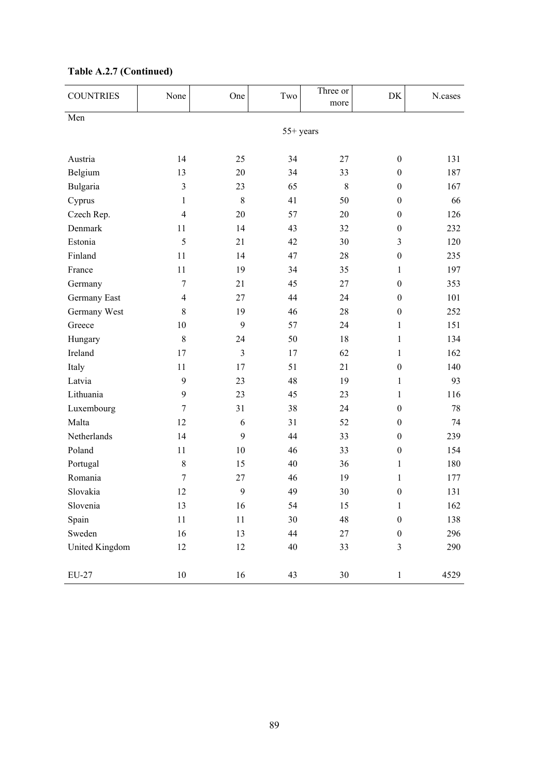| <b>COUNTRIES</b> | None           | One                     | Two | Three or<br>more | DK               | N.cases |  |  |  |  |
|------------------|----------------|-------------------------|-----|------------------|------------------|---------|--|--|--|--|
| Men              |                |                         |     |                  |                  |         |  |  |  |  |
|                  |                | $55+ years$             |     |                  |                  |         |  |  |  |  |
| Austria          | 14             | 25                      | 34  | 27               | $\boldsymbol{0}$ | 131     |  |  |  |  |
| Belgium          | 13             | 20                      | 34  | 33               | $\boldsymbol{0}$ | 187     |  |  |  |  |
| Bulgaria         | 3              | 23                      | 65  | $8\,$            | $\boldsymbol{0}$ | 167     |  |  |  |  |
| Cyprus           | $\mathbf{1}$   | 8                       | 41  | 50               | $\boldsymbol{0}$ | 66      |  |  |  |  |
| Czech Rep.       | $\overline{4}$ | 20                      | 57  | 20               | $\boldsymbol{0}$ | 126     |  |  |  |  |
| Denmark          | 11             | 14                      | 43  | 32               | $\boldsymbol{0}$ | 232     |  |  |  |  |
| Estonia          | 5              | 21                      | 42  | 30               | 3                | 120     |  |  |  |  |
| Finland          | 11             | 14                      | 47  | $28\,$           | $\boldsymbol{0}$ | 235     |  |  |  |  |
| France           | 11             | 19                      | 34  | 35               | 1                | 197     |  |  |  |  |
| Germany          | $\sqrt{ }$     | 21                      | 45  | 27               | $\boldsymbol{0}$ | 353     |  |  |  |  |
| Germany East     | $\overline{4}$ | 27                      | 44  | 24               | $\boldsymbol{0}$ | 101     |  |  |  |  |
| Germany West     | $\,8\,$        | 19                      | 46  | 28               | $\boldsymbol{0}$ | 252     |  |  |  |  |
| Greece           | 10             | 9                       | 57  | 24               | $\mathbf{1}$     | 151     |  |  |  |  |
| Hungary          | $\,8\,$        | 24                      | 50  | 18               | $\mathbf{1}$     | 134     |  |  |  |  |
| Ireland          | 17             | $\overline{\mathbf{3}}$ | 17  | 62               | $\mathbf{1}$     | 162     |  |  |  |  |
| Italy            | 11             | 17                      | 51  | 21               | $\boldsymbol{0}$ | 140     |  |  |  |  |
| Latvia           | 9              | 23                      | 48  | 19               | $\mathbf{1}$     | 93      |  |  |  |  |
| Lithuania        | 9              | 23                      | 45  | 23               | $\mathbf{1}$     | 116     |  |  |  |  |
| Luxembourg       | $\tau$         | 31                      | 38  | 24               | $\mathbf{0}$     | 78      |  |  |  |  |
| Malta            | 12             | 6                       | 31  | 52               | $\mathbf{0}$     | 74      |  |  |  |  |
| Netherlands      | 14             | 9                       | 44  | 33               | $\boldsymbol{0}$ | 239     |  |  |  |  |
| Poland           | 11             | 10                      | 46  | 33               | $\boldsymbol{0}$ | 154     |  |  |  |  |
| Portugal         | $\,8\,$        | 15                      | 40  | 36               | $\mathbf{1}$     | 180     |  |  |  |  |
| Romania          | $\tau$         | 27                      | 46  | 19               | $\mathbf{1}$     | 177     |  |  |  |  |
| Slovakia         | 12             | 9                       | 49  | 30               | $\boldsymbol{0}$ | 131     |  |  |  |  |
| Slovenia         | 13             | 16                      | 54  | 15               | $\mathbf{1}$     | 162     |  |  |  |  |
| Spain            | $11\,$         | $11\,$                  | 30  | $\sqrt{48}$      | $\boldsymbol{0}$ | 138     |  |  |  |  |
| Sweden           | 16             | 13                      | 44  | $27\,$           | $\boldsymbol{0}$ | 296     |  |  |  |  |
| United Kingdom   | 12             | 12                      | 40  | 33               | $\mathfrak{Z}$   | 290     |  |  |  |  |
| EU-27            | $10\,$         | 16                      | 43  | $30\,$           | $\,1$            | 4529    |  |  |  |  |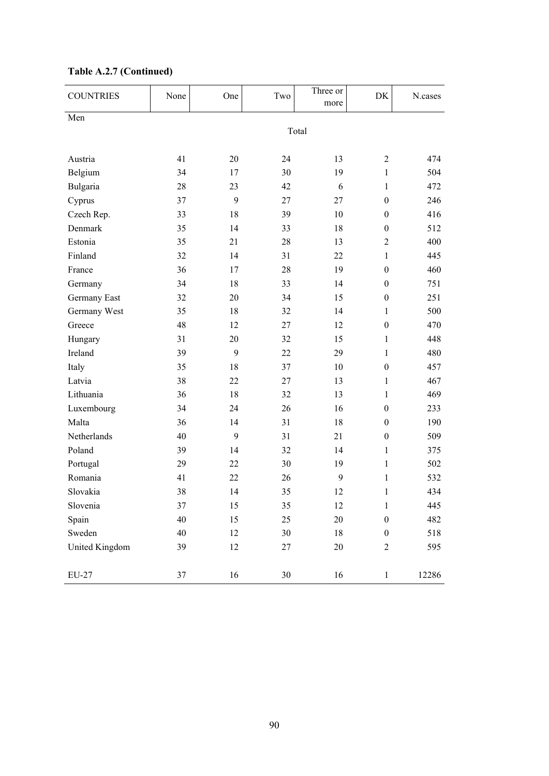| <b>COUNTRIES</b> | None | One | Two    | Three or<br>more | DK               | N.cases |
|------------------|------|-----|--------|------------------|------------------|---------|
| Men              |      |     |        |                  |                  |         |
|                  |      |     |        | Total            |                  |         |
|                  |      |     |        |                  |                  |         |
| Austria          | 41   | 20  | 24     | 13               | $\overline{2}$   | 474     |
| Belgium          | 34   | 17  | 30     | 19               | $\mathbf{1}$     | 504     |
| Bulgaria         | 28   | 23  | 42     | 6                | $\mathbf{1}$     | 472     |
| Cyprus           | 37   | 9   | 27     | 27               | $\boldsymbol{0}$ | 246     |
| Czech Rep.       | 33   | 18  | 39     | 10               | $\boldsymbol{0}$ | 416     |
| Denmark          | 35   | 14  | 33     | 18               | $\boldsymbol{0}$ | 512     |
| Estonia          | 35   | 21  | 28     | 13               | $\overline{2}$   | 400     |
| Finland          | 32   | 14  | 31     | 22               | $\mathbf{1}$     | 445     |
| France           | 36   | 17  | 28     | 19               | $\boldsymbol{0}$ | 460     |
| Germany          | 34   | 18  | 33     | 14               | $\boldsymbol{0}$ | 751     |
| Germany East     | 32   | 20  | 34     | 15               | $\boldsymbol{0}$ | 251     |
| Germany West     | 35   | 18  | 32     | 14               | $\mathbf{1}$     | 500     |
| Greece           | 48   | 12  | 27     | 12               | $\boldsymbol{0}$ | 470     |
| Hungary          | 31   | 20  | 32     | 15               | $\mathbf{1}$     | 448     |
| Ireland          | 39   | 9   | 22     | 29               | $\mathbf{1}$     | 480     |
| Italy            | 35   | 18  | 37     | 10               | $\boldsymbol{0}$ | 457     |
| Latvia           | 38   | 22  | $27\,$ | 13               | $\mathbf{1}$     | 467     |
| Lithuania        | 36   | 18  | 32     | 13               | $\mathbf{1}$     | 469     |
| Luxembourg       | 34   | 24  | 26     | 16               | $\boldsymbol{0}$ | 233     |
| Malta            | 36   | 14  | 31     | 18               | $\boldsymbol{0}$ | 190     |
| Netherlands      | 40   | 9   | 31     | 21               | $\boldsymbol{0}$ | 509     |
| Poland           | 39   | 14  | 32     | 14               | $\mathbf{1}$     | 375     |
| Portugal         | 29   | 22  | 30     | 19               | $\mathbf{1}$     | 502     |
| Romania          | 41   | 22  | 26     | 9                | $\mathbf{1}$     | 532     |
| Slovakia         | 38   | 14  | 35     | 12               | 1                | 434     |
| Slovenia         | 37   | 15  | 35     | 12               | $\mathbf{1}$     | 445     |
| Spain            | 40   | 15  | 25     | 20               | $\boldsymbol{0}$ | 482     |
| Sweden           | 40   | 12  | 30     | 18               | $\boldsymbol{0}$ | 518     |
| United Kingdom   | 39   | 12  | $27\,$ | $20\,$           | $\overline{c}$   | 595     |
| EU-27            | 37   | 16  | $30\,$ | 16               | $\mathbf{1}$     | 12286   |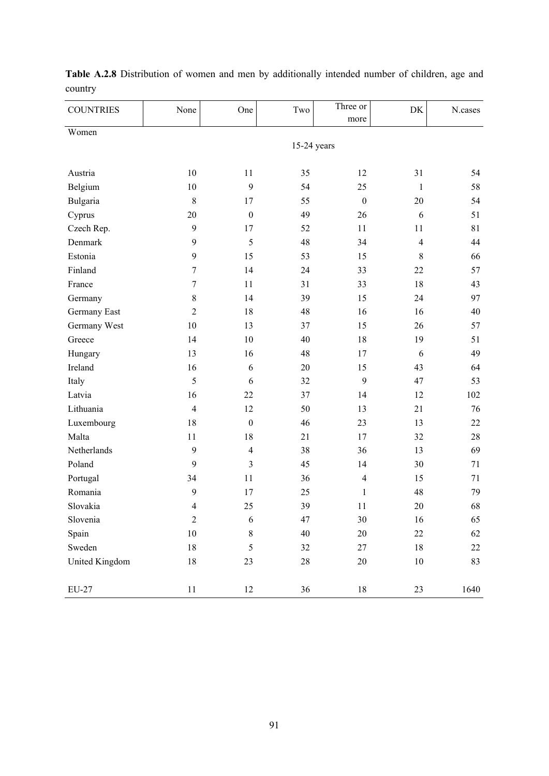| <b>COUNTRIES</b> | None             | One              | Two         | Three or<br>more | DK             | N.cases |
|------------------|------------------|------------------|-------------|------------------|----------------|---------|
| Women            |                  |                  |             |                  |                |         |
|                  |                  |                  | 15-24 years |                  |                |         |
|                  |                  |                  |             |                  |                |         |
| Austria          | 10               | 11               | 35          | 12               | 31             | 54      |
| Belgium          | $10\,$           | 9                | 54          | 25               | $\mathbf{1}$   | 58      |
| Bulgaria         | $8\,$            | 17               | 55          | $\boldsymbol{0}$ | 20             | 54      |
| Cyprus           | $20\,$           | $\boldsymbol{0}$ | 49          | 26               | 6              | 51      |
| Czech Rep.       | 9                | 17               | 52          | 11               | 11             | 81      |
| Denmark          | 9                | 5                | 48          | 34               | $\overline{4}$ | 44      |
| Estonia          | 9                | 15               | 53          | 15               | $\,8\,$        | 66      |
| Finland          | $\boldsymbol{7}$ | 14               | 24          | 33               | 22             | 57      |
| France           | $\boldsymbol{7}$ | 11               | 31          | 33               | 18             | 43      |
| Germany          | $\,8\,$          | 14               | 39          | 15               | 24             | 97      |
| Germany East     | $\overline{2}$   | 18               | 48          | 16               | 16             | 40      |
| Germany West     | 10               | 13               | 37          | 15               | 26             | 57      |
| Greece           | 14               | $10\,$           | 40          | 18               | 19             | 51      |
| Hungary          | 13               | 16               | 48          | 17               | 6              | 49      |
| Ireland          | 16               | 6                | $20\,$      | 15               | 43             | 64      |
| Italy            | 5                | 6                | 32          | 9                | 47             | 53      |
| Latvia           | 16               | 22               | 37          | 14               | 12             | 102     |
| Lithuania        | $\overline{4}$   | 12               | 50          | 13               | 21             | 76      |
| Luxembourg       | 18               | $\boldsymbol{0}$ | 46          | 23               | 13             | 22      |
| Malta            | 11               | 18               | 21          | 17               | 32             | $28\,$  |
| Netherlands      | 9                | $\overline{4}$   | 38          | 36               | 13             | 69      |
| Poland           | 9                | 3                | 45          | 14               | 30             | 71      |
| Portugal         | 34               | 11               | 36          | $\overline{4}$   | 15             | 71      |
| Romania          | 9                | 17               | 25          | $\mathbf{1}$     | 48             | 79      |
| Slovakia         | $\overline{4}$   | 25               | 39          | 11               | $20\,$         | 68      |
| Slovenia         | $\sqrt{2}$       | 6                | 47          | $30\,$           | 16             | 65      |
| Spain            | $10\,$           | 8                | 40          | $20\,$           | $22\,$         | 62      |
| Sweden           | 18               | 5                | 32          | $27\,$           | $18\,$         | 22      |
| United Kingdom   | $18\,$           | 23               | $28\,$      | $20\,$           | 10             | 83      |
|                  |                  |                  |             |                  |                |         |
| EU-27            | 11               | 12               | 36          | $18\,$           | 23             | 1640    |

**Table A.2.8** Distribution of women and men by additionally intended number of children, age and country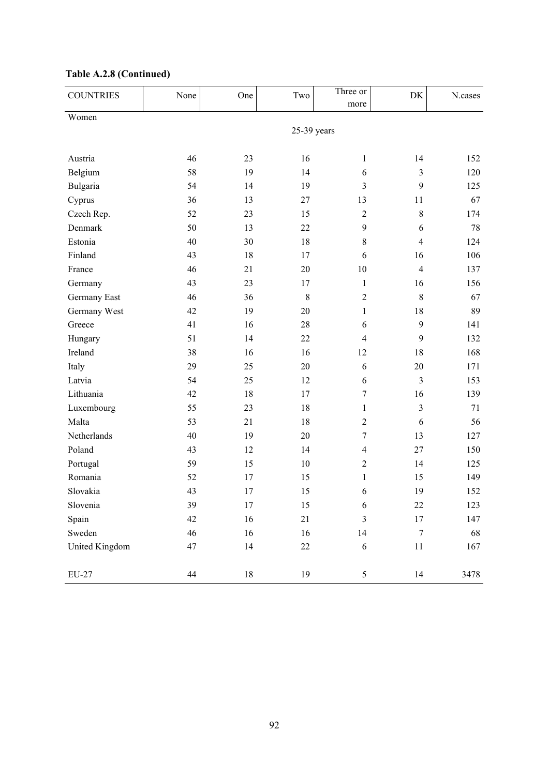| <b>COUNTRIES</b>      | None | One         | Two    | Three or<br>more | DK               | N.cases |  |  |  |  |
|-----------------------|------|-------------|--------|------------------|------------------|---------|--|--|--|--|
| Women                 |      |             |        |                  |                  |         |  |  |  |  |
|                       |      | 25-39 years |        |                  |                  |         |  |  |  |  |
|                       |      |             |        |                  |                  |         |  |  |  |  |
| Austria               | 46   | 23          | 16     | $\mathbf{1}$     | 14               | 152     |  |  |  |  |
| Belgium               | 58   | 19          | 14     | 6                | $\mathfrak{Z}$   | 120     |  |  |  |  |
| Bulgaria              | 54   | 14          | 19     | $\overline{3}$   | 9                | 125     |  |  |  |  |
| Cyprus                | 36   | 13          | 27     | 13               | 11               | 67      |  |  |  |  |
| Czech Rep.            | 52   | 23          | 15     | $\overline{2}$   | $\,8\,$          | 174     |  |  |  |  |
| Denmark               | 50   | 13          | 22     | 9                | 6                | 78      |  |  |  |  |
| Estonia               | 40   | 30          | 18     | $\,8\,$          | $\overline{4}$   | 124     |  |  |  |  |
| Finland               | 43   | 18          | 17     | 6                | 16               | 106     |  |  |  |  |
| France                | 46   | 21          | $20\,$ | 10               | $\overline{4}$   | 137     |  |  |  |  |
| Germany               | 43   | 23          | 17     | $\mathbf{1}$     | 16               | 156     |  |  |  |  |
| Germany East          | 46   | 36          | 8      | $\mathbf 2$      | 8                | 67      |  |  |  |  |
| Germany West          | 42   | 19          | 20     | $\mathbf{1}$     | 18               | 89      |  |  |  |  |
| Greece                | 41   | 16          | 28     | 6                | 9                | 141     |  |  |  |  |
| Hungary               | 51   | 14          | 22     | $\overline{4}$   | 9                | 132     |  |  |  |  |
| Ireland               | 38   | 16          | 16     | 12               | 18               | 168     |  |  |  |  |
| Italy                 | 29   | 25          | 20     | 6                | 20               | 171     |  |  |  |  |
| Latvia                | 54   | 25          | 12     | 6                | $\mathfrak{Z}$   | 153     |  |  |  |  |
| Lithuania             | 42   | 18          | 17     | $\boldsymbol{7}$ | 16               | 139     |  |  |  |  |
| Luxembourg            | 55   | 23          | 18     | $\mathbf{1}$     | $\mathfrak{Z}$   | 71      |  |  |  |  |
| Malta                 | 53   | 21          | 18     | $\overline{2}$   | 6                | 56      |  |  |  |  |
| Netherlands           | 40   | 19          | 20     | $\boldsymbol{7}$ | 13               | 127     |  |  |  |  |
| Poland                | 43   | 12          | 14     | $\overline{4}$   | 27               | 150     |  |  |  |  |
| Portugal              | 59   | 15          | 10     | $\overline{2}$   | 14               | 125     |  |  |  |  |
| Romania               | 52   | 17          | 15     | $\mathbf{1}$     | 15               | 149     |  |  |  |  |
| Slovakia              | 43   | 17          | 15     | 6                | 19               | 152     |  |  |  |  |
| Slovenia              | 39   | 17          | 15     | 6                | $22\,$           | 123     |  |  |  |  |
| Spain                 | 42   | 16          | $21\,$ | 3                | 17               | 147     |  |  |  |  |
| Sweden                | 46   | 16          | 16     | 14               | $\boldsymbol{7}$ | 68      |  |  |  |  |
| <b>United Kingdom</b> | 47   | 14          | $22\,$ | $\sqrt{6}$       | $11\,$           | 167     |  |  |  |  |
| EU-27                 | 44   | $18\,$      | 19     | 5                | 14               | 3478    |  |  |  |  |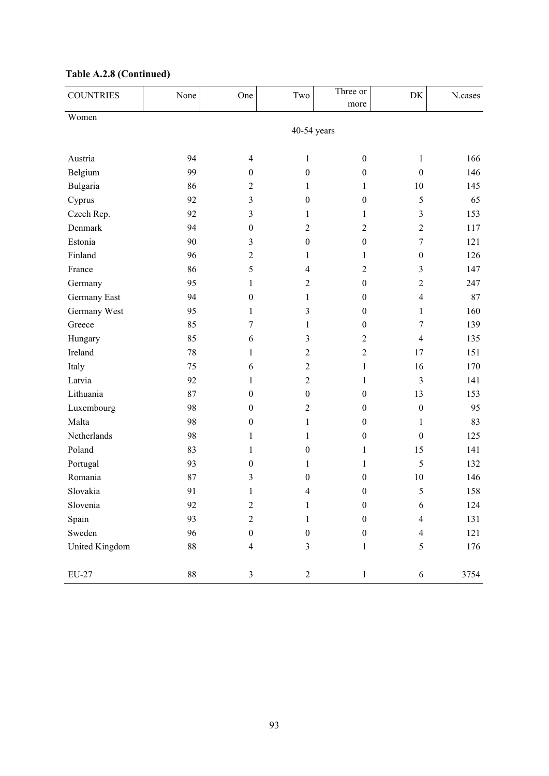| <b>COUNTRIES</b> | None   | One              | Two              | Three or<br>more | DK                       | N.cases |
|------------------|--------|------------------|------------------|------------------|--------------------------|---------|
| Women            |        |                  |                  |                  |                          |         |
|                  |        |                  | 40-54 years      |                  |                          |         |
|                  |        |                  |                  |                  |                          |         |
| Austria          | 94     | $\overline{4}$   | $\mathbf{1}$     | $\boldsymbol{0}$ | $\mathbf{1}$             | 166     |
| Belgium          | 99     | $\boldsymbol{0}$ | $\boldsymbol{0}$ | $\boldsymbol{0}$ | $\boldsymbol{0}$         | 146     |
| Bulgaria         | 86     | $\overline{2}$   | $\mathbf{1}$     | $\mathbf{1}$     | 10                       | 145     |
| Cyprus           | 92     | 3                | $\boldsymbol{0}$ | $\boldsymbol{0}$ | 5                        | 65      |
| Czech Rep.       | 92     | 3                | $\mathbf{1}$     | $\mathbf{1}$     | $\mathfrak{Z}$           | 153     |
| Denmark          | 94     | $\boldsymbol{0}$ | $\overline{2}$   | $\overline{2}$   | $\overline{2}$           | 117     |
| Estonia          | 90     | 3                | $\boldsymbol{0}$ | $\boldsymbol{0}$ | $\boldsymbol{7}$         | 121     |
| Finland          | 96     | $\overline{2}$   | $\mathbf{1}$     | $\mathbf{1}$     | $\boldsymbol{0}$         | 126     |
| France           | 86     | 5                | $\overline{4}$   | $\overline{2}$   | $\mathfrak{Z}$           | 147     |
| Germany          | 95     | 1                | $\overline{2}$   | $\boldsymbol{0}$ | $\overline{2}$           | 247     |
| Germany East     | 94     | $\boldsymbol{0}$ | $\mathbf{1}$     | $\boldsymbol{0}$ | $\overline{4}$           | 87      |
| Germany West     | 95     | 1                | 3                | $\boldsymbol{0}$ | $\mathbf{1}$             | 160     |
| Greece           | 85     | 7                | $\mathbf{1}$     | $\boldsymbol{0}$ | $\overline{7}$           | 139     |
| Hungary          | 85     | 6                | 3                | $\overline{2}$   | $\overline{4}$           | 135     |
| Ireland          | 78     | 1                | $\overline{c}$   | $\mathbf 2$      | 17                       | 151     |
| Italy            | 75     | 6                | $\overline{2}$   | $\mathbf{1}$     | 16                       | 170     |
| Latvia           | 92     | 1                | $\overline{2}$   | $\mathbf{1}$     | $\mathfrak{Z}$           | 141     |
| Lithuania        | 87     | $\boldsymbol{0}$ | $\boldsymbol{0}$ | $\boldsymbol{0}$ | 13                       | 153     |
| Luxembourg       | 98     | $\boldsymbol{0}$ | $\overline{2}$   | $\boldsymbol{0}$ | $\boldsymbol{0}$         | 95      |
| Malta            | 98     | $\boldsymbol{0}$ | $\mathbf{1}$     | $\boldsymbol{0}$ | $\mathbf{1}$             | 83      |
| Netherlands      | 98     | 1                | $\mathbf{1}$     | $\boldsymbol{0}$ | $\boldsymbol{0}$         | 125     |
| Poland           | 83     | 1                | $\boldsymbol{0}$ | $\mathbf{1}$     | 15                       | 141     |
| Portugal         | 93     | $\boldsymbol{0}$ | 1                | 1                | 5                        | 132     |
| Romania          | 87     | 3                | $\boldsymbol{0}$ | $\boldsymbol{0}$ | 10                       | 146     |
| Slovakia         | 91     | 1                | 4                | $\boldsymbol{0}$ | 5                        | 158     |
| Slovenia         | 92     | $\overline{2}$   | $\mathbf{1}$     | $\boldsymbol{0}$ | 6                        | 124     |
| Spain            | 93     | $\overline{2}$   | 1                | $\boldsymbol{0}$ | $\overline{\mathcal{L}}$ | 131     |
| Sweden           | 96     | $\boldsymbol{0}$ | $\boldsymbol{0}$ | $\boldsymbol{0}$ | $\overline{4}$           | 121     |
| United Kingdom   | 88     | $\overline{4}$   | 3                | $\mathbf{1}$     | 5                        | 176     |
| EU-27            | $88\,$ | $\mathfrak{Z}$   | $\boldsymbol{2}$ | $\,1$            | $\sqrt{6}$               | 3754    |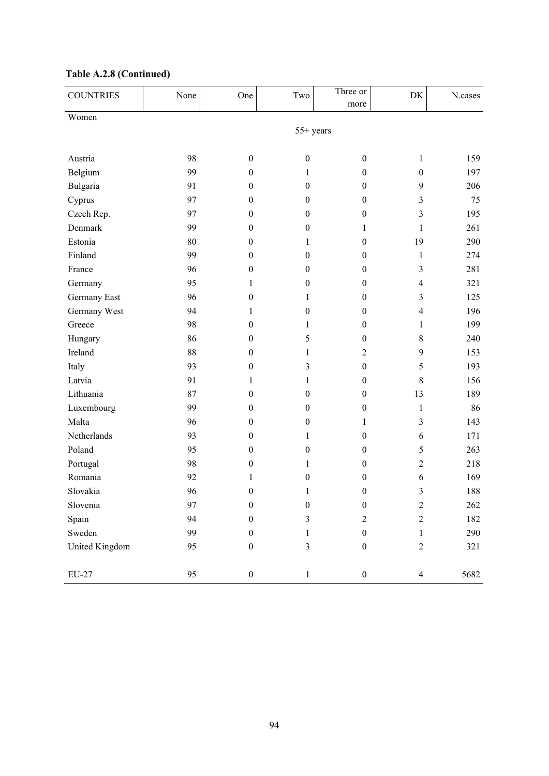| <b>COUNTRIES</b> | None | One              | Two              | Three or<br>more | DK               | N.cases |  |  |  |  |
|------------------|------|------------------|------------------|------------------|------------------|---------|--|--|--|--|
| Women            |      |                  |                  |                  |                  |         |  |  |  |  |
|                  |      | $55+ years$      |                  |                  |                  |         |  |  |  |  |
|                  |      |                  |                  |                  |                  |         |  |  |  |  |
| Austria          | 98   | $\boldsymbol{0}$ | $\boldsymbol{0}$ | $\boldsymbol{0}$ | $\mathbf{1}$     | 159     |  |  |  |  |
| Belgium          | 99   | $\boldsymbol{0}$ | $\mathbf{1}$     | $\boldsymbol{0}$ | $\boldsymbol{0}$ | 197     |  |  |  |  |
| Bulgaria         | 91   | $\boldsymbol{0}$ | $\boldsymbol{0}$ | $\boldsymbol{0}$ | 9                | 206     |  |  |  |  |
| Cyprus           | 97   | $\boldsymbol{0}$ | $\boldsymbol{0}$ | $\boldsymbol{0}$ | $\overline{3}$   | 75      |  |  |  |  |
| Czech Rep.       | 97   | $\boldsymbol{0}$ | $\boldsymbol{0}$ | $\boldsymbol{0}$ | $\overline{3}$   | 195     |  |  |  |  |
| Denmark          | 99   | $\boldsymbol{0}$ | $\boldsymbol{0}$ | $\mathbf{1}$     | $\mathbf{1}$     | 261     |  |  |  |  |
| Estonia          | 80   | $\boldsymbol{0}$ | $\mathbf{1}$     | $\boldsymbol{0}$ | 19               | 290     |  |  |  |  |
| Finland          | 99   | $\boldsymbol{0}$ | $\boldsymbol{0}$ | $\boldsymbol{0}$ | $\mathbf{1}$     | 274     |  |  |  |  |
| France           | 96   | $\boldsymbol{0}$ | $\boldsymbol{0}$ | $\boldsymbol{0}$ | $\mathfrak{Z}$   | 281     |  |  |  |  |
| Germany          | 95   | 1                | $\boldsymbol{0}$ | $\boldsymbol{0}$ | $\overline{4}$   | 321     |  |  |  |  |
| Germany East     | 96   | $\boldsymbol{0}$ | $\mathbf{1}$     | $\boldsymbol{0}$ | $\mathfrak{Z}$   | 125     |  |  |  |  |
| Germany West     | 94   | 1                | $\boldsymbol{0}$ | $\boldsymbol{0}$ | $\overline{4}$   | 196     |  |  |  |  |
| Greece           | 98   | $\boldsymbol{0}$ | $\mathbf{1}$     | $\boldsymbol{0}$ | 1                | 199     |  |  |  |  |
| Hungary          | 86   | $\boldsymbol{0}$ | 5                | $\boldsymbol{0}$ | $\,8\,$          | 240     |  |  |  |  |
| Ireland          | 88   | $\boldsymbol{0}$ | 1                | $\sqrt{2}$       | 9                | 153     |  |  |  |  |
| Italy            | 93   | $\boldsymbol{0}$ | 3                | $\boldsymbol{0}$ | 5                | 193     |  |  |  |  |
| Latvia           | 91   | 1                | $\mathbf{1}$     | $\boldsymbol{0}$ | 8                | 156     |  |  |  |  |
| Lithuania        | 87   | $\boldsymbol{0}$ | $\boldsymbol{0}$ | $\boldsymbol{0}$ | 13               | 189     |  |  |  |  |
| Luxembourg       | 99   | $\boldsymbol{0}$ | $\boldsymbol{0}$ | $\boldsymbol{0}$ | $\mathbf{1}$     | 86      |  |  |  |  |
| Malta            | 96   | $\boldsymbol{0}$ | $\boldsymbol{0}$ | 1                | $\mathfrak{Z}$   | 143     |  |  |  |  |
| Netherlands      | 93   | $\boldsymbol{0}$ | $\mathbf{1}$     | $\boldsymbol{0}$ | 6                | 171     |  |  |  |  |
| Poland           | 95   | $\boldsymbol{0}$ | $\boldsymbol{0}$ | $\boldsymbol{0}$ | 5                | 263     |  |  |  |  |
| Portugal         | 98   | $\boldsymbol{0}$ | $\mathbf{1}$     | $\boldsymbol{0}$ | $\overline{2}$   | 218     |  |  |  |  |
| Romania          | 92   | 1                | $\boldsymbol{0}$ | $\boldsymbol{0}$ | 6                | 169     |  |  |  |  |
| Slovakia         | 96   | 0                | 1                | $\boldsymbol{0}$ | 3                | 188     |  |  |  |  |
| Slovenia         | 97   | $\boldsymbol{0}$ | $\boldsymbol{0}$ | $\boldsymbol{0}$ | $\sqrt{2}$       | 262     |  |  |  |  |
| Spain            | 94   | $\boldsymbol{0}$ | 3                | $\mathbf{2}$     | $\sqrt{2}$       | 182     |  |  |  |  |
| Sweden           | 99   | $\boldsymbol{0}$ | $\mathbf{1}$     | $\boldsymbol{0}$ | $\mathbf 1$      | 290     |  |  |  |  |
| United Kingdom   | 95   | $\boldsymbol{0}$ | 3                | $\boldsymbol{0}$ | $\sqrt{2}$       | 321     |  |  |  |  |
| EU-27            | 95   | $\boldsymbol{0}$ | $\,1$            | $\boldsymbol{0}$ | $\overline{4}$   | 5682    |  |  |  |  |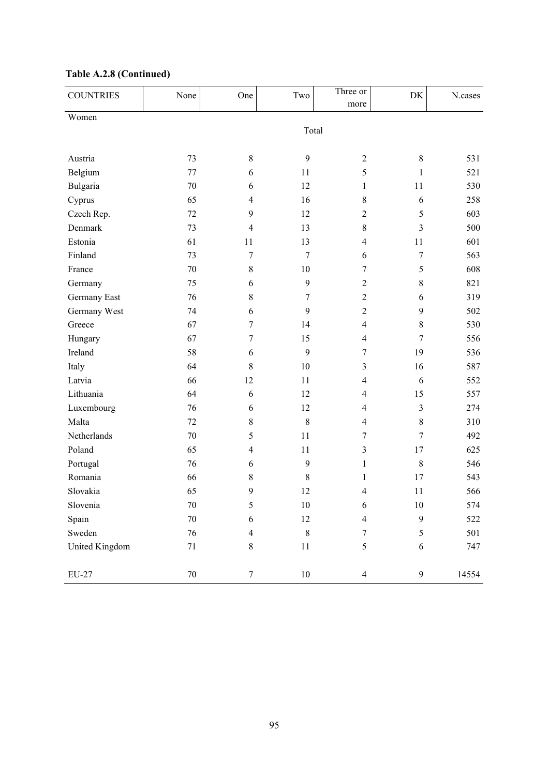| <b>COUNTRIES</b> | None   | One              | Two            | Three or<br>more        | DK               | N.cases |  |  |  |  |
|------------------|--------|------------------|----------------|-------------------------|------------------|---------|--|--|--|--|
| Women            |        |                  |                |                         |                  |         |  |  |  |  |
|                  | Total  |                  |                |                         |                  |         |  |  |  |  |
|                  |        |                  |                |                         |                  |         |  |  |  |  |
| Austria          | 73     | $8\,$            | 9              | $\mathfrak{2}$          | $\,$ 8 $\,$      | 531     |  |  |  |  |
| Belgium          | 77     | 6                | 11             | 5                       | $\mathbf{1}$     | 521     |  |  |  |  |
| Bulgaria         | 70     | 6                | 12             | $\mathbf{1}$            | 11               | 530     |  |  |  |  |
| Cyprus           | 65     | $\overline{4}$   | 16             | $\,8\,$                 | 6                | 258     |  |  |  |  |
| Czech Rep.       | 72     | 9                | 12             | $\overline{2}$          | 5                | 603     |  |  |  |  |
| Denmark          | 73     | $\overline{4}$   | 13             | $\,8\,$                 | $\overline{3}$   | 500     |  |  |  |  |
| Estonia          | 61     | 11               | 13             | $\overline{4}$          | 11               | 601     |  |  |  |  |
| Finland          | 73     | $\tau$           | $\tau$         | 6                       | $\boldsymbol{7}$ | 563     |  |  |  |  |
| France           | 70     | $\,$ $\,$        | 10             | $\overline{7}$          | 5                | 608     |  |  |  |  |
| Germany          | 75     | 6                | 9              | $\overline{2}$          | $\,8\,$          | 821     |  |  |  |  |
| Germany East     | 76     | $\,$ $\,$        | $\overline{7}$ | $\mathbf{2}$            | 6                | 319     |  |  |  |  |
| Germany West     | 74     | 6                | 9              | $\overline{2}$          | 9                | 502     |  |  |  |  |
| Greece           | 67     | $\tau$           | 14             | $\overline{4}$          | 8                | 530     |  |  |  |  |
| Hungary          | 67     | $\boldsymbol{7}$ | 15             | $\overline{4}$          | $\overline{7}$   | 556     |  |  |  |  |
| Ireland          | 58     | 6                | 9              | $\boldsymbol{7}$        | 19               | 536     |  |  |  |  |
| Italy            | 64     | $8\,$            | 10             | 3                       | 16               | 587     |  |  |  |  |
| Latvia           | 66     | 12               | 11             | $\overline{4}$          | 6                | 552     |  |  |  |  |
| Lithuania        | 64     | 6                | 12             | $\overline{4}$          | 15               | 557     |  |  |  |  |
| Luxembourg       | 76     | 6                | 12             | $\overline{4}$          | $\overline{3}$   | 274     |  |  |  |  |
| Malta            | 72     | $\,$ $\,$        | 8              | $\overline{4}$          | $\,8\,$          | 310     |  |  |  |  |
| Netherlands      | $70\,$ | 5                | 11             | 7                       | $\overline{7}$   | 492     |  |  |  |  |
| Poland           | 65     | $\overline{4}$   | 11             | 3                       | 17               | 625     |  |  |  |  |
| Portugal         | 76     | 6                | 9              | $\mathbf{1}$            | 8                | 546     |  |  |  |  |
| Romania          | 66     | $8\,$            | 8              | 1                       | 17               | 543     |  |  |  |  |
| Slovakia         | 65     | 9                | 12             | 4                       | 11               | 566     |  |  |  |  |
| Slovenia         | $70\,$ | 5                | 10             | 6                       | 10               | 574     |  |  |  |  |
| Spain            | 70     | 6                | 12             | $\overline{\mathbf{4}}$ | 9                | 522     |  |  |  |  |
| Sweden           | 76     | $\overline{4}$   | $\,$ $\,$      | $\boldsymbol{7}$        | 5                | 501     |  |  |  |  |
| United Kingdom   | 71     | $\,8\,$          | 11             | 5                       | 6                | 747     |  |  |  |  |
| EU-27            | $70\,$ | $\boldsymbol{7}$ | $10\,$         | $\overline{4}$          | $\mathbf{9}$     | 14554   |  |  |  |  |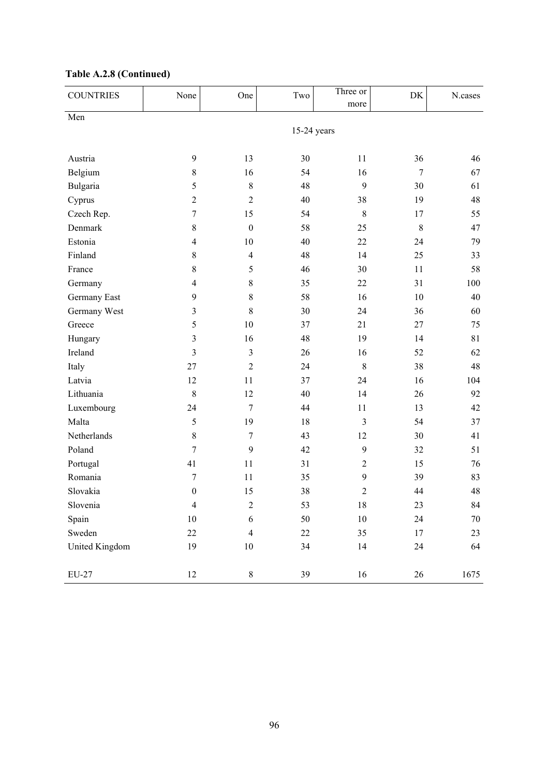| <b>COUNTRIES</b> | None             | One              | Two    | Three or<br>more        | $\rm DK$ | N.cases |  |  |  |  |
|------------------|------------------|------------------|--------|-------------------------|----------|---------|--|--|--|--|
| Men              |                  |                  |        |                         |          |         |  |  |  |  |
|                  |                  | 15-24 years      |        |                         |          |         |  |  |  |  |
| Austria          | 9                | 13               | 30     | 11                      | 36       | 46      |  |  |  |  |
| Belgium          | $8\,$            | 16               | 54     | 16                      | $\tau$   | 67      |  |  |  |  |
| Bulgaria         | 5                | $8\,$            | 48     | 9                       | 30       | 61      |  |  |  |  |
| Cyprus           | $\overline{2}$   | $\overline{2}$   | 40     | 38                      | 19       | 48      |  |  |  |  |
| Czech Rep.       | $\overline{7}$   | 15               | 54     | 8                       | 17       | 55      |  |  |  |  |
| Denmark          | $\,8\,$          | $\boldsymbol{0}$ | 58     | 25                      | $\,8\,$  | 47      |  |  |  |  |
| Estonia          | $\overline{4}$   | $10\,$           | 40     | 22                      | 24       | 79      |  |  |  |  |
| Finland          | $\,8\,$          | $\overline{4}$   | 48     | 14                      | 25       | 33      |  |  |  |  |
| France           | $8\,$            | 5                | 46     | 30                      | 11       | 58      |  |  |  |  |
| Germany          | $\overline{4}$   | $\,8\,$          | 35     | 22                      | 31       | 100     |  |  |  |  |
| Germany East     | 9                | $\,8\,$          | 58     | 16                      | 10       | 40      |  |  |  |  |
| Germany West     | 3                | $\,8\,$          | 30     | 24                      | 36       | 60      |  |  |  |  |
| Greece           | 5                | 10               | 37     | 21                      | 27       | 75      |  |  |  |  |
| Hungary          | $\mathfrak{Z}$   | 16               | 48     | 19                      | 14       | 81      |  |  |  |  |
| Ireland          | $\overline{3}$   | 3                | 26     | 16                      | 52       | 62      |  |  |  |  |
| Italy            | 27               | $\overline{2}$   | 24     | $\,8\,$                 | 38       | 48      |  |  |  |  |
| Latvia           | 12               | 11               | 37     | 24                      | 16       | 104     |  |  |  |  |
| Lithuania        | 8                | 12               | 40     | 14                      | 26       | 92      |  |  |  |  |
| Luxembourg       | 24               | $\overline{7}$   | 44     | 11                      | 13       | 42      |  |  |  |  |
| Malta            | 5                | 19               | 18     | $\overline{\mathbf{3}}$ | 54       | 37      |  |  |  |  |
| Netherlands      | $8\,$            | $\overline{7}$   | 43     | 12                      | 30       | 41      |  |  |  |  |
| Poland           | $\overline{7}$   | 9                | 42     | 9                       | 32       | 51      |  |  |  |  |
| Portugal         | 41               | 11               | 31     | $\overline{2}$          | 15       | 76      |  |  |  |  |
| Romania          | 7                | 11               | 35     | 9                       | 39       | 83      |  |  |  |  |
| Slovakia         | $\boldsymbol{0}$ | 15               | 38     | $\overline{2}$          | 44       | 48      |  |  |  |  |
| Slovenia         | $\overline{4}$   | $\overline{2}$   | 53     | 18                      | 23       | 84      |  |  |  |  |
| Spain            | 10               | 6                | 50     | $10\,$                  | 24       | $70\,$  |  |  |  |  |
| Sweden           | 22               | $\overline{4}$   | $22\,$ | 35                      | 17       | 23      |  |  |  |  |
| United Kingdom   | 19               | $10\,$           | 34     | 14                      | 24       | 64      |  |  |  |  |
| EU-27            | 12               | $8\,$            | 39     | 16                      | 26       | 1675    |  |  |  |  |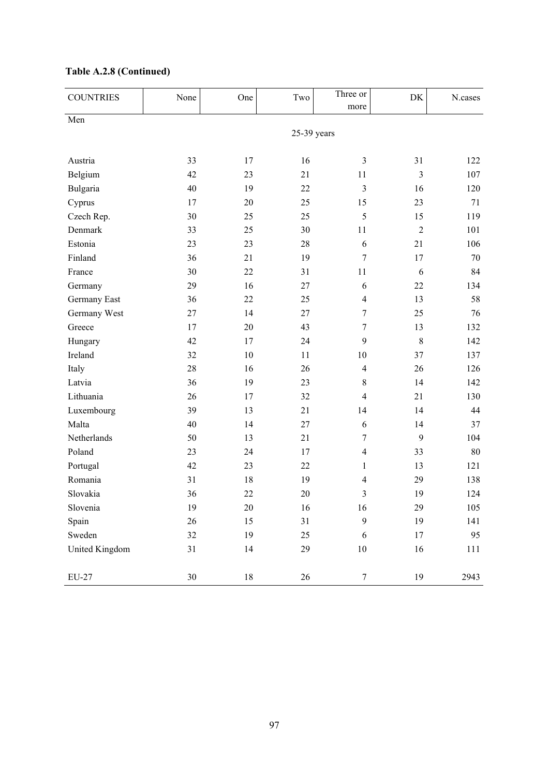| <b>COUNTRIES</b> | None   | One         | Two    | Three or<br>more        | DK             | N.cases |  |
|------------------|--------|-------------|--------|-------------------------|----------------|---------|--|
| Men              |        |             |        |                         |                |         |  |
|                  |        | 25-39 years |        |                         |                |         |  |
| Austria          | 33     | 17          | 16     | $\mathfrak{Z}$          | 31             | 122     |  |
| Belgium          | 42     | 23          | 21     | 11                      | 3              | 107     |  |
| Bulgaria         | 40     | 19          | 22     | $\overline{3}$          | 16             | 120     |  |
| Cyprus           | 17     | $20\,$      | 25     | 15                      | 23             | 71      |  |
| Czech Rep.       | 30     | 25          | 25     | 5                       | 15             | 119     |  |
| Denmark          | 33     | 25          | 30     | 11                      | $\overline{2}$ | 101     |  |
| Estonia          | 23     | 23          | 28     | 6                       | 21             | 106     |  |
| Finland          | 36     | 21          | 19     | $\boldsymbol{7}$        | 17             | 70      |  |
| France           | 30     | 22          | 31     | 11                      | 6              | 84      |  |
| Germany          | 29     | 16          | 27     | 6                       | 22             | 134     |  |
| Germany East     | 36     | 22          | 25     | $\overline{4}$          | 13             | 58      |  |
| Germany West     | 27     | 14          | 27     | $\overline{7}$          | 25             | 76      |  |
| Greece           | 17     | $20\,$      | 43     | $\overline{7}$          | 13             | 132     |  |
| Hungary          | 42     | 17          | 24     | 9                       | $\,8\,$        | 142     |  |
| Ireland          | 32     | 10          | 11     | 10                      | 37             | 137     |  |
| Italy            | 28     | 16          | 26     | $\overline{4}$          | 26             | 126     |  |
| Latvia           | 36     | 19          | 23     | 8                       | 14             | 142     |  |
| Lithuania        | 26     | 17          | 32     | $\overline{4}$          | 21             | 130     |  |
| Luxembourg       | 39     | 13          | 21     | 14                      | 14             | 44      |  |
| Malta            | 40     | 14          | 27     | 6                       | 14             | 37      |  |
| Netherlands      | 50     | 13          | 21     | $\overline{7}$          | 9              | 104     |  |
| Poland           | 23     | 24          | 17     | $\overline{4}$          | 33             | 80      |  |
| Portugal         | 42     | 23          | 22     | $\mathbf{1}$            | 13             | 121     |  |
| Romania          | 31     | 18          | 19     | $\overline{\mathbf{4}}$ | 29             | 138     |  |
| Slovakia         | 36     | 22          | 20     | 3                       | 19             | 124     |  |
| Slovenia         | 19     | $20\,$      | 16     | 16                      | 29             | 105     |  |
| Spain            | 26     | 15          | 31     | 9                       | 19             | 141     |  |
| Sweden           | 32     | 19          | 25     | $\sqrt{6}$              | 17             | 95      |  |
| United Kingdom   | 31     | 14          | 29     | $10\,$                  | 16             | 111     |  |
| EU-27            | $30\,$ | $18\,$      | $26\,$ | $\boldsymbol{7}$        | 19             | 2943    |  |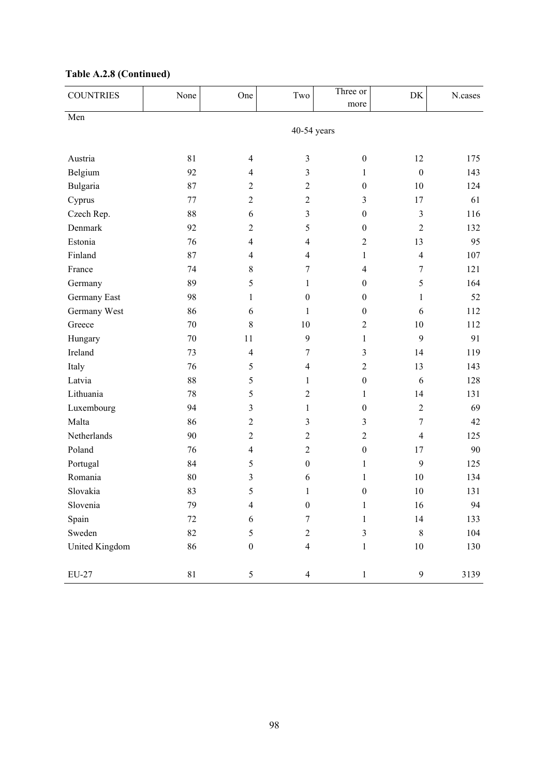| <b>COUNTRIES</b> | None | One              | Two              | Three or<br>more        | $\rm DK$         | N.cases |  |
|------------------|------|------------------|------------------|-------------------------|------------------|---------|--|
| Men              |      |                  |                  |                         |                  |         |  |
|                  |      | 40-54 years      |                  |                         |                  |         |  |
| Austria          | 81   | $\overline{4}$   | $\mathfrak{Z}$   | $\boldsymbol{0}$        | 12               | 175     |  |
| Belgium          | 92   | $\overline{4}$   | 3                | $\mathbf{1}$            | $\boldsymbol{0}$ | 143     |  |
| Bulgaria         | 87   | $\overline{2}$   | $\overline{2}$   | $\boldsymbol{0}$        | 10               | 124     |  |
| Cyprus           | 77   | $\overline{2}$   | $\overline{2}$   | $\overline{\mathbf{3}}$ | 17               | 61      |  |
| Czech Rep.       | 88   | 6                | 3                | $\boldsymbol{0}$        | $\overline{3}$   | 116     |  |
| Denmark          | 92   | $\overline{2}$   | 5                | $\boldsymbol{0}$        | $\overline{2}$   | 132     |  |
| Estonia          | 76   | $\overline{4}$   | $\overline{4}$   | $\overline{2}$          | 13               | 95      |  |
| Finland          | 87   | $\overline{4}$   | $\overline{4}$   | $\mathbf{1}$            | $\overline{4}$   | 107     |  |
| France           | 74   | 8                | $\overline{7}$   | $\overline{4}$          | $\overline{7}$   | 121     |  |
| Germany          | 89   | 5                | $\mathbf{1}$     | $\boldsymbol{0}$        | 5                | 164     |  |
| Germany East     | 98   | $\mathbf{1}$     | $\boldsymbol{0}$ | $\boldsymbol{0}$        | $\mathbf{1}$     | 52      |  |
| Germany West     | 86   | 6                | $\mathbf{1}$     | $\boldsymbol{0}$        | 6                | 112     |  |
| Greece           | 70   | $8\,$            | 10               | $\sqrt{2}$              | 10               | 112     |  |
| Hungary          | 70   | 11               | 9                | $\mathbf{1}$            | 9                | 91      |  |
| Ireland          | 73   | $\overline{4}$   | 7                | $\mathfrak{Z}$          | 14               | 119     |  |
| Italy            | 76   | 5                | $\overline{4}$   | $\sqrt{2}$              | 13               | 143     |  |
| Latvia           | 88   | 5                | $\mathbf{1}$     | $\boldsymbol{0}$        | 6                | 128     |  |
| Lithuania        | 78   | 5                | $\overline{2}$   | $\mathbf{1}$            | 14               | 131     |  |
| Luxembourg       | 94   | 3                | $\mathbf{1}$     | $\boldsymbol{0}$        | $\overline{2}$   | 69      |  |
| Malta            | 86   | $\overline{c}$   | $\mathfrak{Z}$   | $\mathfrak{Z}$          | $\boldsymbol{7}$ | 42      |  |
| Netherlands      | 90   | $\overline{2}$   | $\overline{2}$   | $\overline{2}$          | $\overline{4}$   | 125     |  |
| Poland           | 76   | $\overline{4}$   | $\sqrt{2}$       | $\boldsymbol{0}$        | 17               | 90      |  |
| Portugal         | 84   | 5                | $\boldsymbol{0}$ | $\mathbf{1}$            | 9                | 125     |  |
| Romania          | 80   | 3                | 6                | 1                       | 10               | 134     |  |
| Slovakia         | 83   | 5                | 1                | $\boldsymbol{0}$        | 10               | 131     |  |
| Slovenia         | 79   | $\overline{4}$   | $\boldsymbol{0}$ | $\,1$                   | 16               | 94      |  |
| Spain            | 72   | 6                | $\overline{7}$   | $\mathbf{1}$            | 14               | 133     |  |
| Sweden           | 82   | 5                | $\sqrt{2}$       | $\mathfrak{Z}$          | 8                | 104     |  |
| United Kingdom   | 86   | $\boldsymbol{0}$ | $\overline{4}$   | $\,1$                   | 10               | 130     |  |
| EU-27            | 81   | 5                | $\overline{4}$   | $\,1\,$                 | $\mathbf{9}$     | 3139    |  |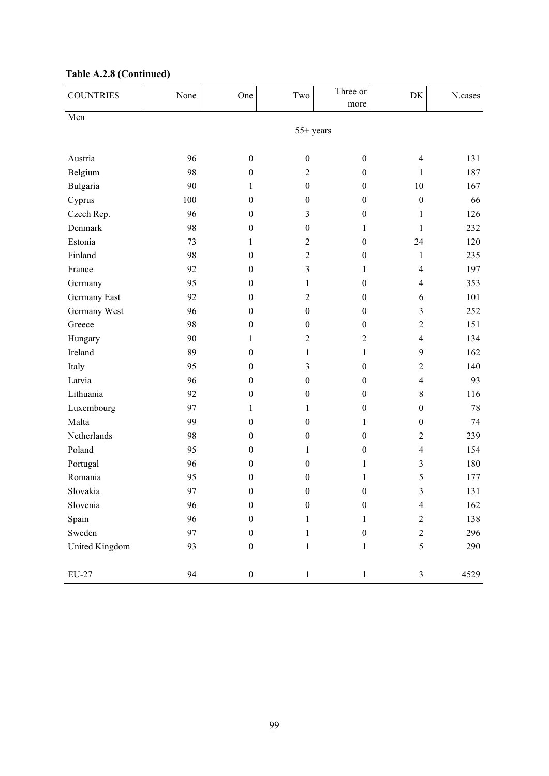| <b>COUNTRIES</b> | None        | One              | Two              | Three or<br>more | DK               | N.cases |  |
|------------------|-------------|------------------|------------------|------------------|------------------|---------|--|
| Men              |             |                  |                  |                  |                  |         |  |
|                  | $55+ years$ |                  |                  |                  |                  |         |  |
| Austria          | 96          | $\boldsymbol{0}$ | $\boldsymbol{0}$ | $\boldsymbol{0}$ | $\overline{4}$   | 131     |  |
| Belgium          | 98          | $\boldsymbol{0}$ | $\overline{2}$   | $\boldsymbol{0}$ | $\mathbf{1}$     | 187     |  |
| Bulgaria         | 90          | 1                | $\boldsymbol{0}$ | $\boldsymbol{0}$ | 10               | 167     |  |
| Cyprus           | 100         | $\boldsymbol{0}$ | $\boldsymbol{0}$ | $\boldsymbol{0}$ | $\boldsymbol{0}$ | 66      |  |
| Czech Rep.       | 96          | $\boldsymbol{0}$ | 3                | $\boldsymbol{0}$ | $\mathbf{1}$     | 126     |  |
| Denmark          | 98          | $\boldsymbol{0}$ | $\boldsymbol{0}$ | $\mathbf{1}$     | $\mathbf{1}$     | 232     |  |
| Estonia          | 73          | 1                | $\overline{2}$   | $\boldsymbol{0}$ | 24               | 120     |  |
| Finland          | 98          | $\boldsymbol{0}$ | $\overline{c}$   | $\boldsymbol{0}$ | $\mathbf{1}$     | 235     |  |
| France           | 92          | $\boldsymbol{0}$ | 3                | $\mathbf{1}$     | $\overline{4}$   | 197     |  |
| Germany          | 95          | $\boldsymbol{0}$ | $\mathbf{1}$     | $\boldsymbol{0}$ | $\overline{4}$   | 353     |  |
| Germany East     | 92          | $\boldsymbol{0}$ | $\overline{2}$   | $\boldsymbol{0}$ | 6                | 101     |  |
| Germany West     | 96          | $\boldsymbol{0}$ | $\boldsymbol{0}$ | $\boldsymbol{0}$ | $\mathfrak{Z}$   | 252     |  |
| Greece           | 98          | $\boldsymbol{0}$ | $\boldsymbol{0}$ | $\boldsymbol{0}$ | $\overline{2}$   | 151     |  |
| Hungary          | 90          | 1                | $\overline{2}$   | $\overline{2}$   | $\overline{4}$   | 134     |  |
| Ireland          | 89          | $\boldsymbol{0}$ | 1                | $\mathbf{1}$     | 9                | 162     |  |
| Italy            | 95          | $\boldsymbol{0}$ | 3                | $\boldsymbol{0}$ | $\sqrt{2}$       | 140     |  |
| Latvia           | 96          | $\boldsymbol{0}$ | $\boldsymbol{0}$ | $\boldsymbol{0}$ | $\overline{4}$   | 93      |  |
| Lithuania        | 92          | $\boldsymbol{0}$ | $\boldsymbol{0}$ | $\boldsymbol{0}$ | 8                | 116     |  |
| Luxembourg       | 97          | 1                | 1                | $\boldsymbol{0}$ | $\boldsymbol{0}$ | 78      |  |
| Malta            | 99          | $\boldsymbol{0}$ | $\boldsymbol{0}$ | 1                | $\boldsymbol{0}$ | 74      |  |
| Netherlands      | 98          | $\boldsymbol{0}$ | $\boldsymbol{0}$ | $\boldsymbol{0}$ | $\sqrt{2}$       | 239     |  |
| Poland           | 95          | $\boldsymbol{0}$ | $\mathbf{1}$     | $\boldsymbol{0}$ | $\overline{4}$   | 154     |  |
| Portugal         | 96          | $\boldsymbol{0}$ | $\boldsymbol{0}$ | $\mathbf{1}$     | $\mathfrak{Z}$   | 180     |  |
| Romania          | 95          | $\boldsymbol{0}$ | $\boldsymbol{0}$ | 1                | 5                | 177     |  |
| Slovakia         | 97          | 0                | 0                | $\boldsymbol{0}$ | 3                | 131     |  |
| Slovenia         | 96          | $\boldsymbol{0}$ | $\boldsymbol{0}$ | $\boldsymbol{0}$ | $\overline{4}$   | 162     |  |
| Spain            | 96          | $\boldsymbol{0}$ | $\mathbf{1}$     | $\mathbf{1}$     | $\sqrt{2}$       | 138     |  |
| Sweden           | 97          | $\boldsymbol{0}$ | $\mathbf{1}$     | $\boldsymbol{0}$ | $\sqrt{2}$       | 296     |  |
| United Kingdom   | 93          | $\boldsymbol{0}$ | $\mathbf{1}$     | $\,1$            | $\sqrt{5}$       | 290     |  |
| EU-27            | 94          | $\boldsymbol{0}$ | $\,1$            | $\,1\,$          | $\mathfrak{Z}$   | 4529    |  |